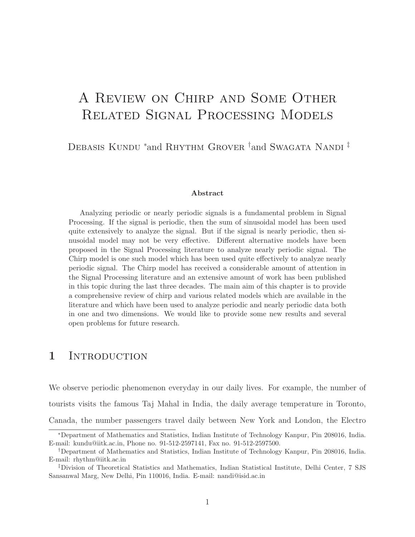# A Review on Chirp and Some Other Related Signal Processing Models

DEBASIS KUNDU <sup>\*</sup>and RHYTHM GROVER <sup>†</sup>and SWAGATA NANDI<sup>‡</sup>

#### Abstract

Analyzing periodic or nearly periodic signals is a fundamental problem in Signal Processing. If the signal is periodic, then the sum of sinusoidal model has been used quite extensively to analyze the signal. But if the signal is nearly periodic, then sinusoidal model may not be very effective. Different alternative models have been proposed in the Signal Processing literature to analyze nearly periodic signal. The Chirp model is one such model which has been used quite effectively to analyze nearly periodic signal. The Chirp model has received a considerable amount of attention in the Signal Processing literature and an extensive amount of work has been published in this topic during the last three decades. The main aim of this chapter is to provide a comprehensive review of chirp and various related models which are available in the literature and which have been used to analyze periodic and nearly periodic data both in one and two dimensions. We would like to provide some new results and several open problems for future research.

### 1 INTRODUCTION

We observe periodic phenomenon everyday in our daily lives. For example, the number of tourists visits the famous Taj Mahal in India, the daily average temperature in Toronto, Canada, the number passengers travel daily between New York and London, the Electro

<sup>∗</sup>Department of Mathematics and Statistics, Indian Institute of Technology Kanpur, Pin 208016, India. E-mail: kundu@iitk.ac.in, Phone no. 91-512-2597141, Fax no. 91-512-2597500.

<sup>†</sup>Department of Mathematics and Statistics, Indian Institute of Technology Kanpur, Pin 208016, India. E-mail: rhythm@iitk.ac.in

<sup>‡</sup>Division of Theoretical Statistics and Mathematics, Indian Statistical Institute, Delhi Center, 7 SJS Sansanwal Marg, New Delhi, Pin 110016, India. E-mail: nandi@isid.ac.in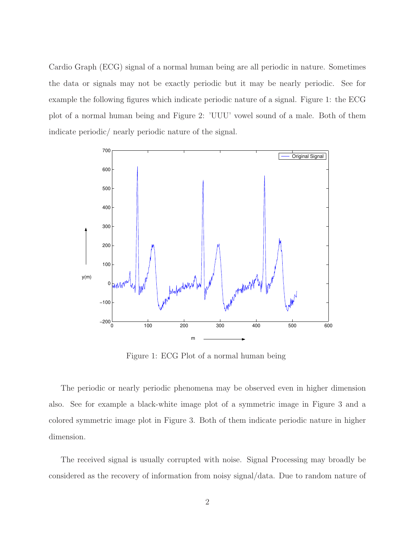Cardio Graph (ECG) signal of a normal human being are all periodic in nature. Sometimes the data or signals may not be exactly periodic but it may be nearly periodic. See for example the following figures which indicate periodic nature of a signal. Figure 1: the ECG plot of a normal human being and Figure 2: 'UUU' vowel sound of a male. Both of them indicate periodic/ nearly periodic nature of the signal.



Figure 1: ECG Plot of a normal human being

The periodic or nearly periodic phenomena may be observed even in higher dimension also. See for example a black-white image plot of a symmetric image in Figure 3 and a colored symmetric image plot in Figure 3. Both of them indicate periodic nature in higher dimension.

The received signal is usually corrupted with noise. Signal Processing may broadly be considered as the recovery of information from noisy signal/data. Due to random nature of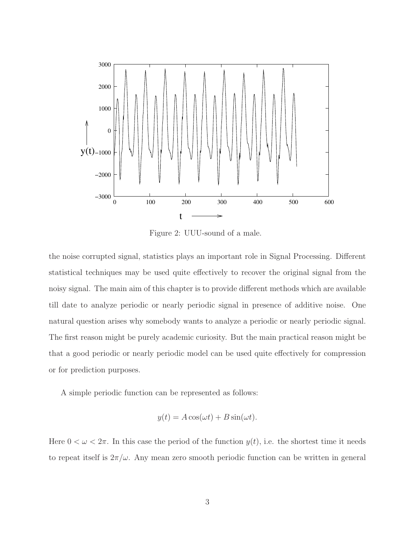

Figure 2: UUU-sound of a male.

the noise corrupted signal, statistics plays an important role in Signal Processing. Different statistical techniques may be used quite effectively to recover the original signal from the noisy signal. The main aim of this chapter is to provide different methods which are available till date to analyze periodic or nearly periodic signal in presence of additive noise. One natural question arises why somebody wants to analyze a periodic or nearly periodic signal. The first reason might be purely academic curiosity. But the main practical reason might be that a good periodic or nearly periodic model can be used quite effectively for compression or for prediction purposes.

A simple periodic function can be represented as follows:

$$
y(t) = A\cos(\omega t) + B\sin(\omega t).
$$

Here  $0 < \omega < 2\pi$ . In this case the period of the function  $y(t)$ , i.e. the shortest time it needs to repeat itself is  $2\pi/\omega$ . Any mean zero smooth periodic function can be written in general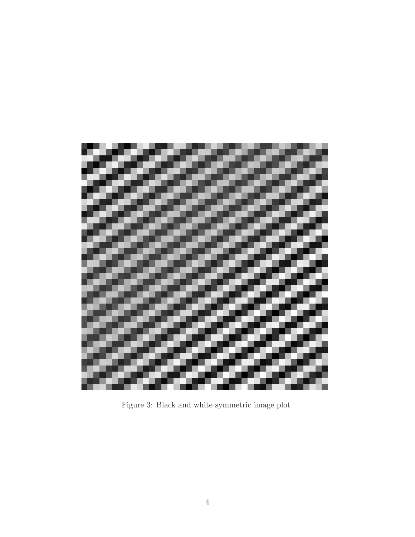

Figure 3: Black and white symmetric image plot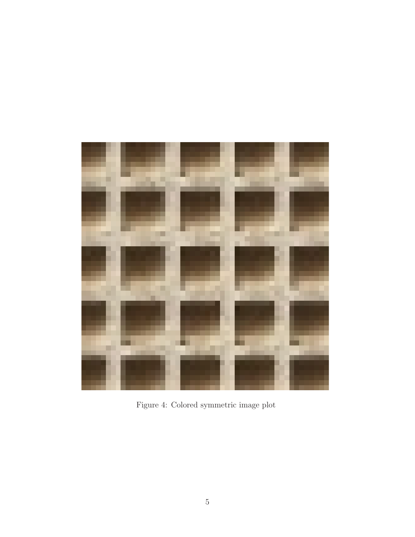

Figure 4: Colored symmetric image plot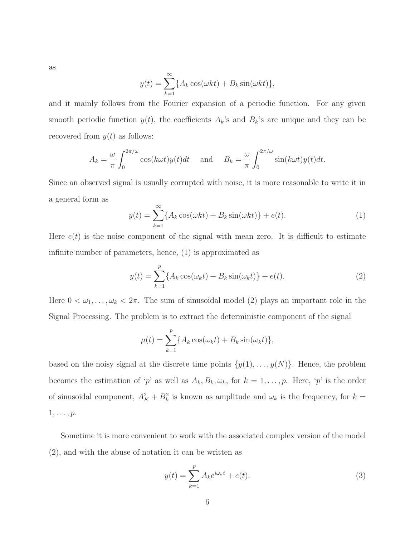as

$$
y(t) = \sum_{k=1}^{\infty} \{A_k \cos(\omega kt) + B_k \sin(\omega kt)\},\
$$

and it mainly follows from the Fourier expansion of a periodic function. For any given smooth periodic function  $y(t)$ , the coefficients  $A_k$ 's and  $B_k$ 's are unique and they can be recovered from  $y(t)$  as follows:

$$
A_k = \frac{\omega}{\pi} \int_0^{2\pi/\omega} \cos(k\omega t) y(t) dt \quad \text{and} \quad B_k = \frac{\omega}{\pi} \int_0^{2\pi/\omega} \sin(k\omega t) y(t) dt.
$$

Since an observed signal is usually corrupted with noise, it is more reasonable to write it in a general form as

$$
y(t) = \sum_{k=1}^{\infty} \{A_k \cos(\omega kt) + B_k \sin(\omega kt)\} + e(t).
$$
 (1)

Here  $e(t)$  is the noise component of the signal with mean zero. It is difficult to estimate infinite number of parameters, hence, (1) is approximated as

$$
y(t) = \sum_{k=1}^{p} \{ A_k \cos(\omega_k t) + B_k \sin(\omega_k t) \} + e(t).
$$
 (2)

Here  $0 < \omega_1, \ldots, \omega_k < 2\pi$ . The sum of sinusoidal model (2) plays an important role in the Signal Processing. The problem is to extract the deterministic component of the signal

$$
\mu(t) = \sum_{k=1}^{p} \{ A_k \cos(\omega_k t) + B_k \sin(\omega_k t) \},
$$

based on the noisy signal at the discrete time points  $\{y(1), \ldots, y(N)\}$ . Hence, the problem becomes the estimation of 'p' as well as  $A_k, B_k, \omega_k$ , for  $k = 1, \ldots, p$ . Here, 'p' is the order of sinusoidal component,  $A_K^2 + B_k^2$  is known as amplitude and  $\omega_k$  is the frequency, for  $k =$  $1, \ldots, p$ .

Sometime it is more convenient to work with the associated complex version of the model (2), and with the abuse of notation it can be written as

$$
y(t) = \sum_{k=1}^{p} A_k e^{i\omega_k t} + e(t).
$$
 (3)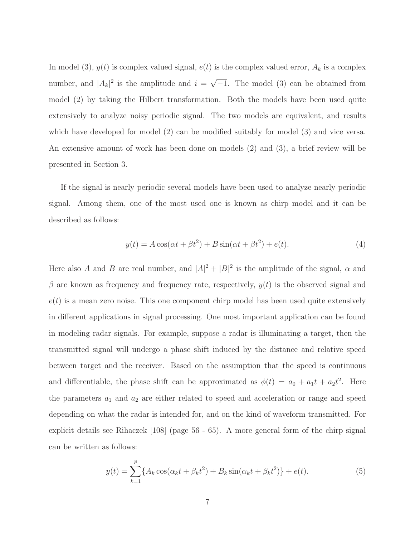In model (3),  $y(t)$  is complex valued signal,  $e(t)$  is the complex valued error,  $A_k$  is a complex number, and  $|A_k|^2$  is the amplitude and  $i = \sqrt{-1}$ . The model (3) can be obtained from model (2) by taking the Hilbert transformation. Both the models have been used quite extensively to analyze noisy periodic signal. The two models are equivalent, and results which have developed for model (2) can be modified suitably for model (3) and vice versa. An extensive amount of work has been done on models (2) and (3), a brief review will be presented in Section 3.

If the signal is nearly periodic several models have been used to analyze nearly periodic signal. Among them, one of the most used one is known as chirp model and it can be described as follows:

$$
y(t) = A\cos(\alpha t + \beta t^2) + B\sin(\alpha t + \beta t^2) + e(t).
$$
\n(4)

Here also A and B are real number, and  $|A|^2 + |B|^2$  is the amplitude of the signal,  $\alpha$  and  $\beta$  are known as frequency and frequency rate, respectively,  $y(t)$  is the observed signal and  $e(t)$  is a mean zero noise. This one component chirp model has been used quite extensively in different applications in signal processing. One most important application can be found in modeling radar signals. For example, suppose a radar is illuminating a target, then the transmitted signal will undergo a phase shift induced by the distance and relative speed between target and the receiver. Based on the assumption that the speed is continuous and differentiable, the phase shift can be approximated as  $\phi(t) = a_0 + a_1 t + a_2 t^2$ . Here the parameters  $a_1$  and  $a_2$  are either related to speed and acceleration or range and speed depending on what the radar is intended for, and on the kind of waveform transmitted. For explicit details see Rihaczek [108] (page 56 - 65). A more general form of the chirp signal can be written as follows:

$$
y(t) = \sum_{k=1}^{p} \{ A_k \cos(\alpha_k t + \beta_k t^2) + B_k \sin(\alpha_k t + \beta_k t^2) \} + e(t).
$$
 (5)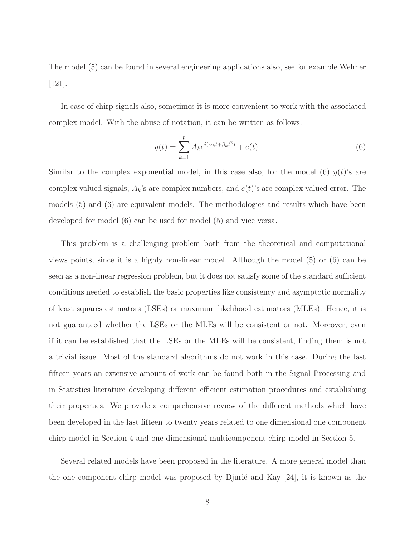The model (5) can be found in several engineering applications also, see for example Wehner  $|121|$ .

In case of chirp signals also, sometimes it is more convenient to work with the associated complex model. With the abuse of notation, it can be written as follows:

$$
y(t) = \sum_{k=1}^{p} A_k e^{i(\alpha_k t + \beta_k t^2)} + e(t).
$$
 (6)

Similar to the complex exponential model, in this case also, for the model (6)  $y(t)$ 's are complex valued signals,  $A_k$ 's are complex numbers, and  $e(t)$ 's are complex valued error. The models (5) and (6) are equivalent models. The methodologies and results which have been developed for model (6) can be used for model (5) and vice versa.

This problem is a challenging problem both from the theoretical and computational views points, since it is a highly non-linear model. Although the model (5) or (6) can be seen as a non-linear regression problem, but it does not satisfy some of the standard sufficient conditions needed to establish the basic properties like consistency and asymptotic normality of least squares estimators (LSEs) or maximum likelihood estimators (MLEs). Hence, it is not guaranteed whether the LSEs or the MLEs will be consistent or not. Moreover, even if it can be established that the LSEs or the MLEs will be consistent, finding them is not a trivial issue. Most of the standard algorithms do not work in this case. During the last fifteen years an extensive amount of work can be found both in the Signal Processing and in Statistics literature developing different efficient estimation procedures and establishing their properties. We provide a comprehensive review of the different methods which have been developed in the last fifteen to twenty years related to one dimensional one component chirp model in Section 4 and one dimensional multicomponent chirp model in Section 5.

Several related models have been proposed in the literature. A more general model than the one component chirp model was proposed by Djurić and Kay  $[24]$ , it is known as the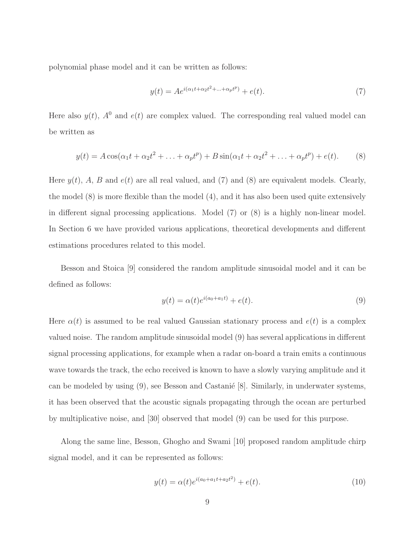polynomial phase model and it can be written as follows:

$$
y(t) = Ae^{i(\alpha_1 t + \alpha_2 t^2 + \dots + \alpha_p t^p)} + e(t).
$$
\n(7)

Here also  $y(t)$ ,  $A^0$  and  $e(t)$  are complex valued. The corresponding real valued model can be written as

$$
y(t) = A\cos(\alpha_1 t + \alpha_2 t^2 + \dots + \alpha_p t^p) + B\sin(\alpha_1 t + \alpha_2 t^2 + \dots + \alpha_p t^p) + e(t).
$$
 (8)

Here  $y(t)$ , A, B and  $e(t)$  are all real valued, and (7) and (8) are equivalent models. Clearly, the model (8) is more flexible than the model (4), and it has also been used quite extensively in different signal processing applications. Model (7) or (8) is a highly non-linear model. In Section 6 we have provided various applications, theoretical developments and different estimations procedures related to this model.

Besson and Stoica [9] considered the random amplitude sinusoidal model and it can be defined as follows:

$$
y(t) = \alpha(t)e^{i(a_0 + a_1t)} + e(t).
$$
\n(9)

Here  $\alpha(t)$  is assumed to be real valued Gaussian stationary process and  $e(t)$  is a complex valued noise. The random amplitude sinusoidal model (9) has several applications in different signal processing applications, for example when a radar on-board a train emits a continuous wave towards the track, the echo received is known to have a slowly varying amplitude and it can be modeled by using  $(9)$ , see Besson and Castanie  $[8]$ . Similarly, in underwater systems, it has been observed that the acoustic signals propagating through the ocean are perturbed by multiplicative noise, and [30] observed that model (9) can be used for this purpose.

Along the same line, Besson, Ghogho and Swami [10] proposed random amplitude chirp signal model, and it can be represented as follows:

$$
y(t) = \alpha(t)e^{i(a_0 + a_1t + a_2t^2)} + e(t).
$$
\n(10)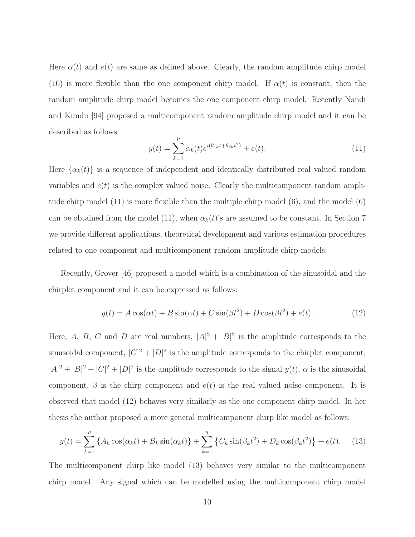Here  $\alpha(t)$  and  $e(t)$  are same as defined above. Clearly, the random amplitude chirp model (10) is more flexible than the one component chirp model. If  $\alpha(t)$  is constant, then the random amplitude chirp model becomes the one component chirp model. Recently Nandi and Kundu [94] proposed a multicomponent random amplitude chirp model and it can be described as follows:

$$
y(t) = \sum_{k=1}^{p} \alpha_k(t) e^{i(\theta_{1k}t + \theta_{2k}t^2)} + e(t).
$$
 (11)

Here  $\{\alpha_k(t)\}\$ is a sequence of independent and identically distributed real valued random variables and  $e(t)$  is the complex valued noise. Clearly the multicomponent random amplitude chirp model (11) is more flexible than the multiple chirp model (6), and the model (6) can be obtained from the model (11), when  $\alpha_k(t)$ 's are assumed to be constant. In Section 7 we provide different applications, theoretical development and various estimation procedures related to one component and multicomponent random amplitude chirp models.

Recently, Grover [46] proposed a model which is a combination of the sinusoidal and the chirplet component and it can be expressed as follows:

$$
y(t) = A\cos(\alpha t) + B\sin(\alpha t) + C\sin(\beta t^2) + D\cos(\beta t^2) + e(t).
$$
 (12)

Here, A, B, C and D are real numbers,  $|A|^2 + |B|^2$  is the amplitude corresponds to the sinusoidal component,  $|C|^2 + |D|^2$  is the amplitude corresponds to the chirplet component,  $|A|^2 + |B|^2 + |C|^2 + |D|^2$  is the amplitude corresponds to the signal  $y(t)$ ,  $\alpha$  is the sinusoidal component,  $\beta$  is the chirp component and  $e(t)$  is the real valued noise component. It is observed that model (12) behaves very similarly as the one component chirp model. In her thesis the author proposed a more general multicomponent chirp like model as follows:

$$
y(t) = \sum_{k=1}^{p} \left\{ A_k \cos(\alpha_k t) + B_k \sin(\alpha_k t) \right\} + \sum_{k=1}^{q} \left\{ C_k \sin(\beta_k t^2) + D_k \cos(\beta_k t^2) \right\} + e(t). \tag{13}
$$

The multicomponent chirp like model (13) behaves very similar to the multicomponent chirp model. Any signal which can be modelled using the multicomponent chirp model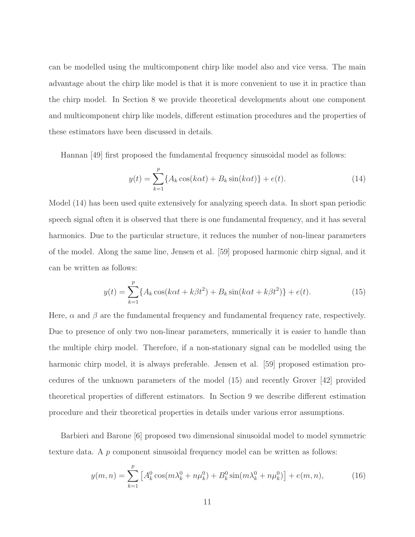can be modelled using the multicomponent chirp like model also and vice versa. The main advantage about the chirp like model is that it is more convenient to use it in practice than the chirp model. In Section 8 we provide theoretical developments about one component and multicomponent chirp like models, different estimation procedures and the properties of these estimators have been discussed in details.

Hannan [49] first proposed the fundamental frequency sinusoidal model as follows:

$$
y(t) = \sum_{k=1}^{p} \{A_k \cos(k\alpha t) + B_k \sin(k\alpha t)\} + e(t).
$$
 (14)

Model (14) has been used quite extensively for analyzing speech data. In short span periodic speech signal often it is observed that there is one fundamental frequency, and it has several harmonics. Due to the particular structure, it reduces the number of non-linear parameters of the model. Along the same line, Jensen et al. [59] proposed harmonic chirp signal, and it can be written as follows:

$$
y(t) = \sum_{k=1}^{p} \{ A_k \cos(k\alpha t + k\beta t^2) + B_k \sin(k\alpha t + k\beta t^2) \} + e(t).
$$
 (15)

Here,  $\alpha$  and  $\beta$  are the fundamental frequency and fundamental frequency rate, respectively. Due to presence of only two non-linear parameters, numerically it is easier to handle than the multiple chirp model. Therefore, if a non-stationary signal can be modelled using the harmonic chirp model, it is always preferable. Jensen et al. [59] proposed estimation procedures of the unknown parameters of the model (15) and recently Grover [42] provided theoretical properties of different estimators. In Section 9 we describe different estimation procedure and their theoretical properties in details under various error assumptions.

Barbieri and Barone [6] proposed two dimensional sinusoidal model to model symmetric texture data. A p component sinusoidal frequency model can be written as follows:

$$
y(m,n) = \sum_{k=1}^{p} \left[ A_k^0 \cos(m\lambda_k^0 + n\mu_k^0) + B_k^0 \sin(m\lambda_k^0 + n\mu_k^0) \right] + e(m,n), \tag{16}
$$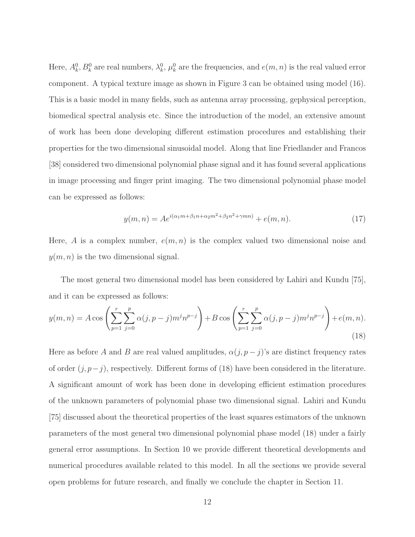Here,  $A_k^0$ ,  $B_k^0$  are real numbers,  $\lambda_k^0$ ,  $\mu_k^0$  are the frequencies, and  $e(m, n)$  is the real valued error component. A typical texture image as shown in Figure 3 can be obtained using model (16). This is a basic model in many fields, such as antenna array processing, gephysical perception, biomedical spectral analysis etc. Since the introduction of the model, an extensive amount of work has been done developing different estimation procedures and establishing their properties for the two dimensional sinusoidal model. Along that line Friedlander and Francos [38] considered two dimensional polynomial phase signal and it has found several applications in image processing and finger print imaging. The two dimensional polynomial phase model can be expressed as follows:

$$
y(m,n) = Ae^{i(\alpha_1 m + \beta_1 n + \alpha_2 m^2 + \beta_2 n^2 + \gamma mn)} + e(m,n).
$$
 (17)

Here, A is a complex number,  $e(m, n)$  is the complex valued two dimensional noise and  $y(m, n)$  is the two dimensional signal.

The most general two dimensional model has been considered by Lahiri and Kundu [75], and it can be expressed as follows:

$$
y(m,n) = A\cos\left(\sum_{p=1}^{r}\sum_{j=0}^{p}\alpha(j,p-j)m^{j}n^{p-j}\right) + B\cos\left(\sum_{p=1}^{r}\sum_{j=0}^{p}\alpha(j,p-j)m^{j}n^{p-j}\right) + e(m,n).
$$
\n(18)

Here as before A and B are real valued amplitudes,  $\alpha(j, p - j)$ 's are distinct frequency rates of order  $(j, p-j)$ , respectively. Different forms of (18) have been considered in the literature. A significant amount of work has been done in developing efficient estimation procedures of the unknown parameters of polynomial phase two dimensional signal. Lahiri and Kundu [75] discussed about the theoretical properties of the least squares estimators of the unknown parameters of the most general two dimensional polynomial phase model (18) under a fairly general error assumptions. In Section 10 we provide different theoretical developments and numerical procedures available related to this model. In all the sections we provide several open problems for future research, and finally we conclude the chapter in Section 11.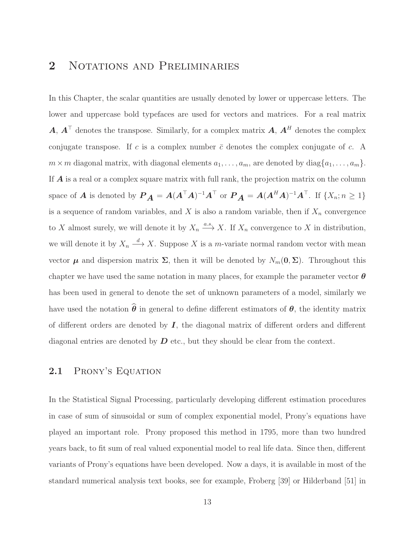## 2 NOTATIONS AND PRELIMINARIES

In this Chapter, the scalar quantities are usually denoted by lower or uppercase letters. The lower and uppercase bold typefaces are used for vectors and matrices. For a real matrix  $\bm{A}, \bm{A}^{\mathsf{T}}$  denotes the transpose. Similarly, for a complex matrix  $\bm{A}, \bm{A}^H$  denotes the complex conjugate transpose. If c is a complex number  $\bar{c}$  denotes the complex conjugate of c. A  $m \times m$  diagonal matrix, with diagonal elements  $a_1, \ldots, a_m$ , are denoted by diag $\{a_1, \ldots, a_m\}$ . If **A** is a real or a complex square matrix with full rank, the projection matrix on the column space of A is denoted by  $\boldsymbol{P}_{\boldsymbol{A}} = \boldsymbol{A}(\boldsymbol{A}^\top \boldsymbol{A})^{-1} \boldsymbol{A}^\top$  or  $\boldsymbol{P}_{\boldsymbol{A}} = \boldsymbol{A}(\boldsymbol{A}^H \boldsymbol{A})^{-1} \boldsymbol{A}^\top$ . If  $\{X_n; n \geq 1\}$ is a sequence of random variables, and  $X$  is also a random variable, then if  $X_n$  convergence to X almost surely, we will denote it by  $X_n \xrightarrow{a.s.} X$ . If  $X_n$  convergence to X in distribution, we will denote it by  $X_n \longrightarrow X$ . Suppose X is a m-variate normal random vector with mean vector  $\mu$  and dispersion matrix  $\Sigma$ , then it will be denoted by  $N_m(0, \Sigma)$ . Throughout this chapter we have used the same notation in many places, for example the parameter vector  $\theta$ has been used in general to denote the set of unknown parameters of a model, similarly we have used the notation  $\hat{\theta}$  in general to define different estimators of  $\theta$ , the identity matrix of different orders are denoted by  $I$ , the diagonal matrix of different orders and different diagonal entries are denoted by  $D$  etc., but they should be clear from the context.

### 2.1 PRONY'S EQUATION

In the Statistical Signal Processing, particularly developing different estimation procedures in case of sum of sinusoidal or sum of complex exponential model, Prony's equations have played an important role. Prony proposed this method in 1795, more than two hundred years back, to fit sum of real valued exponential model to real life data. Since then, different variants of Prony's equations have been developed. Now a days, it is available in most of the standard numerical analysis text books, see for example, Froberg [39] or Hilderband [51] in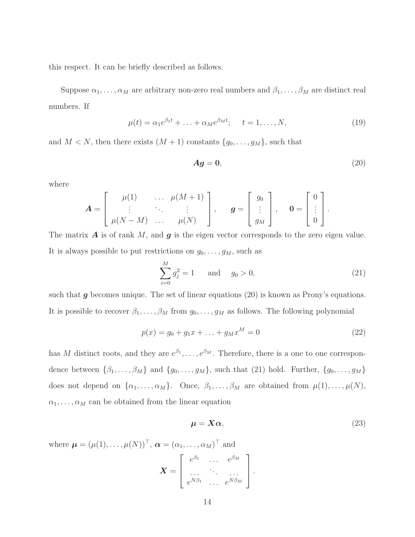this respect. It can be briefly described as follows.

Suppose  $\alpha_1, \ldots, \alpha_M$  are arbitrary non-zero real numbers and  $\beta_1, \ldots, \beta_M$  are distinct real numbers. If

$$
\mu(t) = \alpha_1 e^{\beta_1 t} + \ldots + \alpha_M e^{\beta_M t}; \quad t = 1, \ldots, N,
$$
\n(19)

and  $M < N$ , then there exists  $(M + 1)$  constants  $\{g_0, \ldots, g_M\}$ , such that

$$
Ag = 0,\t(20)
$$

where

$$
\mathbf{A} = \left[ \begin{array}{ccc} \mu(1) & \cdots & \mu(M+1) \\ \vdots & \ddots & \vdots \\ \mu(N-M) & \cdots & \mu(N) \end{array} \right], \quad \mathbf{g} = \left[ \begin{array}{c} g_0 \\ \vdots \\ g_M \end{array} \right], \quad \mathbf{0} = \left[ \begin{array}{c} 0 \\ \vdots \\ 0 \end{array} \right].
$$

The matrix  $\bm{A}$  is of rank  $M$ , and  $\bm{g}$  is the eigen vector corresponds to the zero eigen value. It is always possible to put restrictions on  $g_0, \ldots, g_M$ , such as

$$
\sum_{i=0}^{M} g_j^2 = 1 \quad \text{and} \quad g_0 > 0,
$$
\n(21)

such that  $g$  becomes unique. The set of linear equations (20) is known as Prony's equations. It is possible to recover  $\beta_1, \ldots, \beta_M$  from  $g_0, \ldots, g_M$  as follows. The following polynomial

$$
p(x) = g_0 + g_1 x + \ldots + g_M x^M = 0
$$
\n(22)

has M distinct roots, and they are  $e^{\beta_1}, \ldots, e^{\beta_M}$ . Therefore, there is a one to one correspondence between  $\{\beta_1, \ldots, \beta_M\}$  and  $\{g_0, \ldots, g_M\}$ , such that (21) hold. Further,  $\{g_0, \ldots, g_M\}$ does not depend on  $\{\alpha_1, \ldots, \alpha_M\}$ . Once,  $\beta_1, \ldots, \beta_M$  are obtained from  $\mu(1), \ldots, \mu(N)$ ,  $\alpha_1, \ldots, \alpha_M$  can be obtained from the linear equation

$$
\mu = X\alpha, \tag{23}
$$

where  $\boldsymbol{\mu} = (\mu(1), \ldots, \mu(N))^{\top}, \boldsymbol{\alpha} = (\alpha_1, \ldots, \alpha_M)^{\top}$  and

$$
\boldsymbol{X} = \left[ \begin{array}{ccc} e^{\beta_1} & \ldots & e^{\beta_M} \\ \ldots & \ddots & \ldots \\ e^{N\beta_1} & \ldots & e^{N\beta_M} \end{array} \right].
$$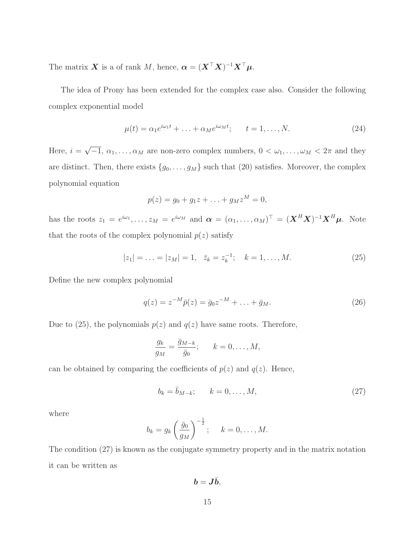The matrix  $\boldsymbol{X}$  is a of rank  $M$ , hence,  $\boldsymbol{\alpha} = (\boldsymbol{X}^{\top} \boldsymbol{X})^{-1} \boldsymbol{X}^{\top} \boldsymbol{\mu}$ .

The idea of Prony has been extended for the complex case also. Consider the following complex exponential model

$$
\mu(t) = \alpha_1 e^{i\omega_1 t} + \ldots + \alpha_M e^{i\omega_M t}; \qquad t = 1, \ldots, N. \tag{24}
$$

Here,  $i = \sqrt{-1}$ ,  $\alpha_1, \ldots, \alpha_M$  are non-zero complex numbers,  $0 < \omega_1, \ldots, \omega_M < 2\pi$  and they are distinct. Then, there exists  $\{g_0, \ldots, g_M\}$  such that (20) satisfies. Moreover, the complex polynomial equation

$$
p(z) = g_0 + g_1 z + \ldots + g_M z^M = 0,
$$

has the roots  $z_1 = e^{i\omega_1}, \ldots, z_M = e^{i\omega_M}$  and  $\boldsymbol{\alpha} = (\alpha_1, \ldots, \alpha_M)^\top = (\boldsymbol{X}^H \boldsymbol{X})^{-1} \boldsymbol{X}^H \boldsymbol{\mu}$ . Note that the roots of the complex polynomial  $p(z)$  satisfy

$$
|z_1| = \ldots = |z_M| = 1, \quad \bar{z}_k = z_k^{-1}; \quad k = 1, \ldots, M. \tag{25}
$$

Define the new complex polynomial

$$
q(z) = z^{-M}\bar{p}(z) = \bar{g}_0 z^{-M} + \dots + \bar{g}_M.
$$
 (26)

Due to (25), the polynomials  $p(z)$  and  $q(z)$  have same roots. Therefore,

$$
\frac{g_k}{g_M} = \frac{\bar{g}_{M-k}}{\bar{g}_0}; \qquad k = 0, \dots, M,
$$

can be obtained by comparing the coefficients of  $p(z)$  and  $q(z)$ . Hence,

$$
b_k = \bar{b}_{M-k}; \qquad k = 0, \dots, M,
$$
\n
$$
(27)
$$

where

$$
b_k = g_k \left(\frac{\bar{g}_0}{g_M}\right)^{-\frac{1}{2}}; \quad k = 0, \dots, M.
$$

The condition (27) is known as the conjugate symmetry property and in the matrix notation it can be written as

 $b = J\bar{b}$ ,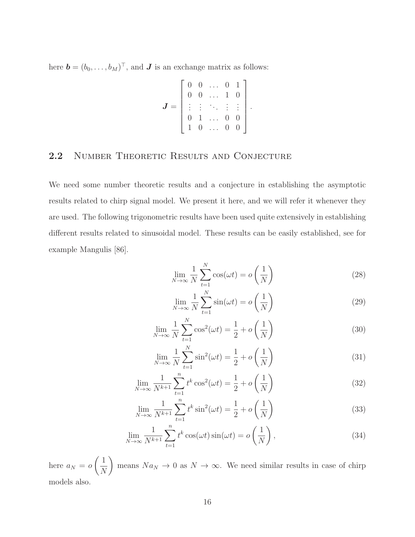here  $\mathbf{b} = (b_0, \ldots, b_M)^\top$ , and  $\mathbf{J}$  is an exchange matrix as follows:

$$
\boldsymbol{J} = \left[ \begin{array}{cccc} 0 & 0 & \dots & 0 & 1 \\ 0 & 0 & \dots & 1 & 0 \\ \vdots & \vdots & \ddots & \vdots & \vdots \\ 0 & 1 & \dots & 0 & 0 \\ 1 & 0 & \dots & 0 & 0 \end{array} \right]
$$

.

#### 2.2 NUMBER THEORETIC RESULTS AND CONJECTURE

We need some number theoretic results and a conjecture in establishing the asymptotic results related to chirp signal model. We present it here, and we will refer it whenever they are used. The following trigonometric results have been used quite extensively in establishing different results related to sinusoidal model. These results can be easily established, see for example Mangulis [86].

$$
\lim_{N \to \infty} \frac{1}{N} \sum_{t=1}^{N} \cos(\omega t) = o\left(\frac{1}{N}\right)
$$
\n(28)

$$
\lim_{N \to \infty} \frac{1}{N} \sum_{t=1}^{N} \sin(\omega t) = o\left(\frac{1}{N}\right)
$$
\n(29)

$$
\lim_{N \to \infty} \frac{1}{N} \sum_{t=1}^{N} \cos^2(\omega t) = \frac{1}{2} + o\left(\frac{1}{N}\right)
$$
\n(30)

$$
\lim_{N \to \infty} \frac{1}{N} \sum_{t=1}^{N} \sin^2(\omega t) = \frac{1}{2} + o\left(\frac{1}{N}\right)
$$
\n(31)

$$
\lim_{N \to \infty} \frac{1}{N^{k+1}} \sum_{t=1}^{n} t^k \cos^2(\omega t) = \frac{1}{2} + o\left(\frac{1}{N}\right)
$$
 (32)

$$
\lim_{N \to \infty} \frac{1}{N^{k+1}} \sum_{t=1}^{n} t^k \sin^2(\omega t) = \frac{1}{2} + o\left(\frac{1}{N}\right)
$$
\n(33)

$$
\lim_{N \to \infty} \frac{1}{N^{k+1}} \sum_{t=1}^{n} t^k \cos(\omega t) \sin(\omega t) = o\left(\frac{1}{N}\right),\tag{34}
$$

here  $a_N = o$  $\left(1\right)$  $\overline{N}$  $\setminus$ means  $Na_N \to 0$  as  $N \to \infty$ . We need similar results in case of chirp models also.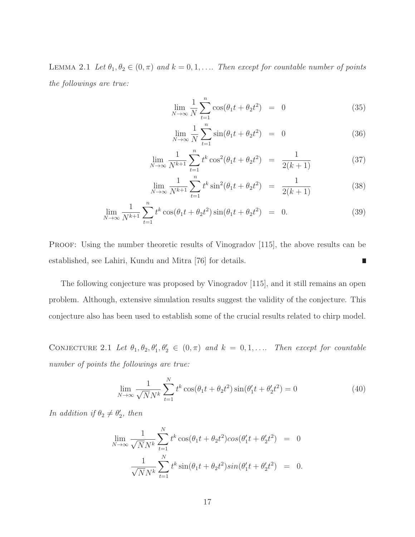LEMMA 2.1 Let  $\theta_1, \theta_2 \in (0, \pi)$  and  $k = 0, 1, \ldots$  Then except for countable number of points the followings are true:

$$
\lim_{N \to \infty} \frac{1}{N} \sum_{t=1}^{n} \cos(\theta_1 t + \theta_2 t^2) = 0
$$
\n(35)

$$
\lim_{N \to \infty} \frac{1}{N} \sum_{t=1}^{n} \sin(\theta_1 t + \theta_2 t^2) = 0
$$
\n(36)

$$
\lim_{N \to \infty} \frac{1}{N^{k+1}} \sum_{t=1}^{n} t^k \cos^2(\theta_1 t + \theta_2 t^2) = \frac{1}{2(k+1)}
$$
(37)

$$
\lim_{N \to \infty} \frac{1}{N^{k+1}} \sum_{t=1}^{n} t^k \sin^2(\theta_1 t + \theta_2 t^2) = \frac{1}{2(k+1)}
$$
 (38)

$$
\lim_{N \to \infty} \frac{1}{N^{k+1}} \sum_{t=1}^{n} t^k \cos(\theta_1 t + \theta_2 t^2) \sin(\theta_1 t + \theta_2 t^2) = 0.
$$
 (39)

PROOF: Using the number theoretic results of Vinogradov [115], the above results can be established, see Lahiri, Kundu and Mitra [76] for details.  $\Box$ 

The following conjecture was proposed by Vinogradov [115], and it still remains an open problem. Although, extensive simulation results suggest the validity of the conjecture. This conjecture also has been used to establish some of the crucial results related to chirp model.

CONJECTURE 2.1 Let  $\theta_1, \theta_2, \theta'_1, \theta'_2 \in (0, \pi)$  and  $k = 0, 1, \ldots$  Then except for countable number of points the followings are true:

$$
\lim_{N \to \infty} \frac{1}{\sqrt{N}N^k} \sum_{t=1}^{N} t^k \cos(\theta_1 t + \theta_2 t^2) \sin(\theta_1' t + \theta_2' t^2) = 0
$$
\n(40)

In addition if  $\theta_2 \neq \theta_2'$  $'_{2}$ , then

$$
\lim_{N \to \infty} \frac{1}{\sqrt{N}N^k} \sum_{t=1}^N t^k \cos(\theta_1 t + \theta_2 t^2) \cos(\theta_1' t + \theta_2' t^2) = 0
$$
  

$$
\frac{1}{\sqrt{N}N^k} \sum_{t=1}^N t^k \sin(\theta_1 t + \theta_2 t^2) \sin(\theta_1' t + \theta_2' t^2) = 0.
$$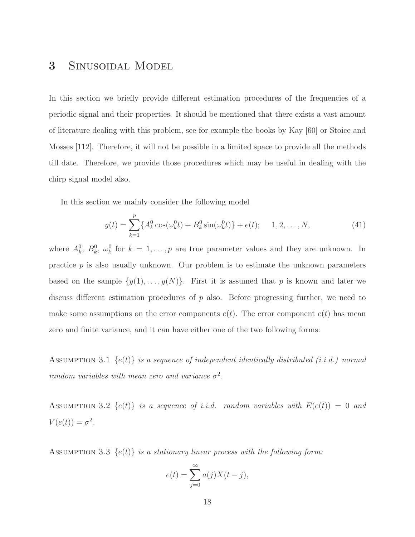## 3 Sinusoidal Model

In this section we briefly provide different estimation procedures of the frequencies of a periodic signal and their properties. It should be mentioned that there exists a vast amount of literature dealing with this problem, see for example the books by Kay [60] or Stoice and Mosses [112]. Therefore, it will not be possible in a limited space to provide all the methods till date. Therefore, we provide those procedures which may be useful in dealing with the chirp signal model also.

In this section we mainly consider the following model

$$
y(t) = \sum_{k=1}^{p} \{A_k^0 \cos(\omega_k^0 t) + B_k^0 \sin(\omega_k^0 t)\} + e(t); \quad 1, 2, \dots, N,
$$
 (41)

where  $A_k^0$ ,  $B_k^0$ ,  $\omega_k^0$  for  $k = 1, ..., p$  are true parameter values and they are unknown. In practice  $p$  is also usually unknown. Our problem is to estimate the unknown parameters based on the sample  $\{y(1), \ldots, y(N)\}$ . First it is assumed that p is known and later we discuss different estimation procedures of  $p$  also. Before progressing further, we need to make some assumptions on the error components  $e(t)$ . The error component  $e(t)$  has mean zero and finite variance, and it can have either one of the two following forms:

ASSUMPTION 3.1  $\{e(t)\}\$ is a sequence of independent identically distributed (i.i.d.) normal random variables with mean zero and variance  $\sigma^2$ .

ASSUMPTION 3.2  $\{e(t)\}\$ is a sequence of i.i.d. random variables with  $E(e(t)) = 0$  and  $V(e(t)) = \sigma^2$ .

ASSUMPTION 3.3  $\{e(t)\}\$ is a stationary linear process with the following form:

$$
e(t) = \sum_{j=0}^{\infty} a(j)X(t-j),
$$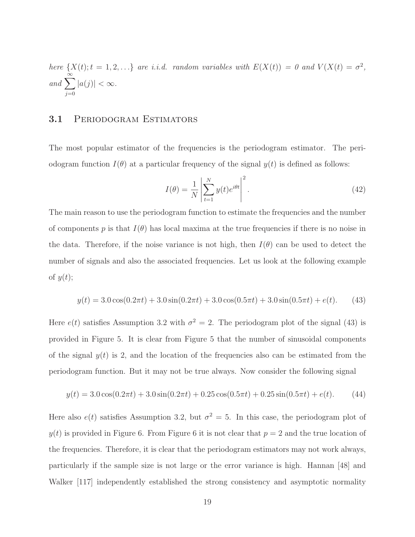here 
$$
\{X(t); t = 1, 2, \ldots\}
$$
 are *i.i.d.* random variables with  $E(X(t)) = 0$  and  $V(X(t) = \sigma^2$ , and  $\sum_{j=0}^{\infty} |a(j)| < \infty$ .

#### 3.1 PERIODOGRAM ESTIMATORS

The most popular estimator of the frequencies is the periodogram estimator. The periodogram function  $I(\theta)$  at a particular frequency of the signal  $y(t)$  is defined as follows:

$$
I(\theta) = \frac{1}{N} \left| \sum_{t=1}^{N} y(t) e^{i\theta t} \right|^2.
$$
 (42)

The main reason to use the periodogram function to estimate the frequencies and the number of components p is that  $I(\theta)$  has local maxima at the true frequencies if there is no noise in the data. Therefore, if the noise variance is not high, then  $I(\theta)$  can be used to detect the number of signals and also the associated frequencies. Let us look at the following example of  $y(t)$ ;

$$
y(t) = 3.0\cos(0.2\pi t) + 3.0\sin(0.2\pi t) + 3.0\cos(0.5\pi t) + 3.0\sin(0.5\pi t) + e(t).
$$
 (43)

Here  $e(t)$  satisfies Assumption 3.2 with  $\sigma^2 = 2$ . The periodogram plot of the signal (43) is provided in Figure 5. It is clear from Figure 5 that the number of sinusoidal components of the signal  $y(t)$  is 2, and the location of the frequencies also can be estimated from the periodogram function. But it may not be true always. Now consider the following signal

$$
y(t) = 3.0\cos(0.2\pi t) + 3.0\sin(0.2\pi t) + 0.25\cos(0.5\pi t) + 0.25\sin(0.5\pi t) + e(t).
$$
 (44)

Here also  $e(t)$  satisfies Assumption 3.2, but  $\sigma^2 = 5$ . In this case, the periodogram plot of  $y(t)$  is provided in Figure 6. From Figure 6 it is not clear that  $p = 2$  and the true location of the frequencies. Therefore, it is clear that the periodogram estimators may not work always, particularly if the sample size is not large or the error variance is high. Hannan [48] and Walker [117] independently established the strong consistency and asymptotic normality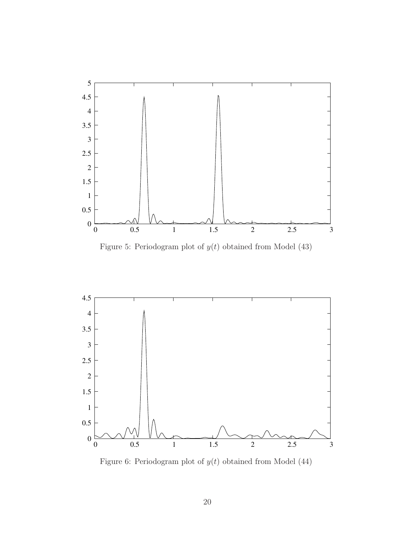

Figure 5: Periodogram plot of  $y(t)$  obtained from Model (43)



Figure 6: Periodogram plot of  $y(t)$  obtained from Model (44)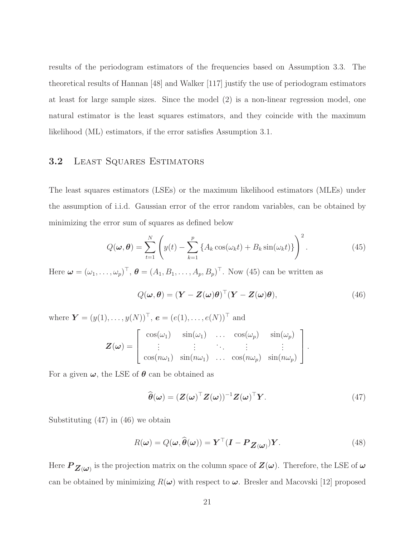results of the periodogram estimators of the frequencies based on Assumption 3.3. The theoretical results of Hannan [48] and Walker [117] justify the use of periodogram estimators at least for large sample sizes. Since the model (2) is a non-linear regression model, one natural estimator is the least squares estimators, and they coincide with the maximum likelihood (ML) estimators, if the error satisfies Assumption 3.1.

#### 3.2 Least Squares Estimators

The least squares estimators (LSEs) or the maximum likelihood estimators (MLEs) under the assumption of i.i.d. Gaussian error of the error random variables, can be obtained by minimizing the error sum of squares as defined below

$$
Q(\boldsymbol{\omega}, \boldsymbol{\theta}) = \sum_{t=1}^{N} \left( y(t) - \sum_{k=1}^{p} \left\{ A_k \cos(\omega_k t) + B_k \sin(\omega_k t) \right\} \right)^2.
$$
 (45)

Here  $\boldsymbol{\omega} = (\omega_1, \ldots, \omega_p)^\top$ ,  $\boldsymbol{\theta} = (A_1, B_1, \ldots, A_p, B_p)^\top$ . Now (45) can be written as

$$
Q(\boldsymbol{\omega}, \boldsymbol{\theta}) = (\boldsymbol{Y} - \boldsymbol{Z}(\boldsymbol{\omega})\boldsymbol{\theta})^{\top} (\boldsymbol{Y} - \boldsymbol{Z}(\boldsymbol{\omega})\boldsymbol{\theta}),
$$
\n(46)

1

where  $\bm{Y} = (y(1), \ldots, y(N))^\top$ ,  $\bm{e} = (e(1), \ldots, e(N))^\top$  and  $\sqrt{ }$  $cos(\omega_1)$   $sin(\omega_1)$  ...  $cos(\omega_p)$   $sin(\omega_p)$ 

$$
\boldsymbol{Z}(\boldsymbol{\omega}) = \begin{bmatrix} \vdots & \vdots & \ddots & \vdots \\ \cos(n\omega_1) & \sin(n\omega_1) & \dots & \cos(n\omega_p) & \sin(n\omega_p) \end{bmatrix}.
$$

For a given  $\omega$ , the LSE of  $\theta$  can be obtained as

$$
\widehat{\boldsymbol{\theta}}(\boldsymbol{\omega}) = (\boldsymbol{Z}(\boldsymbol{\omega})^{\top} \boldsymbol{Z}(\boldsymbol{\omega}))^{-1} \boldsymbol{Z}(\boldsymbol{\omega})^{\top} \boldsymbol{Y}.
$$
\n(47)

Substituting (47) in (46) we obtain

$$
R(\boldsymbol{\omega}) = Q(\boldsymbol{\omega}, \widehat{\boldsymbol{\theta}}(\boldsymbol{\omega})) = \boldsymbol{Y}^{\top} (\boldsymbol{I} - \boldsymbol{P}_{\boldsymbol{Z}(\boldsymbol{\omega})}) \boldsymbol{Y}.
$$
 (48)

Here  $P_{\bm{Z}(\bm{\omega})}$  is the projection matrix on the column space of  $\bm{Z}(\bm{\omega})$ . Therefore, the LSE of  $\bm{\omega}$ can be obtained by minimizing  $R(\omega)$  with respect to  $\omega$ . Bresler and Macovski [12] proposed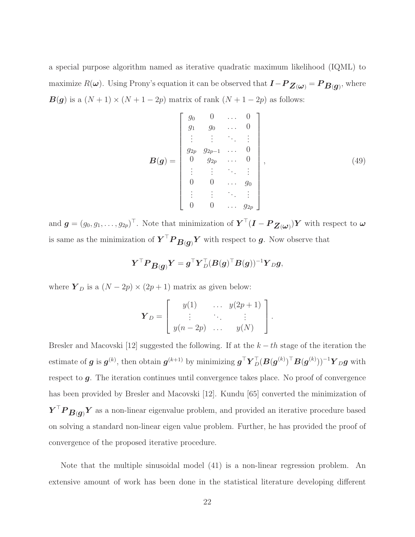a special purpose algorithm named as iterative quadratic maximum likelihood (IQML) to maximize  $R(\bm{\omega})$ . Using Prony's equation it can be observed that  $\bm{I} - \bm{P}_{\bm{Z}(\bm{\omega})} = \bm{P}_{\bm{B}(\bm{g})}$ , where  $\mathbf{B}(\mathbf{g})$  is a  $(N+1) \times (N+1-2p)$  matrix of rank  $(N+1-2p)$  as follows:

$$
\boldsymbol{B}(\boldsymbol{g}) = \begin{bmatrix} g_0 & 0 & \dots & 0 \\ g_1 & g_0 & \dots & 0 \\ \vdots & \vdots & \ddots & \vdots \\ g_{2p} & g_{2p-1} & \dots & 0 \\ 0 & g_{2p} & \dots & 0 \\ \vdots & \vdots & \ddots & \vdots \\ 0 & 0 & \dots & g_0 \\ \vdots & \vdots & \ddots & \vdots \\ 0 & 0 & \dots & g_{2p} \end{bmatrix},
$$
(49)

and  $g = (g_0, g_1, \dots, g_{2p})^{\top}$ . Note that minimization of  $\boldsymbol{Y}^{\top}(\boldsymbol{I} - \boldsymbol{P}_{\boldsymbol{Z}(\boldsymbol{\omega})})\boldsymbol{Y}$  with respect to  $\boldsymbol{\omega}$ is same as the minimization of  $\boldsymbol{Y}^\top \boldsymbol{P}_{\boldsymbol{B}(\boldsymbol{g})} \boldsymbol{Y}$  with respect to  $\boldsymbol{g}$ . Now observe that

$$
\boldsymbol{Y}^\top \boldsymbol{P} \boldsymbol{B}(\boldsymbol{g}) \boldsymbol{Y} = \boldsymbol{g}^\top \boldsymbol{Y}_D^\top (\boldsymbol{B}(\boldsymbol{g})^\top \boldsymbol{B}(\boldsymbol{g}))^{-1} \boldsymbol{Y}_D \boldsymbol{g},
$$

where  $\boldsymbol{Y}_D$  is a  $(N-2p)\times(2p+1)$  matrix as given below:

$$
\boldsymbol{Y}_D = \left[ \begin{array}{ccc} y(1) & \cdots & y(2p+1) \\ \vdots & \ddots & \vdots \\ y(n-2p) & \cdots & y(N) \end{array} \right].
$$

Bresler and Macovski [12] suggested the following. If at the  $k - th$  stage of the iteration the estimate of  $g$  is  $g^{(k)}$ , then obtain  $g^{(k+1)}$  by minimizing  $g^{\top} Y_D^{\top} (B(g^{(k)})^{\top} B(g^{(k)}))^{-1} Y_D g$  with respect to  $g$ . The iteration continues until convergence takes place. No proof of convergence has been provided by Bresler and Macovski [12]. Kundu [65] converted the minimization of  $Y^{\top}P_{B(g)}Y$  as a non-linear eigenvalue problem, and provided an iterative procedure based on solving a standard non-linear eigen value problem. Further, he has provided the proof of convergence of the proposed iterative procedure.

Note that the multiple sinusoidal model (41) is a non-linear regression problem. An extensive amount of work has been done in the statistical literature developing different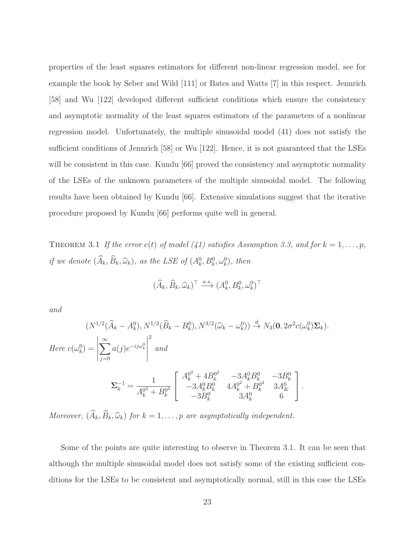properties of the least squares estimators for different non-linear regression model, see for example the book by Seber and Wild [111] or Bates and Watts [7] in this respect. Jennrich [58] and Wu [122] developed different sufficient conditions which ensure the consistency and asymptotic normality of the least squares estimators of the parameters of a nonlinear regression model. Unfortunately, the multiple sinusoidal model (41) does not satisfy the sufficient conditions of Jennrich [58] or Wu [122]. Hence, it is not guaranteed that the LSEs will be consistent in this case. Kundu [66] proved the consistency and asymptotic normality of the LSEs of the unknown parameters of the multiple sinusoidal model. The following results have been obtained by Kundu [66]. Extensive simulations suggest that the iterative procedure proposed by Kundu [66] performs quite well in general.

THEOREM 3.1 If the error  $e(t)$  of model (41) satisfies Assumption 3.3, and for  $k = 1, ..., p$ , if we denote  $(\widehat{A}_k, \widehat{B}_k, \widehat{\omega}_k)$ , as the LSE of  $(A_k^0, B_k^0, \omega_k^0)$ , then

$$
(\widehat{A}_k, \widehat{B}_k, \widehat{\omega}_k)^{\top} \xrightarrow{a.s.} (A_k^0, B_k^0, \omega_k^0)^{\top}
$$

and

$$
(N^{1/2}(\widehat{A}_k - A_k^0), N^{1/2}(\widehat{B}_k - B_k^0), N^{3/2}(\widehat{\omega}_k - \omega_k^0)) \stackrel{d}{\to} N_3(\mathbf{0}, 2\sigma^2 c(\omega_k^0)\mathbf{\Sigma}_k).
$$
  
Here  $c(\omega_k^0) = \left| \sum_{j=0}^{\infty} a(j)e^{-ij\omega_k^0} \right|^2$  and  

$$
\Sigma_k^{-1} = \frac{1}{A_k^{0^2} + B_k^{0^2}} \begin{bmatrix} A_k^{0^2} + 4B_k^{0^2} & -3A_k^0 B_k^0 & -3B_k^0 \\ -3A_k^0 B_k^0 & 4A_k^{0^2} + B_k^{0^2} & 3A_k^0 \\ -3B_k^0 & 3A_k^0 & 6 \end{bmatrix}.
$$

Moreover,  $(\widehat{A}_k, \widehat{B}_k, \widehat{\omega}_k)$  for  $k = 1, \ldots, p$  are asymptotically independent.

Some of the points are quite interesting to observe in Theorem 3.1. It can be seen that although the multiple sinusoidal model does not satisfy some of the existing sufficient conditions for the LSEs to be consistent and asymptotically normal, still in this case the LSEs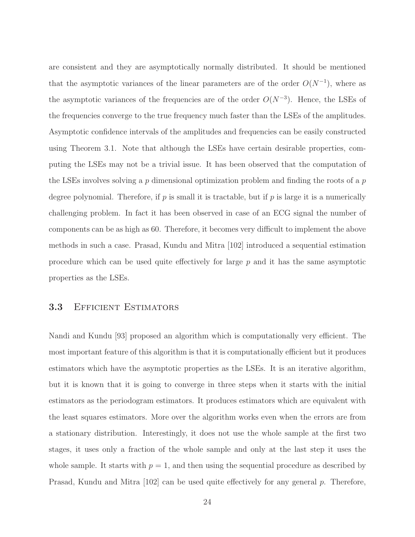are consistent and they are asymptotically normally distributed. It should be mentioned that the asymptotic variances of the linear parameters are of the order  $O(N^{-1})$ , where as the asymptotic variances of the frequencies are of the order  $O(N^{-3})$ . Hence, the LSEs of the frequencies converge to the true frequency much faster than the LSEs of the amplitudes. Asymptotic confidence intervals of the amplitudes and frequencies can be easily constructed using Theorem 3.1. Note that although the LSEs have certain desirable properties, computing the LSEs may not be a trivial issue. It has been observed that the computation of the LSEs involves solving a p dimensional optimization problem and finding the roots of a p degree polynomial. Therefore, if  $p$  is small it is tractable, but if  $p$  is large it is a numerically challenging problem. In fact it has been observed in case of an ECG signal the number of components can be as high as 60. Therefore, it becomes very difficult to implement the above methods in such a case. Prasad, Kundu and Mitra [102] introduced a sequential estimation procedure which can be used quite effectively for large  $p$  and it has the same asymptotic properties as the LSEs.

#### 3.3 Efficient Estimators

Nandi and Kundu [93] proposed an algorithm which is computationally very efficient. The most important feature of this algorithm is that it is computationally efficient but it produces estimators which have the asymptotic properties as the LSEs. It is an iterative algorithm, but it is known that it is going to converge in three steps when it starts with the initial estimators as the periodogram estimators. It produces estimators which are equivalent with the least squares estimators. More over the algorithm works even when the errors are from a stationary distribution. Interestingly, it does not use the whole sample at the first two stages, it uses only a fraction of the whole sample and only at the last step it uses the whole sample. It starts with  $p = 1$ , and then using the sequential procedure as described by Prasad, Kundu and Mitra  $[102]$  can be used quite effectively for any general p. Therefore,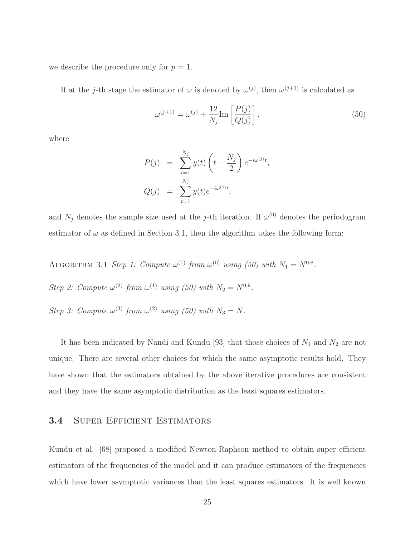we describe the procedure only for  $p = 1$ .

If at the j-th stage the estimator of  $\omega$  is denoted by  $\omega^{(j)}$ , then  $\omega^{(j+1)}$  is calculated as

$$
\omega^{(j+1)} = \omega^{(j)} + \frac{12}{N_j} \text{Im} \left[ \frac{P(j)}{Q(j)} \right],\tag{50}
$$

where

$$
P(j) = \sum_{t=1}^{N_j} y(t) \left( t - \frac{N_j}{2} \right) e^{-i\omega^{(j)}t},
$$
  

$$
Q(j) = \sum_{t=1}^{N_j} y(t) e^{-i\omega^{(j)}t},
$$

and  $N_j$  denotes the sample size used at the j-th iteration. If  $\omega^{(0)}$  denotes the periodogram estimator of  $\omega$  as defined in Section 3.1, then the algorithm takes the following form:

ALGORITHM 3.1 Step 1: Compute  $\omega^{(1)}$  from  $\omega^{(0)}$  using (50) with  $N_1 = N^{0.8}$ .

Step 2: Compute  $\omega^{(2)}$  from  $\omega^{(1)}$  using (50) with  $N_2 = N^{0.9}$ .

Step 3: Compute  $\omega^{(3)}$  from  $\omega^{(2)}$  using (50) with  $N_3 = N$ .

It has been indicated by Nandi and Kundu [93] that those choices of  $N_1$  and  $N_2$  are not unique. There are several other choices for which the same asymptotic results hold. They have shown that the estimators obtained by the above iterative procedures are consistent and they have the same asymptotic distribution as the least squares estimators.

#### 3.4 Super Efficient Estimators

Kundu et al. [68] proposed a modified Newton-Raphson method to obtain super efficient estimators of the frequencies of the model and it can produce estimators of the frequencies which have lower asymptotic variances than the least squares estimators. It is well known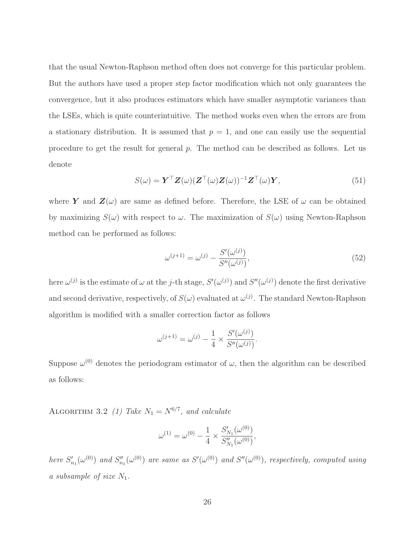that the usual Newton-Raphson method often does not converge for this particular problem. But the authors have used a proper step factor modification which not only guarantees the convergence, but it also produces estimators which have smaller asymptotic variances than the LSEs, which is quite counterintuitive. The method works even when the errors are from a stationary distribution. It is assumed that  $p = 1$ , and one can easily use the sequential procedure to get the result for general p. The method can be described as follows. Let us denote

$$
S(\omega) = \boldsymbol{Y}^{\top} \boldsymbol{Z}(\omega) (\boldsymbol{Z}^{\top}(\omega) \boldsymbol{Z}(\omega))^{-1} \boldsymbol{Z}^{\top}(\omega) \boldsymbol{Y},
$$
\n(51)

where Y and  $\mathbf{Z}(\omega)$  are same as defined before. Therefore, the LSE of  $\omega$  can be obtained by maximizing  $S(\omega)$  with respect to  $\omega$ . The maximization of  $S(\omega)$  using Newton-Raphson method can be performed as follows:

$$
\omega^{(j+1)} = \omega^{(j)} - \frac{S'(\omega^{(j)})}{S''(\omega^{(j)})},\tag{52}
$$

here  $\omega^{(j)}$  is the estimate of  $\omega$  at the j-th stage,  $S'(\omega^{(j)})$  and  $S''(\omega^{(j)})$  denote the first derivative and second derivative, respectively, of  $S(\omega)$  evaluated at  $\omega^{(j)}$ . The standard Newton-Raphson algorithm is modified with a smaller correction factor as follows

$$
\omega^{(j+1)} = \omega^{(j)} - \frac{1}{4} \times \frac{S'(\omega^{(j)})}{S''(\omega^{(j)})}.
$$

Suppose  $\omega^{(0)}$  denotes the periodogram estimator of  $\omega$ , then the algorithm can be described as follows:

ALGORITHM 3.2 (1) Take  $N_1 = N^{6/7}$ , and calculate

$$
\omega^{(1)} = \omega^{(0)} - \frac{1}{4} \times \frac{S_{N_1}'(\omega^{(0)})}{S_{N_1}''(\omega^{(0)})},
$$

here  $S'_r$  $S'_{n_1}(\omega^{(0)})$  and  $S''_n$  $S_{n_1}''(\omega^{(0)})$  are same as  $S'(\omega^{(0)})$  and  $S''(\omega^{(0)})$ , respectively, computed using a subsample of size  $N_1$ .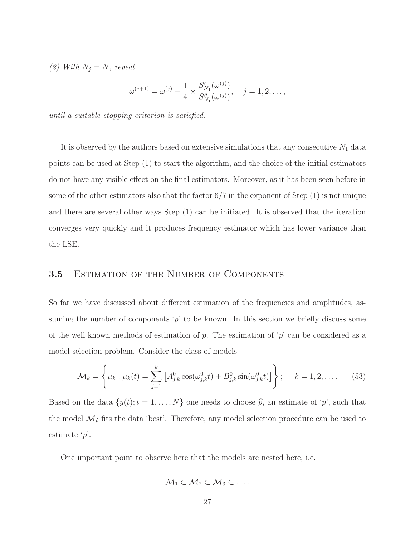(2) With  $N_j = N$ , repeat

$$
\omega^{(j+1)} = \omega^{(j)} - \frac{1}{4} \times \frac{S'_{N_1}(\omega^{(j)})}{S''_{N_1}(\omega^{(j)})}, \quad j = 1, 2, \dots,
$$

until a suitable stopping criterion is satisfied.

It is observed by the authors based on extensive simulations that any consecutive  $N_1$  data points can be used at Step (1) to start the algorithm, and the choice of the initial estimators do not have any visible effect on the final estimators. Moreover, as it has been seen before in some of the other estimators also that the factor  $6/7$  in the exponent of Step  $(1)$  is not unique and there are several other ways Step (1) can be initiated. It is observed that the iteration converges very quickly and it produces frequency estimator which has lower variance than the LSE.

#### **3.5 ESTIMATION OF THE NUMBER OF COMPONENTS**

So far we have discussed about different estimation of the frequencies and amplitudes, assuming the number of components  $p'$  to be known. In this section we briefly discuss some of the well known methods of estimation of p. The estimation of 'p' can be considered as a model selection problem. Consider the class of models

$$
\mathcal{M}_k = \left\{ \mu_k : \mu_k(t) = \sum_{j=1}^k \left[ A_{j,k}^0 \cos(\omega_{j,k}^0 t) + B_{j,k}^0 \sin(\omega_{j,k}^0 t) \right] \right\}; \quad k = 1, 2, \dots \quad (53)
$$

Based on the data  $\{y(t); t = 1, ..., N\}$  one needs to choose  $\hat{p}$ , an estimate of 'p', such that the model  $\mathcal{M}_{\hat{p}}$  fits the data 'best'. Therefore, any model selection procedure can be used to estimate 'p'.

One important point to observe here that the models are nested here, i.e.

$$
\mathcal{M}_1 \subset \mathcal{M}_2 \subset \mathcal{M}_3 \subset \ldots
$$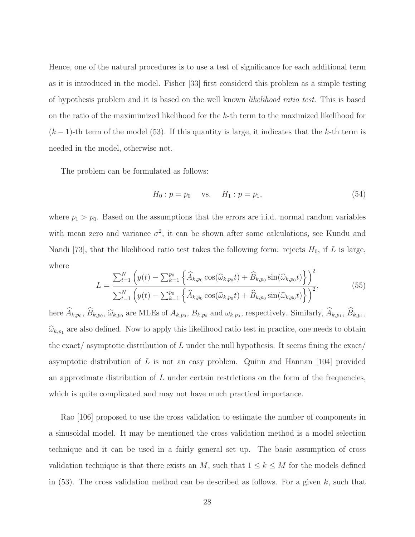Hence, one of the natural procedures is to use a test of significance for each additional term as it is introduced in the model. Fisher [33] first considerd this problem as a simple testing of hypothesis problem and it is based on the well known likelihood ratio test. This is based on the ratio of the maximimized likelihood for the k-th term to the maximized likelihood for  $(k-1)$ -th term of the model (53). If this quantity is large, it indicates that the k-th term is needed in the model, otherwise not.

The problem can be formulated as follows:

$$
H_0: p = p_0 \quad \text{vs.} \quad H_1: p = p_1,\tag{54}
$$

where  $p_1 > p_0$ . Based on the assumptions that the errors are i.i.d. normal random variables with mean zero and variance  $\sigma^2$ , it can be shown after some calculations, see Kundu and Nandi [73], that the likelihood ratio test takes the following form: rejects  $H_0$ , if L is large, where

$$
L = \frac{\sum_{t=1}^{N} \left( y(t) - \sum_{k=1}^{p_0} \left\{ \widehat{A}_{k, p_0} \cos(\widehat{\omega}_{k, p_0} t) + \widehat{B}_{k, p_0} \sin(\widehat{\omega}_{k, p_0} t) \right\} \right)^2}{\sum_{t=1}^{N} \left( y(t) - \sum_{k=1}^{p_0} \left\{ \widehat{A}_{k, p_0} \cos(\widehat{\omega}_{k, p_0} t) + \widehat{B}_{k, p_0} \sin(\widehat{\omega}_{k, p_0} t) \right\} \right)^2},
$$
(55)

here  $A_{k,p_0}, B_{k,p_0}, \hat{\omega}_{k,p_0}$  are MLEs of  $A_{k,p_0}, B_{k,p_0}$  and  $\omega_{k,p_0}$ , respectively. Similarly,  $A_{k,p_1}, B_{k,p_1}$ ,  $\widehat{\omega}_{k,p_1}$  are also defined. Now to apply this likelihood ratio test in practice, one needs to obtain the exact/ asymptotic distribution of  $L$  under the null hypothesis. It seems fining the exact/ asymptotic distribution of  $L$  is not an easy problem. Quinn and Hannan [104] provided an approximate distribution of  $L$  under certain restrictions on the form of the frequencies, which is quite complicated and may not have much practical importance.

Rao [106] proposed to use the cross validation to estimate the number of components in a sinusoidal model. It may be mentioned the cross validation method is a model selection technique and it can be used in a fairly general set up. The basic assumption of cross validation technique is that there exists an M, such that  $1 \leq k \leq M$  for the models defined in  $(53)$ . The cross validation method can be described as follows. For a given k, such that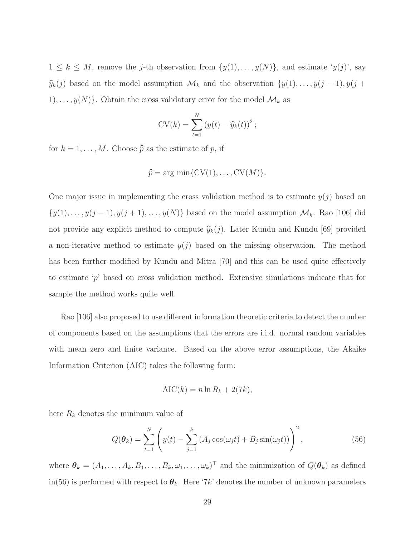$1 \leq k \leq M$ , remove the j-th observation from  $\{y(1), \ldots, y(N)\}\)$ , and estimate ' $y(j)$ ', say  $\widehat{y}_k(j)$  based on the model assumption  $\mathcal{M}_k$  and the observation  $\{y(1), \ldots, y(j-1), y(j+1)\}$ 1), ...,  $y(N)$ . Obtain the cross validatory error for the model  $\mathcal{M}_k$  as

$$
CV(k) = \sum_{t=1}^{N} (y(t) - \hat{y}_k(t))^2;
$$

for  $k = 1, ..., M$ . Choose  $\hat{p}$  as the estimate of p, if

$$
\widehat{p} = \arg \min \{ \text{CV}(1), \dots, \text{CV}(M) \}.
$$

One major issue in implementing the cross validation method is to estimate  $y(j)$  based on  $\{y(1), \ldots, y(j-1), y(j+1), \ldots, y(N)\}\)$  based on the model assumption  $\mathcal{M}_k$ . Rao [106] did not provide any explicit method to compute  $\hat{y}_k(j)$ . Later Kundu and Kundu [69] provided a non-iterative method to estimate  $y(j)$  based on the missing observation. The method has been further modified by Kundu and Mitra [70] and this can be used quite effectively to estimate 'p' based on cross validation method. Extensive simulations indicate that for sample the method works quite well.

Rao [106] also proposed to use different information theoretic criteria to detect the number of components based on the assumptions that the errors are i.i.d. normal random variables with mean zero and finite variance. Based on the above error assumptions, the Akaike Information Criterion (AIC) takes the following form:

$$
AIC(k) = n \ln R_k + 2(7k),
$$

here  $R_k$  denotes the minimum value of

$$
Q(\boldsymbol{\theta}_k) = \sum_{t=1}^N \left( y(t) - \sum_{j=1}^k \left( A_j \cos(\omega_j t) + B_j \sin(\omega_j t) \right) \right)^2, \tag{56}
$$

where  $\theta_k = (A_1, \ldots, A_k, B_1, \ldots, B_k, \omega_1, \ldots, \omega_k)^\top$  and the minimization of  $Q(\theta_k)$  as defined in(56) is performed with respect to  $\theta_k$ . Here '7k' denotes the number of unknown parameters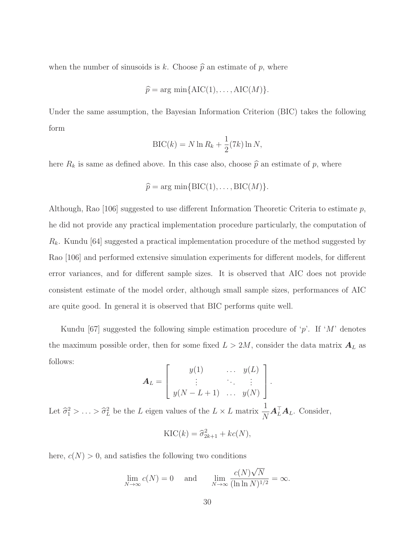when the number of sinusoids is k. Choose  $\hat{p}$  an estimate of p, where

$$
\widehat{p} = \arg \min \{ \text{AIC}(1), \dots, \text{AIC}(M) \}.
$$

Under the same assumption, the Bayesian Information Criterion (BIC) takes the following form

$$
\text{BIC}(k) = N \ln R_k + \frac{1}{2}(7k) \ln N,
$$

here  $R_k$  is same as defined above. In this case also, choose  $\hat{p}$  an estimate of p, where

$$
\widehat{p} = \arg \min \{ \text{BIC}(1), \dots, \text{BIC}(M) \}.
$$

Although, Rao  $[106]$  suggested to use different Information Theoretic Criteria to estimate p, he did not provide any practical implementation procedure particularly, the computation of  $R_k$ . Kundu [64] suggested a practical implementation procedure of the method suggested by Rao [106] and performed extensive simulation experiments for different models, for different error variances, and for different sample sizes. It is observed that AIC does not provide consistent estimate of the model order, although small sample sizes, performances of AIC are quite good. In general it is observed that BIC performs quite well.

Kundu [67] suggested the following simple estimation procedure of 'p'. If 'M' denotes the maximum possible order, then for some fixed  $L > 2M$ , consider the data matrix  $A_L$  as follows:

$$
\mathbf{A}_L = \left[ \begin{array}{ccc} y(1) & \cdots & y(L) \\ \vdots & \ddots & \vdots \\ y(N-L+1) & \cdots & y(N) \end{array} \right].
$$

Let  $\hat{\sigma}_1^2 > \ldots > \hat{\sigma}_L^2$  be the L eigen values of the  $L \times L$  matrix 1  $\overline{N}$  $\mathbf{A}_L^{\top} \mathbf{A}_L$ . Consider,

$$
KIC(k) = \hat{\sigma}_{2k+1}^2 + kc(N),
$$

here,  $c(N) > 0$ , and satisfies the following two conditions

$$
\lim_{N \to \infty} c(N) = 0 \quad \text{and} \quad \lim_{N \to \infty} \frac{c(N)\sqrt{N}}{(\ln \ln N)^{1/2}} = \infty.
$$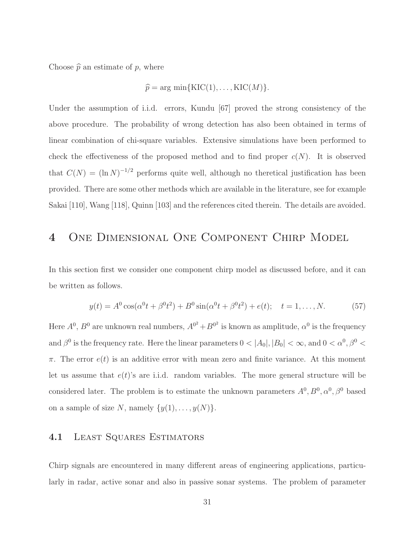Choose  $\hat{p}$  an estimate of p, where

$$
\widehat{p} = \arg \min \{ \text{KIC}(1), \dots, \text{KIC}(M) \}.
$$

Under the assumption of i.i.d. errors, Kundu [67] proved the strong consistency of the above procedure. The probability of wrong detection has also been obtained in terms of linear combination of chi-square variables. Extensive simulations have been performed to check the effectiveness of the proposed method and to find proper  $c(N)$ . It is observed that  $C(N) = (\ln N)^{-1/2}$  performs quite well, although no theretical justification has been provided. There are some other methods which are available in the literature, see for example Sakai [110], Wang [118], Quinn [103] and the references cited therein. The details are avoided.

### 4 One Dimensional One Component Chirp Model

In this section first we consider one component chirp model as discussed before, and it can be written as follows.

$$
y(t) = A^{0} \cos(\alpha^{0} t + \beta^{0} t^{2}) + B^{0} \sin(\alpha^{0} t + \beta^{0} t^{2}) + e(t); \quad t = 1, ..., N.
$$
 (57)

Here  $A^0$ ,  $B^0$  are unknown real numbers,  $A^{0^2} + B^{0^2}$  is known as amplitude,  $\alpha^0$  is the frequency and  $\beta^0$  is the frequency rate. Here the linear parameters  $0 < |A_0|, |B_0| < \infty$ , and  $0 < \alpha^0, \beta^0 <$  $\pi$ . The error  $e(t)$  is an additive error with mean zero and finite variance. At this moment let us assume that  $e(t)$ 's are i.i.d. random variables. The more general structure will be considered later. The problem is to estimate the unknown parameters  $A^0, B^0, \alpha^0, \beta^0$  based on a sample of size N, namely  $\{y(1), \ldots, y(N)\}.$ 

#### 4.1 Least Squares Estimators

Chirp signals are encountered in many different areas of engineering applications, particularly in radar, active sonar and also in passive sonar systems. The problem of parameter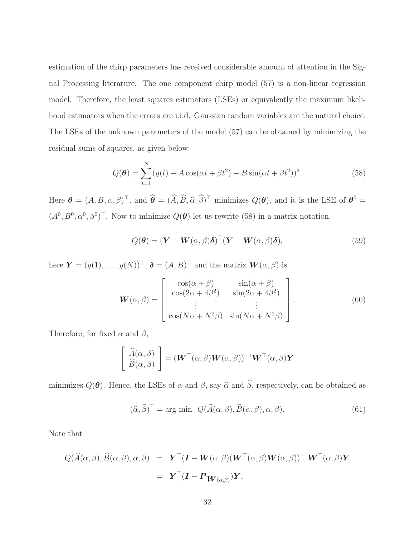estimation of the chirp parameters has received considerable amount of attention in the Signal Processing literature. The one component chirp model (57) is a non-linear regression model. Therefore, the least squares estimators (LSEs) or equivalently the maximum likelihood estimators when the errors are i.i.d. Gaussian random variables are the natural choice. The LSEs of the unknown parameters of the model (57) can be obtained by minimizing the residual sums of squares, as given below:

$$
Q(\theta) = \sum_{t=1}^{N} (y(t) - A\cos(\alpha t + \beta t^2) - B\sin(\alpha t + \beta t^2))^2.
$$
 (58)

Here  $\boldsymbol{\theta} = (A, B, \alpha, \beta)^{\top}$ , and  $\widehat{\boldsymbol{\theta}} = (\widehat{A}, \widehat{B}, \widehat{\alpha}, \widehat{\beta})^{\top}$  minimizes  $Q(\boldsymbol{\theta})$ , and it is the LSE of  $\boldsymbol{\theta}^0 =$  $(A^0, B^0, \alpha^0, \beta^0)^\top$ . Now to minimize  $Q(\theta)$  let us rewrite (58) in a matrix notation.

$$
Q(\boldsymbol{\theta}) = (\boldsymbol{Y} - \boldsymbol{W}(\alpha, \beta)\boldsymbol{\delta})^{\top} (\boldsymbol{Y} - \boldsymbol{W}(\alpha, \beta)\boldsymbol{\delta}),
$$
\n(59)

here  $\mathbf{Y} = (y(1), \ldots, y(N))^\top$ ,  $\boldsymbol{\delta} = (A, B)^\top$  and the matrix  $\mathbf{W}(\alpha, \beta)$  is

$$
\mathbf{W}(\alpha,\beta) = \begin{bmatrix} \cos(\alpha+\beta) & \sin(\alpha+\beta) \\ \cos(2\alpha+4\beta^2) & \sin(2\alpha+4\beta^2) \\ \vdots & \vdots \\ \cos(N\alpha+N^2\beta) & \sin(N\alpha+N^2\beta) \end{bmatrix} .
$$
 (60)

Therefore, for fixed  $\alpha$  and  $\beta$ ,

$$
\begin{bmatrix}\n\widehat{A}(\alpha,\beta) \\
\widehat{B}(\alpha,\beta)\n\end{bmatrix} = (\mathbf{W}^\top(\alpha,\beta)\mathbf{W}(\alpha,\beta))^{-1}\mathbf{W}^\top(\alpha,\beta)\mathbf{Y}
$$

minimizes  $Q(\boldsymbol{\theta})$ . Hence, the LSEs of  $\alpha$  and  $\beta$ , say  $\widehat{\alpha}$  and  $\widehat{\beta}$ , respectively, can be obtained as

$$
(\widehat{\alpha}, \widehat{\beta})^{\top} = \arg \min \ Q(\widehat{A}(\alpha, \beta), \widehat{B}(\alpha, \beta), \alpha, \beta). \tag{61}
$$

Note that

$$
Q(\widehat{A}(\alpha,\beta),\widehat{B}(\alpha,\beta),\alpha,\beta) = \mathbf{Y}^{\top}(\mathbf{I}-\mathbf{W}(\alpha,\beta)(\mathbf{W}^{\top}(\alpha,\beta)\mathbf{W}(\alpha,\beta))^{-1}\mathbf{W}^{\top}(\alpha,\beta)\mathbf{Y}
$$

$$
= \mathbf{Y}^{\top}(\mathbf{I}-\mathbf{P}_{\mathbf{W}(\alpha,\beta)})\mathbf{Y},
$$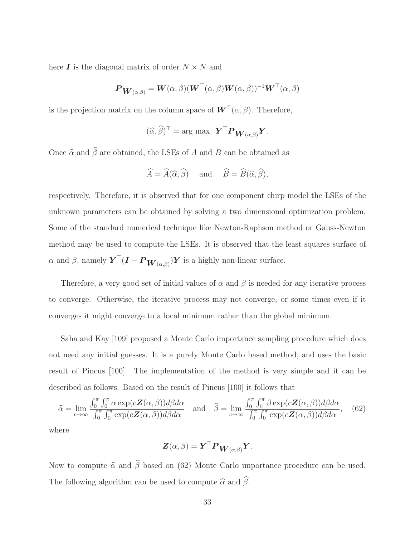here  $\boldsymbol{I}$  is the diagonal matrix of order  $N \times N$  and

$$
\boldsymbol{P}_{\boldsymbol{W}(\alpha,\beta)} = \boldsymbol{W}(\alpha,\beta)(\boldsymbol{W}^\top(\alpha,\beta)\boldsymbol{W}(\alpha,\beta))^{-1}\boldsymbol{W}^\top(\alpha,\beta)
$$

is the projection matrix on the column space of  $\boldsymbol{W}^{\top}(\alpha,\beta)$ . Therefore,

$$
(\widehat{\alpha}, \widehat{\beta})^{\top} = \arg \max \ \mathbf{Y}^{\top} \mathbf{P}_{\mathbf{W}(\alpha, \beta)} \mathbf{Y}.
$$

Once  $\widehat{\alpha}$  and  $\widehat{\beta}$  are obtained, the LSEs of A and B can be obtained as

$$
\widehat{A} = \widehat{A}(\widehat{\alpha}, \widehat{\beta})
$$
 and  $\widehat{B} = \widehat{B}(\widehat{\alpha}, \widehat{\beta}),$ 

respectively. Therefore, it is observed that for one component chirp model the LSEs of the unknown parameters can be obtained by solving a two dimensional optimization problem. Some of the standard numerical technique like Newton-Raphson method or Gauss-Newton method may be used to compute the LSEs. It is observed that the least squares surface of α and β, namely  $\boldsymbol{Y}^\top (\boldsymbol{I} - \boldsymbol{P}_{\boldsymbol{W}(\alpha,\beta)}) \boldsymbol{Y}$  is a highly non-linear surface.

Therefore, a very good set of initial values of  $\alpha$  and  $\beta$  is needed for any iterative process to converge. Otherwise, the iterative process may not converge, or some times even if it converges it might converge to a local minimum rather than the global minimum.

Saha and Kay [109] proposed a Monte Carlo importance sampling procedure which does not need any initial guesses. It is a purely Monte Carlo based method, and uses the basic result of Pincus [100]. The implementation of the method is very simple and it can be described as follows. Based on the result of Pincus [100] it follows that

$$
\widehat{\alpha} = \lim_{c \to \infty} \frac{\int_0^{\pi} \int_0^{\pi} \alpha \exp(c \mathbf{Z}(\alpha, \beta)) d\beta d\alpha}{\int_0^{\pi} \int_0^{\pi} \exp(c \mathbf{Z}(\alpha, \beta)) d\beta d\alpha} \quad \text{and} \quad \widehat{\beta} = \lim_{c \to \infty} \frac{\int_0^{\pi} \int_0^{\pi} \beta \exp(c \mathbf{Z}(\alpha, \beta)) d\beta d\alpha}{\int_0^{\pi} \int_0^{\pi} \exp(c \mathbf{Z}(\alpha, \beta)) d\beta d\alpha}, \quad (62)
$$

where

$$
\boldsymbol{Z}(\alpha,\beta) = \boldsymbol{Y}^\top \boldsymbol{P}_{\boldsymbol{W}(\alpha,\beta)} \boldsymbol{Y}.
$$

Now to compute  $\hat{\alpha}$  and  $\hat{\beta}$  based on (62) Monte Carlo importance procedure can be used. The following algorithm can be used to compute  $\hat{\alpha}$  and  $\hat{\beta}$ .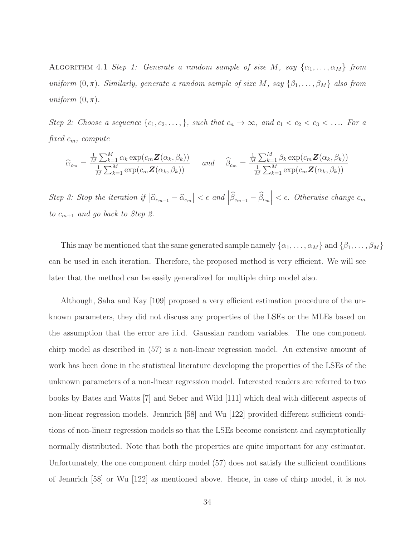ALGORITHM 4.1 Step 1: Generate a random sample of size M, say  $\{\alpha_1, \ldots, \alpha_M\}$  from uniform  $(0, \pi)$ . Similarly, generate a random sample of size M, say  $\{\beta_1, \ldots, \beta_M\}$  also from uniform  $(0, \pi)$ .

Step 2: Choose a sequence  $\{c_1, c_2, \ldots\}$ , such that  $c_n \to \infty$ , and  $c_1 < c_2 < c_3 < \ldots$  For a fixed  $c_m$ , compute

$$
\widehat{\alpha}_{c_m} = \frac{\frac{1}{M} \sum_{k=1}^{M} \alpha_k \exp(c_m \mathbf{Z}(\alpha_k, \beta_k))}{\frac{1}{M} \sum_{k=1}^{M} \exp(c_m \mathbf{Z}(\alpha_k, \beta_k))} \quad \text{and} \quad \widehat{\beta}_{c_m} = \frac{\frac{1}{M} \sum_{k=1}^{M} \beta_k \exp(c_m \mathbf{Z}(\alpha_k, \beta_k))}{\frac{1}{M} \sum_{k=1}^{M} \exp(c_m \mathbf{Z}(\alpha_k, \beta_k))}
$$

Step 3: Stop the iteration if  $|\widehat{\alpha}_{c_{m-1}} - \widehat{\alpha}_{c_m}| < \epsilon$  and  $|\widehat{\beta}_{c_{m-1}} - \widehat{\beta}_{c_m}| < \epsilon$ . Otherwise change  $c_m$ to  $c_{m+1}$  and go back to Step 2.

This may be mentioned that the same generated sample namely  $\{\alpha_1, \ldots, \alpha_M\}$  and  $\{\beta_1, \ldots, \beta_M\}$ can be used in each iteration. Therefore, the proposed method is very efficient. We will see later that the method can be easily generalized for multiple chirp model also.

Although, Saha and Kay [109] proposed a very efficient estimation procedure of the unknown parameters, they did not discuss any properties of the LSEs or the MLEs based on the assumption that the error are i.i.d. Gaussian random variables. The one component chirp model as described in (57) is a non-linear regression model. An extensive amount of work has been done in the statistical literature developing the properties of the LSEs of the unknown parameters of a non-linear regression model. Interested readers are referred to two books by Bates and Watts [7] and Seber and Wild [111] which deal with different aspects of non-linear regression models. Jennrich [58] and Wu [122] provided different sufficient conditions of non-linear regression models so that the LSEs become consistent and asymptotically normally distributed. Note that both the properties are quite important for any estimator. Unfortunately, the one component chirp model (57) does not satisfy the sufficient conditions of Jennrich [58] or Wu [122] as mentioned above. Hence, in case of chirp model, it is not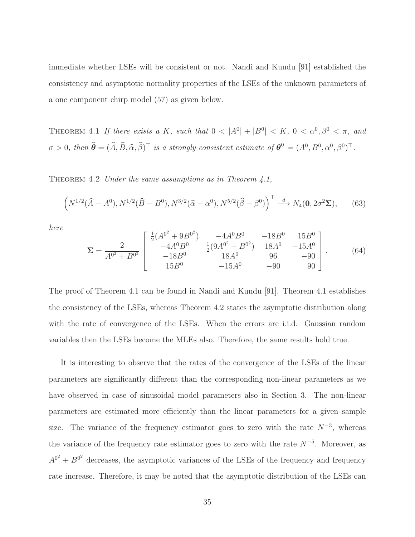immediate whether LSEs will be consistent or not. Nandi and Kundu [91] established the consistency and asymptotic normality properties of the LSEs of the unknown parameters of a one component chirp model (57) as given below.

THEOREM 4.1 If there exists a K, such that  $0 < |A^0| + |B^0| < K$ ,  $0 < \alpha^0, \beta^0 < \pi$ , and  $\sigma > 0$ , then  $\hat{\boldsymbol{\theta}} = (\widehat{A}, \widehat{B}, \widehat{\alpha}, \widehat{\beta})^{\top}$  is a strongly consistent estimate of  $\boldsymbol{\theta}^0 = (A^0, B^0, \alpha^0, \beta^0)^{\top}$ .

THEOREM 4.2 Under the same assumptions as in Theorem 4.1,

$$
\left(N^{1/2}(\hat{A} - A^0), N^{1/2}(\hat{B} - B^0), N^{3/2}(\hat{\alpha} - \alpha^0), N^{5/2}(\hat{\beta} - \beta^0)\right)^{\top} \stackrel{d}{\longrightarrow} N_4(\mathbf{0}, 2\sigma^2 \Sigma), \qquad (63)
$$

here

$$
\Sigma = \frac{2}{A^{0^2} + B^{0^2}} \begin{bmatrix} \frac{1}{2}(A^{0^2} + 9B^{0^2}) & -4A^0B^0 & -18B^0 & 15B^0\\ -4A^0B^0 & \frac{1}{2}(9A^{0^2} + B^{0^2}) & 18A^0 & -15A^0\\ -18B^0 & 18A^0 & 96 & -90\\ 15B^0 & -15A^0 & -90 & 90 \end{bmatrix} .
$$
 (64)

The proof of Theorem 4.1 can be found in Nandi and Kundu [91]. Theorem 4.1 establishes the consistency of the LSEs, whereas Theorem 4.2 states the asymptotic distribution along with the rate of convergence of the LSEs. When the errors are i.i.d. Gaussian random variables then the LSEs become the MLEs also. Therefore, the same results hold true.

It is interesting to observe that the rates of the convergence of the LSEs of the linear parameters are significantly different than the corresponding non-linear parameters as we have observed in case of sinusoidal model parameters also in Section 3. The non-linear parameters are estimated more efficiently than the linear parameters for a given sample size. The variance of the frequency estimator goes to zero with the rate  $N^{-3}$ , whereas the variance of the frequency rate estimator goes to zero with the rate  $N^{-5}$ . Moreover, as  $A^{0^2} + B^{0^2}$  decreases, the asymptotic variances of the LSEs of the frequency and frequency rate increase. Therefore, it may be noted that the asymptotic distribution of the LSEs can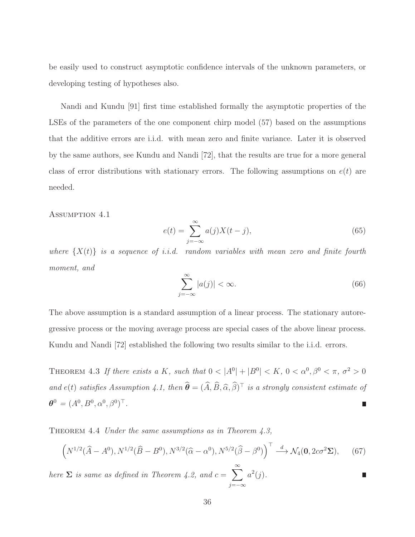be easily used to construct asymptotic confidence intervals of the unknown parameters, or developing testing of hypotheses also.

Nandi and Kundu [91] first time established formally the asymptotic properties of the LSEs of the parameters of the one component chirp model (57) based on the assumptions that the additive errors are i.i.d. with mean zero and finite variance. Later it is observed by the same authors, see Kundu and Nandi [72], that the results are true for a more general class of error distributions with stationary errors. The following assumptions on  $e(t)$  are needed.

Assumption 4.1

$$
e(t) = \sum_{j=-\infty}^{\infty} a(j)X(t-j),
$$
\n(65)

where  $\{X(t)\}\$ is a sequence of i.i.d. random variables with mean zero and finite fourth moment, and

$$
\sum_{j=-\infty}^{\infty} |a(j)| < \infty. \tag{66}
$$

The above assumption is a standard assumption of a linear process. The stationary autoregressive process or the moving average process are special cases of the above linear process. Kundu and Nandi [72] established the following two results similar to the i.i.d. errors.

THEOREM 4.3 If there exists a K, such that  $0 < |A^0| + |B^0| < K$ ,  $0 < \alpha^0, \beta^0 < \pi$ ,  $\sigma^2 > 0$ and  $e(t)$  satisfies Assumption 4.1, then  $\widehat{\boldsymbol{\theta}} = (\widehat{A}, \widehat{B}, \widehat{\alpha}, \widehat{\beta})^{\top}$  is a strongly consistent estimate of  $\theta^0 = (A^0, B^0, \alpha^0, \beta^0)^\top.$ 

THEOREM 4.4 Under the same assumptions as in Theorem  $4.3$ ,

$$
\left(N^{1/2}(\widehat{A}-A^0), N^{1/2}(\widehat{B}-B^0), N^{3/2}(\widehat{\alpha}-\alpha^0), N^{5/2}(\widehat{\beta}-\beta^0)\right)^{\top} \stackrel{d}{\longrightarrow} \mathcal{N}_4(\mathbf{0}, 2c\sigma^2 \Sigma),\tag{67}
$$

here  $\Sigma$  is same as defined in Theorem 4.2, and  $c = \sum_{n=1}^{\infty}$ j=−∞  $a^2(j)$ .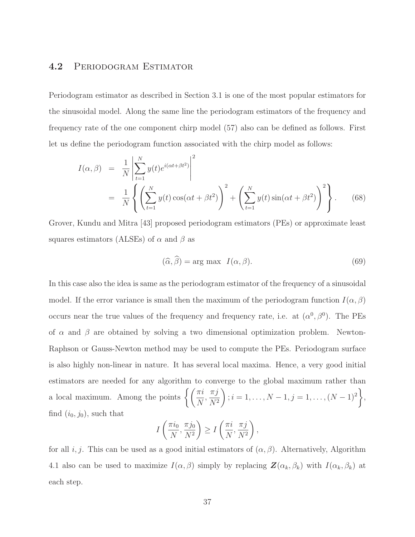### 4.2 Periodogram Estimator

Periodogram estimator as described in Section 3.1 is one of the most popular estimators for the sinusoidal model. Along the same line the periodogram estimators of the frequency and frequency rate of the one component chirp model (57) also can be defined as follows. First let us define the periodogram function associated with the chirp model as follows:

$$
I(\alpha, \beta) = \frac{1}{N} \left| \sum_{t=1}^{N} y(t) e^{i(\alpha t + \beta t^2)} \right|^2
$$
  
= 
$$
\frac{1}{N} \left\{ \left( \sum_{t=1}^{N} y(t) \cos(\alpha t + \beta t^2) \right)^2 + \left( \sum_{t=1}^{N} y(t) \sin(\alpha t + \beta t^2) \right)^2 \right\}.
$$
 (68)

Grover, Kundu and Mitra [43] proposed periodogram estimators (PEs) or approximate least squares estimators (ALSEs) of  $\alpha$  and  $\beta$  as

$$
(\widehat{\alpha}, \widehat{\beta}) = \arg \max \ I(\alpha, \beta). \tag{69}
$$

In this case also the idea is same as the periodogram estimator of the frequency of a sinusoidal model. If the error variance is small then the maximum of the periodogram function  $I(\alpha, \beta)$ occurs near the true values of the frequency and frequency rate, i.e. at  $(\alpha^0, \beta^0)$ . The PEs of  $\alpha$  and  $\beta$  are obtained by solving a two dimensional optimization problem. Newton-Raphson or Gauss-Newton method may be used to compute the PEs. Periodogram surface is also highly non-linear in nature. It has several local maxima. Hence, a very good initial estimators are needed for any algorithm to converge to the global maximum rather than a local maximum. Among the points  $\left\{ \left( \frac{\pi i}{N} \right)$ N ,  $\pi j$  $N^2$  $\setminus$  $; i = 1, \ldots, N - 1, j = 1, \ldots, (N - 1)^2$  $\mathcal{L}$ , find  $(i_0, j_0)$ , such that

$$
I\left(\frac{\pi i_0}{N}, \frac{\pi j_0}{N^2}\right) \ge I\left(\frac{\pi i}{N}, \frac{\pi j}{N^2}\right),\,
$$

for all i, j. This can be used as a good initial estimators of  $(\alpha, \beta)$ . Alternatively, Algorithm 4.1 also can be used to maximize  $I(\alpha, \beta)$  simply by replacing  $\mathbf{Z}(\alpha_k, \beta_k)$  with  $I(\alpha_k, \beta_k)$  at each step.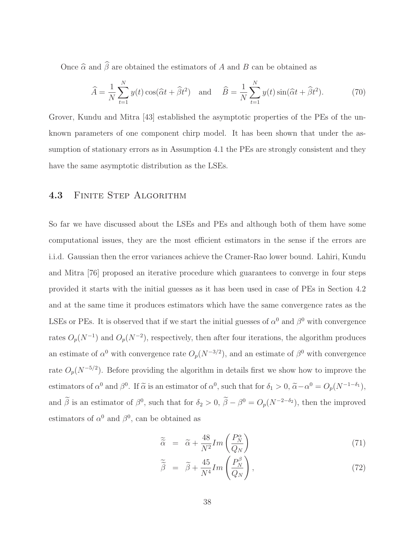Once  $\widehat{\alpha}$  and  $\widehat{\beta}$  are obtained the estimators of A and B can be obtained as

$$
\widehat{A} = \frac{1}{N} \sum_{t=1}^{N} y(t) \cos(\widehat{\alpha}t + \widehat{\beta}t^2) \quad \text{and} \quad \widehat{B} = \frac{1}{N} \sum_{t=1}^{N} y(t) \sin(\widehat{\alpha}t + \widehat{\beta}t^2). \tag{70}
$$

Grover, Kundu and Mitra [43] established the asymptotic properties of the PEs of the unknown parameters of one component chirp model. It has been shown that under the assumption of stationary errors as in Assumption 4.1 the PEs are strongly consistent and they have the same asymptotic distribution as the LSEs.

## 4.3 FINITE STEP ALGORITHM

So far we have discussed about the LSEs and PEs and although both of them have some computational issues, they are the most efficient estimators in the sense if the errors are i.i.d. Gaussian then the error variances achieve the Cramer-Rao lower bound. Lahiri, Kundu and Mitra [76] proposed an iterative procedure which guarantees to converge in four steps provided it starts with the initial guesses as it has been used in case of PEs in Section 4.2 and at the same time it produces estimators which have the same convergence rates as the LSEs or PEs. It is observed that if we start the initial guesses of  $\alpha^0$  and  $\beta^0$  with convergence rates  $O_p(N^{-1})$  and  $O_p(N^{-2})$ , respectively, then after four iterations, the algorithm produces an estimate of  $\alpha^0$  with convergence rate  $O_p(N^{-3/2})$ , and an estimate of  $\beta^0$  with convergence rate  $O_p(N^{-5/2})$ . Before providing the algorithm in details first we show how to improve the estimators of  $\alpha^0$  and  $\beta^0$ . If  $\tilde{\alpha}$  is an estimator of  $\alpha^0$ , such that for  $\delta_1 > 0$ ,  $\tilde{\alpha} - \alpha^0 = O_p(N^{-1-\delta_1})$ , and  $\tilde{\beta}$  is an estimator of  $\beta^0$ , such that for  $\delta_2 > 0$ ,  $\tilde{\beta} - \beta^0 = O_p(N^{-2-\delta_2})$ , then the improved estimators of  $\alpha^0$  and  $\beta^0$ , can be obtained as

$$
\widetilde{\widetilde{\alpha}} = \widetilde{\alpha} + \frac{48}{N^2} Im\left(\frac{P_N^{\alpha}}{Q_N}\right) \tag{71}
$$

$$
\widetilde{\widetilde{\beta}} = \widetilde{\beta} + \frac{45}{N^4} Im\left(\frac{P_N^{\beta}}{Q_N}\right),\tag{72}
$$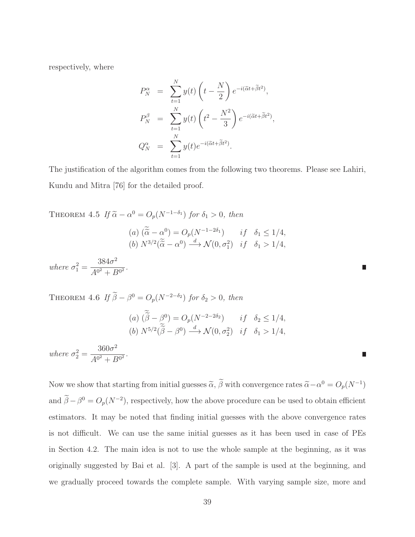respectively, where

$$
P_N^{\alpha} = \sum_{t=1}^N y(t) \left( t - \frac{N}{2} \right) e^{-i(\tilde{\alpha}t + \tilde{\beta}t^2)},
$$
  
\n
$$
P_N^{\beta} = \sum_{t=1}^N y(t) \left( t^2 - \frac{N^2}{3} \right) e^{-i(\tilde{\alpha}t + \tilde{\beta}t^2)},
$$
  
\n
$$
Q_N^{\alpha} = \sum_{t=1}^N y(t) e^{-i(\tilde{\alpha}t + \tilde{\beta}t^2)}.
$$

The justification of the algorithm comes from the following two theorems. Please see Lahiri, Kundu and Mitra [76] for the detailed proof.

THEOREM 4.5 If 
$$
\tilde{\alpha} - \alpha^0 = O_p(N^{-1-\delta_1})
$$
 for  $\delta_1 > 0$ , then  
\n(a)  $(\tilde{\alpha} - \alpha^0) = O_p(N^{-1-2\delta_1})$  if  $\delta_1 \le 1/4$ ,  
\n(b)  $N^{3/2}(\tilde{\tilde{\alpha}} - \alpha^0) \xrightarrow{d} \mathcal{N}(0, \sigma_1^2)$  if  $\delta_1 > 1/4$ ,  
\nwhere  $\sigma_1^2 = \frac{384\sigma^2}{A^{0^2} + B^{0^2}}$ .

THEOREM 4.6 If  $\widetilde{\beta} - \beta^0 = O_p(N^{-2-\delta_2})$  for  $\delta_2 > 0$ , then

(a) 
$$
(\widetilde{\widetilde{\beta}} - \beta^0) = O_p(N^{-2-2\delta_2})
$$
 if  $\delta_2 \le 1/4$ ,  
\n(b)  $N^{5/2}(\widetilde{\widetilde{\beta}} - \beta^0) \xrightarrow{d} \mathcal{N}(0, \sigma_2^2)$  if  $\delta_1 > 1/4$ ,

where  $\sigma_2^2 =$  $360\sigma^2$  $\frac{3888}{A^{0^2}+B^{0^2}}$ .

Now we show that starting from initial guesses  $\tilde{\alpha}$ ,  $\tilde{\beta}$  with convergence rates  $\tilde{\alpha} - \alpha^0 = O_p(N^{-1})$ and  $\tilde{\beta} - \beta^0 = O_p(N^{-2})$ , respectively, how the above procedure can be used to obtain efficient estimators. It may be noted that finding initial guesses with the above convergence rates is not difficult. We can use the same initial guesses as it has been used in case of PEs in Section 4.2. The main idea is not to use the whole sample at the beginning, as it was originally suggested by Bai et al. [3]. A part of the sample is used at the beginning, and we gradually proceed towards the complete sample. With varying sample size, more and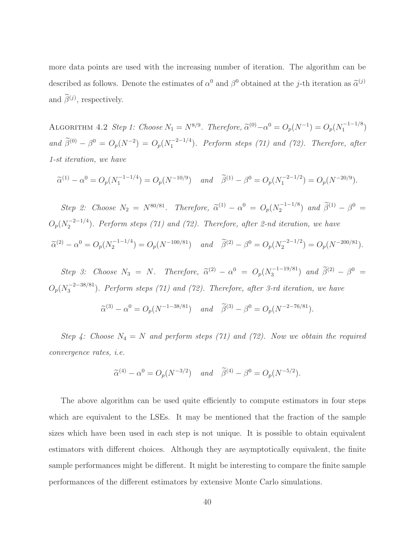more data points are used with the increasing number of iteration. The algorithm can be described as follows. Denote the estimates of  $\alpha^0$  and  $\beta^0$  obtained at the *j*-th iteration as  $\tilde{\alpha}^{(j)}$ and  $\beta^{(j)}$ , respectively.

ALGORITHM 4.2 Step 1: Choose  $N_1 = N^{8/9}$ . Therefore,  $\widetilde{\alpha}^{(0)} - \alpha^0 = O_p(N^{-1}) = O_p(N_1^{-1-1/8})$  $\binom{-1-1}{1}$ and  $\widetilde{\beta}^{(0)} - \beta^0 = O_p(N^{-2}) = O_p(N_1^{-2-1/4})$  $\binom{1}{1}$ . Perform steps (71) and (72). Therefore, after 1-st iteration, we have

$$
\widetilde{\alpha}^{(1)} - \alpha^0 = O_p(N_1^{-1-1/4}) = O_p(N^{-10/9}) \quad \text{and} \quad \widetilde{\beta}^{(1)} - \beta^0 = O_p(N_1^{-2-1/2}) = O_p(N^{-20/9}).
$$

Step 2: Choose  $N_2 = N^{80/81}$ . Therefore,  $\tilde{\alpha}^{(1)} - \alpha^0 = O_p(N_2^{-1-1/8})$  $\tilde{\beta}^{(1)} - \beta^0 =$  $O_p(N_2^{-2-1/4})$  $\binom{2}{2}$ . Perform steps (71) and (72). Therefore, after 2-nd iteration, we have  $\widetilde{\alpha}^{(2)} - \alpha^0 = O_p(N_2^{-1-1/4})$  $\widetilde{\beta}^{(2)} - \beta^0 = O_p(N^{-100/81})$  and  $\widetilde{\beta}^{(2)} - \beta^0 = O_p(N_2^{-2-1/2})$  $C_2^{-2-1/2}$ ) =  $O_p(N^{-200/81})$ .

Step 3: Choose  $N_3 = N$ . Therefore,  $\tilde{\alpha}^{(2)} - \alpha^0 = O_p(N_3^{-1-19/81})$  $\widetilde{\beta}^{(2)} - \beta^0 =$  $O_p(N_3^{-2-38/81})$  $\binom{5}{3}$ . Perform steps (71) and (72). Therefore, after 3-rd iteration, we have

$$
\widetilde{\alpha}^{(3)} - \alpha^0 = O_p(N^{-1-38/81})
$$
 and  $\widetilde{\beta}^{(3)} - \beta^0 = O_p(N^{-2-76/81}).$ 

Step 4: Choose  $N_4 = N$  and perform steps (71) and (72). Now we obtain the required convergence rates, i.e.

$$
\widetilde{\alpha}^{(4)} - \alpha^0 = O_p(N^{-3/2})
$$
 and  $\widetilde{\beta}^{(4)} - \beta^0 = O_p(N^{-5/2}).$ 

The above algorithm can be used quite efficiently to compute estimators in four steps which are equivalent to the LSEs. It may be mentioned that the fraction of the sample sizes which have been used in each step is not unique. It is possible to obtain equivalent estimators with different choices. Although they are asymptotically equivalent, the finite sample performances might be different. It might be interesting to compare the finite sample performances of the different estimators by extensive Monte Carlo simulations.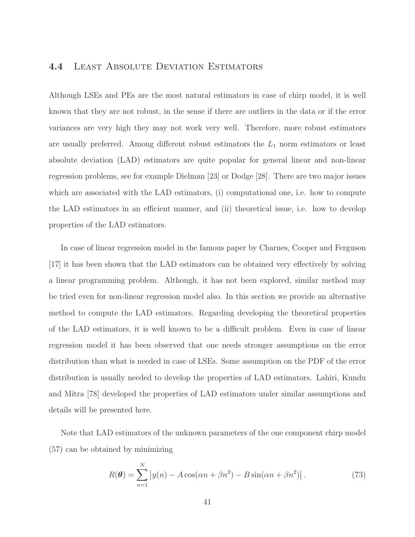### 4.4 Least Absolute Deviation Estimators

Although LSEs and PEs are the most natural estimators in case of chirp model, it is well known that they are not robust, in the sense if there are outliers in the data or if the error variances are very high they may not work very well. Therefore, more robust estimators are usually preferred. Among different robust estimators the  $L_1$  norm estimators or least absolute deviation (LAD) estimators are quite popular for general linear and non-linear regression problems, see for example Dielman [23] or Dodge [28]. There are two major issues which are associated with the LAD estimators, (i) computational one, i.e. how to compute the LAD estimators in an efficient manner, and (ii) theoretical issue, i.e. how to develop properties of the LAD estimators.

In case of linear regression model in the famous paper by Charnes, Cooper and Ferguson [17] it has been shown that the LAD estimators can be obtained very effectively by solving a linear programming problem. Although, it has not been explored, similar method may be tried even for non-linear regression model also. In this section we provide an alternative method to compute the LAD estimators. Regarding developing the theoretical properties of the LAD estimators, it is well known to be a difficult problem. Even in case of linear regression model it has been observed that one needs stronger assumptions on the error distribution than what is needed in case of LSEs. Some assumption on the PDF of the error distribution is usually needed to develop the properties of LAD estimators. Lahiri, Kundu and Mitra [78] developed the properties of LAD estimators under similar assumptions and details will be presented here.

Note that LAD estimators of the unknown parameters of the one component chirp model (57) can be obtained by minimizing

$$
R(\boldsymbol{\theta}) = \sum_{n=1}^{N} \left| y(n) - A\cos(\alpha n + \beta n^2) - B\sin(\alpha n + \beta n^2) \right|.
$$
 (73)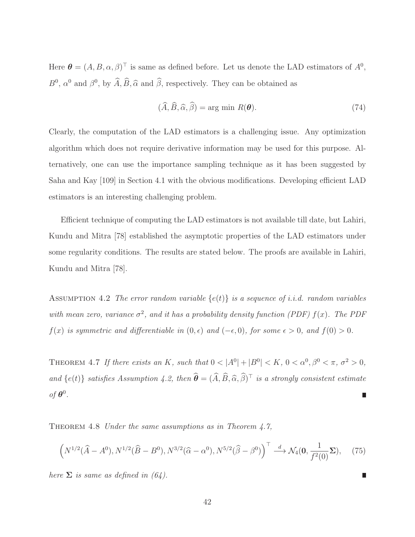Here  $\boldsymbol{\theta} = (A, B, \alpha, \beta)^{\top}$  is same as defined before. Let us denote the LAD estimators of  $A^{0}$ ,  $B^0$ ,  $\alpha^0$  and  $\beta^0$ , by  $\widehat{A}, \widehat{B}, \widehat{\alpha}$  and  $\widehat{\beta}$ , respectively. They can be obtained as

$$
(\widehat{A}, \widehat{B}, \widehat{\alpha}, \widehat{\beta}) = \arg \min R(\boldsymbol{\theta}). \tag{74}
$$

Clearly, the computation of the LAD estimators is a challenging issue. Any optimization algorithm which does not require derivative information may be used for this purpose. Alternatively, one can use the importance sampling technique as it has been suggested by Saha and Kay [109] in Section 4.1 with the obvious modifications. Developing efficient LAD estimators is an interesting challenging problem.

Efficient technique of computing the LAD estimators is not available till date, but Lahiri, Kundu and Mitra [78] established the asymptotic properties of the LAD estimators under some regularity conditions. The results are stated below. The proofs are available in Lahiri, Kundu and Mitra [78].

ASSUMPTION 4.2 The error random variable  $\{e(t)\}\$ is a sequence of i.i.d. random variables with mean zero, variance  $\sigma^2$ , and it has a probability density function (PDF)  $f(x)$ . The PDF  $f(x)$  is symmetric and differentiable in  $(0, \epsilon)$  and  $(-\epsilon, 0)$ , for some  $\epsilon > 0$ , and  $f(0) > 0$ .

THEOREM 4.7 If there exists an K, such that  $0 < |A^0| + |B^0| < K$ ,  $0 < \alpha^0, \beta^0 < \pi$ ,  $\sigma^2 > 0$ , and  $\{e(t)\}\$  satisfies Assumption 4.2, then  $\widehat{\boldsymbol{\theta}} = (\widehat{A}, \widehat{B}, \widehat{\alpha}, \widehat{\beta})^{\top}$  is a strongly consistent estimate of  $\boldsymbol{\theta}^0$ .

THEOREM 4.8 Under the same assumptions as in Theorem 4.7,

$$
\left(N^{1/2}(\widehat{A}-A^{0}),N^{1/2}(\widehat{B}-B^{0}),N^{3/2}(\widehat{\alpha}-\alpha^{0}),N^{5/2}(\widehat{\beta}-\beta^{0})\right)^{\top}\stackrel{d}{\longrightarrow}\mathcal{N}_4(\mathbf{0},\frac{1}{f^2(0)}\Sigma),\tag{75}
$$

here  $\Sigma$  is same as defined in (64).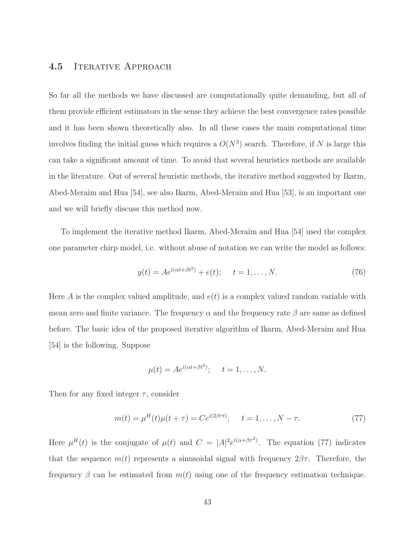### 4.5 ITERATIVE APPROACH

So far all the methods we have discussed are computationally quite demanding, but all of them provide efficient estimators in the sense they achieve the best convergence rates possible and it has been shown theoretically also. In all these cases the main computational time involves finding the initial guess which requires a  $O(N^3)$  search. Therefore, if N is large this can take a significant amount of time. To avoid that several heuristics methods are available in the literature. Out of several heuristic methods, the iterative method suggested by Ikarm, Abed-Meraim and Hua [54], see also Ikarm, Abed-Meraim and Hua [53], is an important one and we will briefly discuss this method now.

To implement the iterative method Ikarm, Abed-Meraim and Hua [54] used the complex one parameter chirp model, i.e. without abuse of notation we can write the model as follows:

$$
y(t) = Ae^{i(\alpha t + \beta t^2)} + e(t); \t t = 1, ..., N.
$$
\t(76)

Here A is the complex valued amplitude, and  $e(t)$  is a complex valued random variable with mean zero and finite variance. The frequency  $\alpha$  and the frequency rate  $\beta$  are same as defined before. The basic idea of the proposed iterative algorithm of Ikarm, Abed-Meraim and Hua [54] is the following. Suppose

$$
\mu(t) = Ae^{i(\alpha t + \beta t^2)}; \quad t = 1, \dots, N.
$$

Then for any fixed integer  $\tau$ , consider

$$
m(t) = \mu^{H}(t)\mu(t+\tau) = Ce^{i(2\beta\tau t)}; \quad t = 1, ..., N - \tau.
$$
 (77)

Here  $\mu^{H}(t)$  is the conjugate of  $\mu(t)$  and  $C = |A|^{2}e^{i(\alpha+\beta\tau^{2})}$ . The equation (77) indicates that the sequence  $m(t)$  represents a sinusoidal signal with frequency  $2\beta\tau$ . Therefore, the frequency  $\beta$  can be estimated from  $m(t)$  using one of the frequency estimation technique.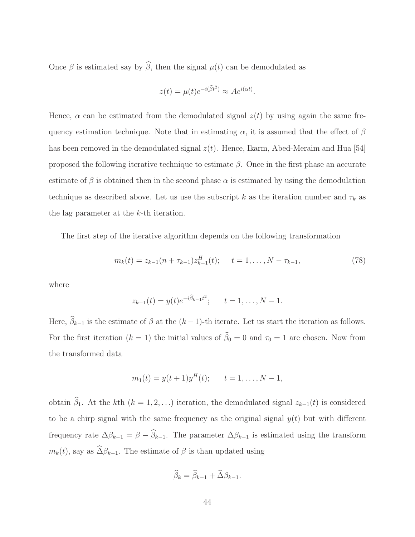Once  $\beta$  is estimated say by  $\widehat{\beta}$ , then the signal  $\mu(t)$  can be demodulated as

$$
z(t) = \mu(t)e^{-i(\widehat{\beta}t^2)} \approx Ae^{i(\alpha t)}.
$$

Hence,  $\alpha$  can be estimated from the demodulated signal  $z(t)$  by using again the same frequency estimation technique. Note that in estimating  $\alpha$ , it is assumed that the effect of  $\beta$ has been removed in the demodulated signal  $z(t)$ . Hence, Ikarm, Abed-Meraim and Hua [54] proposed the following iterative technique to estimate  $\beta$ . Once in the first phase an accurate estimate of  $\beta$  is obtained then in the second phase  $\alpha$  is estimated by using the demodulation technique as described above. Let us use the subscript k as the iteration number and  $\tau_k$  as the lag parameter at the k-th iteration.

The first step of the iterative algorithm depends on the following transformation

$$
m_k(t) = z_{k-1}(n + \tau_{k-1})z_{k-1}^H(t); \quad t = 1, \dots, N - \tau_{k-1}, \tag{78}
$$

where

$$
z_{k-1}(t) = y(t)e^{-i\widehat{\beta}_{k-1}t^2}; \qquad t = 1, \ldots, N-1.
$$

Here,  $\widehat{\beta}_{k-1}$  is the estimate of  $\beta$  at the  $(k-1)$ -th iterate. Let us start the iteration as follows. For the first iteration  $(k = 1)$  the initial values of  $\hat{\beta}_0 = 0$  and  $\tau_0 = 1$  are chosen. Now from the transformed data

$$
m_1(t) = y(t+1)y^H(t);
$$
  $t = 1,..., N-1,$ 

obtain  $\hat{\beta}_1$ . At the kth  $(k = 1, 2, ...)$  iteration, the demodulated signal  $z_{k-1}(t)$  is considered to be a chirp signal with the same frequency as the original signal  $y(t)$  but with different frequency rate  $\Delta \beta_{k-1} = \beta - \widehat{\beta}_{k-1}$ . The parameter  $\Delta \beta_{k-1}$  is estimated using the transform  $m_k(t)$ , say as  $\widehat{\Delta} \beta_{k-1}$ . The estimate of  $\beta$  is than updated using

$$
\widehat{\beta}_k = \widehat{\beta}_{k-1} + \widehat{\Delta}\beta_{k-1}.
$$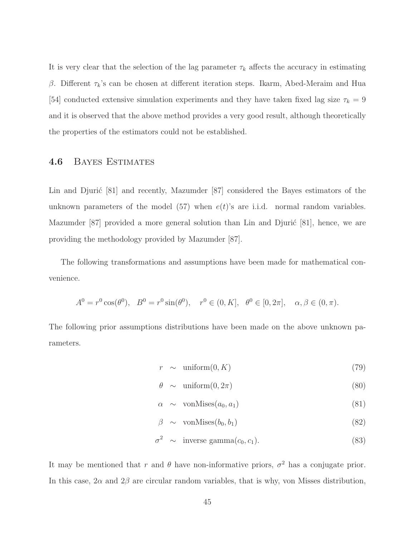It is very clear that the selection of the lag parameter  $\tau_k$  affects the accuracy in estimating β. Different  $τ_k$ 's can be chosen at different iteration steps. Ikarm, Abed-Meraim and Hua [54] conducted extensive simulation experiments and they have taken fixed lag size  $\tau_k = 9$ and it is observed that the above method provides a very good result, although theoretically the properties of the estimators could not be established.

### 4.6 Bayes Estimates

Lin and Djurić [81] and recently, Mazumder [87] considered the Bayes estimators of the unknown parameters of the model (57) when  $e(t)$ 's are i.i.d. normal random variables. Mazumder  $[87]$  provided a more general solution than Lin and Djuric  $[81]$ , hence, we are providing the methodology provided by Mazumder [87].

The following transformations and assumptions have been made for mathematical convenience.

$$
A^{0} = r^{0} \cos(\theta^{0}), \quad B^{0} = r^{0} \sin(\theta^{0}), \quad r^{0} \in (0, K], \quad \theta^{0} \in [0, 2\pi], \quad \alpha, \beta \in (0, \pi).
$$

The following prior assumptions distributions have been made on the above unknown parameters.

$$
r \sim \text{uniform}(0, K) \tag{79}
$$

$$
\theta \sim \text{uniform}(0, 2\pi) \tag{80}
$$

$$
\alpha \sim \text{vonMises}(a_0, a_1) \tag{81}
$$

$$
\beta \sim \text{vonMises}(b_0, b_1) \tag{82}
$$

$$
\sigma^2 \sim \text{inverse gamma}(c_0, c_1). \tag{83}
$$

It may be mentioned that r and  $\theta$  have non-informative priors,  $\sigma^2$  has a conjugate prior. In this case,  $2\alpha$  and  $2\beta$  are circular random variables, that is why, von Misses distribution,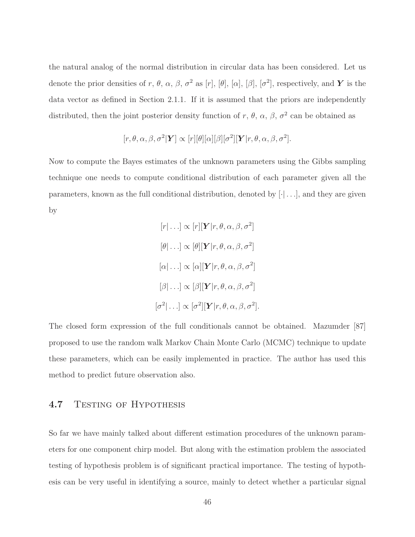the natural analog of the normal distribution in circular data has been considered. Let us denote the prior densities of r,  $\theta$ ,  $\alpha$ ,  $\beta$ ,  $\sigma^2$  as [r], [ $\theta$ ], [ $\alpha$ ], [ $\beta$ ], [ $\sigma^2$ ], respectively, and Y is the data vector as defined in Section 2.1.1. If it is assumed that the priors are independently distributed, then the joint posterior density function of r,  $\theta$ ,  $\alpha$ ,  $\beta$ ,  $\sigma^2$  can be obtained as

$$
[r, \theta, \alpha, \beta, \sigma^2 | \mathbf{Y}] \propto [r][\theta][\alpha][\beta][\sigma^2][\mathbf{Y}|r, \theta, \alpha, \beta, \sigma^2].
$$

Now to compute the Bayes estimates of the unknown parameters using the Gibbs sampling technique one needs to compute conditional distribution of each parameter given all the parameters, known as the full conditional distribution, denoted by  $[\cdot] \dots$ , and they are given by

$$
[r|\ldots] \propto [r][\mathbf{Y}|r,\theta,\alpha,\beta,\sigma^2]
$$

$$
[\theta|\ldots] \propto [\theta][\mathbf{Y}|r,\theta,\alpha,\beta,\sigma^2]
$$

$$
[\alpha|\ldots] \propto [\alpha][\mathbf{Y}|r,\theta,\alpha,\beta,\sigma^2]
$$

$$
[\beta|\ldots] \propto [\beta][\mathbf{Y}|r,\theta,\alpha,\beta,\sigma^2]
$$

$$
[\sigma^2|\ldots] \propto [\sigma^2][\mathbf{Y}|r,\theta,\alpha,\beta,\sigma^2].
$$

The closed form expression of the full conditionals cannot be obtained. Mazumder [87] proposed to use the random walk Markov Chain Monte Carlo (MCMC) technique to update these parameters, which can be easily implemented in practice. The author has used this method to predict future observation also.

### 4.7 TESTING OF HYPOTHESIS

So far we have mainly talked about different estimation procedures of the unknown parameters for one component chirp model. But along with the estimation problem the associated testing of hypothesis problem is of significant practical importance. The testing of hypothesis can be very useful in identifying a source, mainly to detect whether a particular signal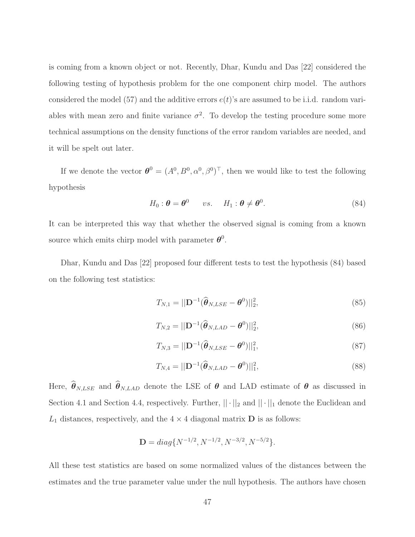is coming from a known object or not. Recently, Dhar, Kundu and Das [22] considered the following testing of hypothesis problem for the one component chirp model. The authors considered the model (57) and the additive errors  $e(t)$ 's are assumed to be i.i.d. random variables with mean zero and finite variance  $\sigma^2$ . To develop the testing procedure some more technical assumptions on the density functions of the error random variables are needed, and it will be spelt out later.

If we denote the vector  $\boldsymbol{\theta}^0 = (A^0, B^0, \alpha^0, \beta^0)^\top$ , then we would like to test the following hypothesis

$$
H_0: \boldsymbol{\theta} = \boldsymbol{\theta}^0 \qquad vs. \qquad H_1: \boldsymbol{\theta} \neq \boldsymbol{\theta}^0. \tag{84}
$$

It can be interpreted this way that whether the observed signal is coming from a known source which emits chirp model with parameter  $\boldsymbol{\theta}^0$ .

Dhar, Kundu and Das [22] proposed four different tests to test the hypothesis (84) based on the following test statistics:

$$
T_{N,1} = \left\| \mathbf{D}^{-1} (\widehat{\boldsymbol{\theta}}_{N, LSE} - \boldsymbol{\theta}^0) \right\|_2^2, \tag{85}
$$

$$
T_{N,2} = ||\mathbf{D}^{-1}(\widehat{\boldsymbol{\theta}}_{N,LAD} - \boldsymbol{\theta}^0)||_2^2,
$$
\n(86)

$$
T_{N,3} = ||\mathbf{D}^{-1}(\widehat{\boldsymbol{\theta}}_{N, LSE} - \boldsymbol{\theta}^0)||_1^2,
$$
\n(87)

$$
T_{N,4} = ||\mathbf{D}^{-1}(\widehat{\boldsymbol{\theta}}_{N,LAD} - \boldsymbol{\theta}^0)||_1^2,
$$
\n(88)

Here,  $\hat{\theta}_{N, LSE}$  and  $\hat{\theta}_{N, LAD}$  denote the LSE of  $\theta$  and LAD estimate of  $\theta$  as discussed in Section 4.1 and Section 4.4, respectively. Further,  $|| \cdot ||_2$  and  $|| \cdot ||_1$  denote the Euclidean and  $L_1$  distances, respectively, and the  $4 \times 4$  diagonal matrix **D** is as follows:

$$
\mathbf{D} = diag\{N^{-1/2}, N^{-1/2}, N^{-3/2}, N^{-5/2}\}.
$$

All these test statistics are based on some normalized values of the distances between the estimates and the true parameter value under the null hypothesis. The authors have chosen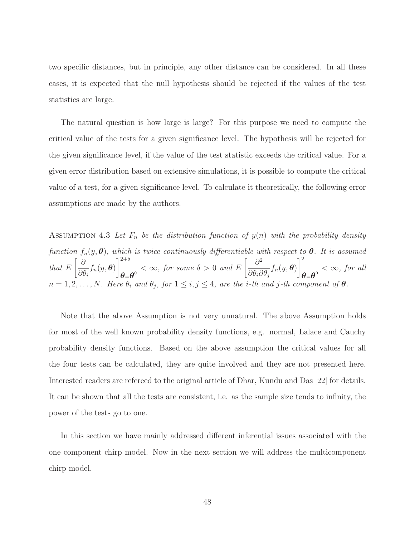two specific distances, but in principle, any other distance can be considered. In all these cases, it is expected that the null hypothesis should be rejected if the values of the test statistics are large.

The natural question is how large is large? For this purpose we need to compute the critical value of the tests for a given significance level. The hypothesis will be rejected for the given significance level, if the value of the test statistic exceeds the critical value. For a given error distribution based on extensive simulations, it is possible to compute the critical value of a test, for a given significance level. To calculate it theoretically, the following error assumptions are made by the authors.

ASSUMPTION 4.3 Let  $F_n$  be the distribution function of  $y(n)$  with the probability density function  $f_n(y, \theta)$ , which is twice continuously differentiable with respect to  $\theta$ . It is assumed that E ∂  $\partial\theta_i$  $f_n(y, \boldsymbol{\theta})$  $1^{2+\delta}$  $\theta = \theta^0$  <  $\infty$ , for some  $\delta > 0$  and E  $\int \partial^2$  $\partial\theta_i\partial\theta_j$  $f_n(y, \boldsymbol{\theta})$  $\vert$ <sup>2</sup>  $\boldsymbol{\theta}$ = $\boldsymbol{\theta}^{\text{o}}$  <  $\infty$ , for all  $n = 1, 2, \ldots, N$ . Here  $\theta_i$  and  $\theta_j$ , for  $1 \leq i, j \leq 4$ , are the *i*-th and *j*-th component of  $\theta$ .

Note that the above Assumption is not very unnatural. The above Assumption holds for most of the well known probability density functions, e.g. normal, Lalace and Cauchy probability density functions. Based on the above assumption the critical values for all the four tests can be calculated, they are quite involved and they are not presented here. Interested readers are refereed to the original article of Dhar, Kundu and Das [22] for details. It can be shown that all the tests are consistent, i.e. as the sample size tends to infinity, the power of the tests go to one.

In this section we have mainly addressed different inferential issues associated with the one component chirp model. Now in the next section we will address the multicomponent chirp model.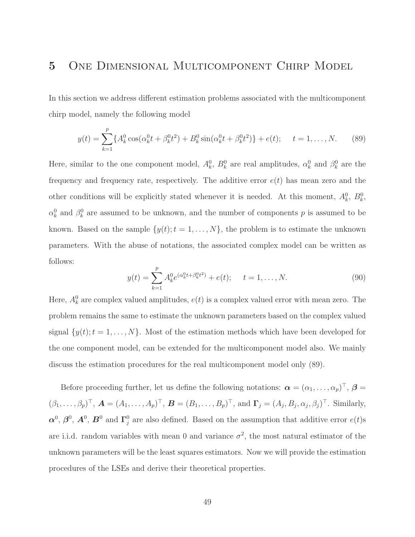## 5 One Dimensional Multicomponent Chirp Model

In this section we address different estimation problems associated with the multicomponent chirp model, namely the following model

$$
y(t) = \sum_{k=1}^{p} \{ A_k^0 \cos(\alpha_k^0 t + \beta_k^0 t^2) + B_k^0 \sin(\alpha_k^0 t + \beta_k^0 t^2) \} + e(t); \quad t = 1, ..., N. \tag{89}
$$

Here, similar to the one component model,  $A_k^0$ ,  $B_k^0$  are real amplitudes,  $\alpha_k^0$  and  $\beta_k^0$  are the frequency and frequency rate, respectively. The additive error  $e(t)$  has mean zero and the other conditions will be explicitly stated whenever it is needed. At this moment,  $A_k^0$ ,  $B_k^0$ ,  $\alpha_k^0$  and  $\beta_k^0$  are assumed to be unknown, and the number of components p is assumed to be known. Based on the sample  $\{y(t); t = 1, ..., N\}$ , the problem is to estimate the unknown parameters. With the abuse of notations, the associated complex model can be written as follows:

$$
y(t) = \sum_{k=1}^{p} A_k^0 e^{(\alpha_k^0 t + \beta_k^0 t^2)} + e(t); \quad t = 1, ..., N.
$$
 (90)

Here,  $A_k^0$  are complex valued amplitudes,  $e(t)$  is a complex valued error with mean zero. The problem remains the same to estimate the unknown parameters based on the complex valued signal  $\{y(t); t = 1, ..., N\}$ . Most of the estimation methods which have been developed for the one component model, can be extended for the multicomponent model also. We mainly discuss the estimation procedures for the real multicomponent model only (89).

Before proceeding further, let us define the following notations:  $\boldsymbol{\alpha} = (\alpha_1, \dots, \alpha_p)^\top$ ,  $\boldsymbol{\beta} =$  $(\beta_1,\ldots,\beta_p)^\top$ ,  $\mathbf{A}=(A_1,\ldots,A_p)^\top$ ,  $\mathbf{B}=(B_1,\ldots,B_p)^\top$ , and  $\mathbf{\Gamma}_j=(A_j,B_j,\alpha_j,\beta_j)^\top$ . Similarly,  $\boldsymbol{\alpha}^0, \boldsymbol{\beta}^0, \boldsymbol{A}^0, \boldsymbol{B}^0 \text{ and } \boldsymbol{\Gamma}_i^0$ <sup>0</sup> are also defined. Based on the assumption that additive error  $e(t)$ s are i.i.d. random variables with mean 0 and variance  $\sigma^2$ , the most natural estimator of the unknown parameters will be the least squares estimators. Now we will provide the estimation procedures of the LSEs and derive their theoretical properties.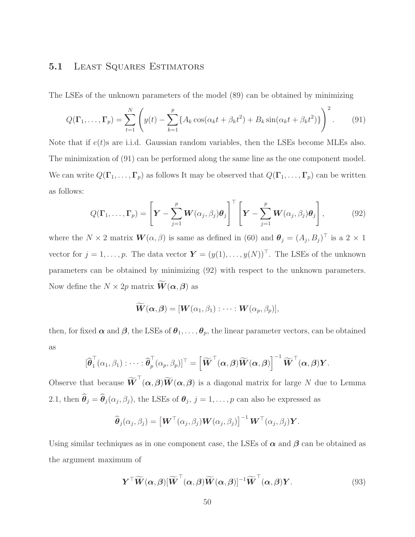## 5.1 LEAST SQUARES ESTIMATORS

The LSEs of the unknown parameters of the model (89) can be obtained by minimizing

$$
Q(\Gamma_1, ..., \Gamma_p) = \sum_{t=1}^N \left( y(t) - \sum_{k=1}^p \{ A_k \cos(\alpha_k t + \beta_k t^2) + B_k \sin(\alpha_k t + \beta_k t^2) \} \right)^2.
$$
 (91)

Note that if  $e(t)$ s are i.i.d. Gaussian random variables, then the LSEs become MLEs also. The minimization of (91) can be performed along the same line as the one component model. We can write  $Q(\Gamma_1,\ldots,\Gamma_p)$  as follows It may be observed that  $Q(\Gamma_1,\ldots,\Gamma_p)$  can be written as follows:

$$
Q(\Gamma_1,\ldots,\Gamma_p) = \left[\boldsymbol{Y} - \sum_{j=1}^p \boldsymbol{W}(\alpha_j,\beta_j)\boldsymbol{\theta}_j\right]^\top \left[\boldsymbol{Y} - \sum_{j=1}^p \boldsymbol{W}(\alpha_j,\beta_j)\boldsymbol{\theta}_j\right],\tag{92}
$$

where the  $N \times 2$  matrix  $\mathbf{W}(\alpha, \beta)$  is same as defined in (60) and  $\boldsymbol{\theta}_j = (A_j, B_j)^{\top}$  is a  $2 \times 1$ vector for  $j = 1, ..., p$ . The data vector  $\boldsymbol{Y} = (y(1), ..., y(N))^T$ . The LSEs of the unknown parameters can be obtained by minimizing (92) with respect to the unknown parameters. Now define the  $N \times 2p$  matrix  $\mathbf{W}(\alpha, \beta)$  as

$$
\widetilde{\bm{W}}(\bm{\alpha},\bm{\beta})=[\bm{W}(\alpha_1,\beta_1):\cdots:\bm{W}(\alpha_p,\beta_p)],
$$

then, for fixed  $\alpha$  and  $\beta$ , the LSEs of  $\theta_1, \ldots, \theta_p$ , the linear parameter vectors, can be obtained as

$$
[\widehat{\boldsymbol{\theta}}_1^{\top}(\alpha_1,\beta_1) : \cdots : \widehat{\boldsymbol{\theta}}_p^{\top}(\alpha_p,\beta_p)]^{\top} = \left[\widetilde{\boldsymbol{W}}^{\top}(\boldsymbol{\alpha},\boldsymbol{\beta})\widetilde{\boldsymbol{W}}(\boldsymbol{\alpha},\boldsymbol{\beta})\right]^{-1}\widetilde{\boldsymbol{W}}^{\top}(\boldsymbol{\alpha},\boldsymbol{\beta})\boldsymbol{Y}.
$$

Observe that because  $\widetilde{\bm{W}}^{\top}(\alpha, \beta) \widetilde{\bm{W}}(\alpha, \beta)$  is a diagonal matrix for large N due to Lemma 2.1, then  $\theta_j = \theta_j(\alpha_j, \beta_j)$ , the LSEs of  $\theta_j$ ,  $j = 1, \ldots, p$  can also be expressed as

$$
\widehat{\boldsymbol{\theta}}_j(\alpha_j,\beta_j) = \left[\boldsymbol{W}^\top(\alpha_j,\beta_j)\boldsymbol{W}(\alpha_j,\beta_j)\right]^{-1}\boldsymbol{W}^\top(\alpha_j,\beta_j)\boldsymbol{Y}.
$$

Using similar techniques as in one component case, the LSEs of  $\alpha$  and  $\beta$  can be obtained as the argument maximum of

$$
\boldsymbol{Y}^{\top}\widetilde{\boldsymbol{W}}(\boldsymbol{\alpha},\boldsymbol{\beta})[\widetilde{\boldsymbol{W}}^{\top}(\boldsymbol{\alpha},\boldsymbol{\beta})\widetilde{\boldsymbol{W}}(\boldsymbol{\alpha},\boldsymbol{\beta})]^{-1}\widetilde{\boldsymbol{W}}^{\top}(\boldsymbol{\alpha},\boldsymbol{\beta})\boldsymbol{Y}.
$$
\n(93)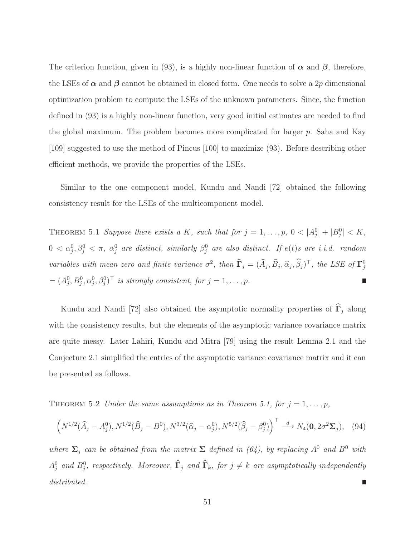The criterion function, given in (93), is a highly non-linear function of  $\alpha$  and  $\beta$ , therefore, the LSEs of  $\alpha$  and  $\beta$  cannot be obtained in closed form. One needs to solve a 2p dimensional optimization problem to compute the LSEs of the unknown parameters. Since, the function defined in (93) is a highly non-linear function, very good initial estimates are needed to find the global maximum. The problem becomes more complicated for larger p. Saha and Kay [109] suggested to use the method of Pincus [100] to maximize (93). Before describing other efficient methods, we provide the properties of the LSEs.

Similar to the one component model, Kundu and Nandi [72] obtained the following consistency result for the LSEs of the multicomponent model.

THEOREM 5.1 Suppose there exists a K, such that for  $j = 1, ..., p$ ,  $0 < |A_j^0| + |B_j^0| < K$ ,  $0 < \alpha_j^0, \beta_j^0 < \pi$ ,  $\alpha_j^0$  are distinct, similarly  $\beta_j^0$  are also distinct. If  $e(t)$ s are i.i.d. random variables with mean zero and finite variance  $\sigma^2$ , then  $\widehat{\Gamma}_j = (\widehat{A}_j, \widehat{B}_j, \widehat{\alpha}_j, \widehat{\beta}_j)^\top$ , the LSE of  $\Gamma_j^0$ j  $=(A_j^0, B_j^0, \alpha_j^0, \beta_j^0)^\top$  is strongly consistent, for  $j = 1, \ldots, p$ .

Kundu and Nandi [72] also obtained the asymptotic normality properties of  $\widehat{\Gamma}_j$  along with the consistency results, but the elements of the asymptotic variance covariance matrix are quite messy. Later Lahiri, Kundu and Mitra [79] using the result Lemma 2.1 and the Conjecture 2.1 simplified the entries of the asymptotic variance covariance matrix and it can be presented as follows.

THEOREM 5.2 Under the same assumptions as in Theorem 5.1, for  $j = 1, \ldots, p$ ,

$$
\left(N^{1/2}(\widehat{A}_j - A_j^0), N^{1/2}(\widehat{B}_j - B^0), N^{3/2}(\widehat{\alpha}_j - \alpha_j^0), N^{5/2}(\widehat{\beta}_j - \beta_j^0)\right)^{\top} \stackrel{d}{\longrightarrow} N_4(\mathbf{0}, 2\sigma^2 \Sigma_j), \quad (94)
$$

where  $\Sigma_j$  can be obtained from the matrix  $\Sigma$  defined in (64), by replacing  $A^0$  and  $B^0$  with  $A_j^0$  and  $B_j^0$ , respectively. Moreover,  $\widehat{\Gamma}_j$  and  $\widehat{\Gamma}_k$ , for  $j \neq k$  are asymptotically independently distributed.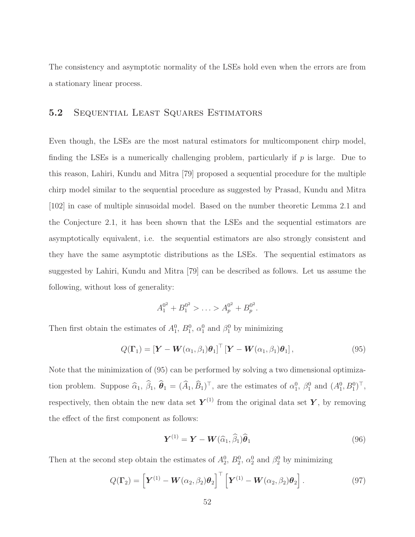The consistency and asymptotic normality of the LSEs hold even when the errors are from a stationary linear process.

#### 5.2 Sequential Least Squares Estimators

Even though, the LSEs are the most natural estimators for multicomponent chirp model, finding the LSEs is a numerically challenging problem, particularly if  $p$  is large. Due to this reason, Lahiri, Kundu and Mitra [79] proposed a sequential procedure for the multiple chirp model similar to the sequential procedure as suggested by Prasad, Kundu and Mitra [102] in case of multiple sinusoidal model. Based on the number theoretic Lemma 2.1 and the Conjecture 2.1, it has been shown that the LSEs and the sequential estimators are asymptotically equivalent, i.e. the sequential estimators are also strongly consistent and they have the same asymptotic distributions as the LSEs. The sequential estimators as suggested by Lahiri, Kundu and Mitra [79] can be described as follows. Let us assume the following, without loss of generality:

$$
A_1^{0^2} + B_1^{0^2} > \ldots > A_p^{0^2} + B_p^{0^2}.
$$

Then first obtain the estimates of  $A_1^0$ ,  $B_1^0$ ,  $\alpha_1^0$  and  $\beta_1^0$  by minimizing

$$
Q(\Gamma_1) = \left[\boldsymbol{Y} - \boldsymbol{W}(\alpha_1, \beta_1)\boldsymbol{\theta}_1\right]^\top \left[\boldsymbol{Y} - \boldsymbol{W}(\alpha_1, \beta_1)\boldsymbol{\theta}_1\right],\tag{95}
$$

Note that the minimization of (95) can be performed by solving a two dimensional optimization problem. Suppose  $\hat{\alpha}_1$ ,  $\hat{\beta}_1$ ,  $\hat{\theta}_1 = (\hat{A}_1, \hat{B}_1)^T$ , are the estimates of  $\alpha_1^0$ ,  $\beta_1^0$  and  $(A_1^0, B_1^0)^T$ , respectively, then obtain the new data set  $Y^{(1)}$  from the original data set Y, by removing the effect of the first component as follows:

$$
\boldsymbol{Y}^{(1)} = \boldsymbol{Y} - \boldsymbol{W}(\widehat{\alpha}_1, \widehat{\beta}_1) \widehat{\boldsymbol{\theta}}_1 \tag{96}
$$

Then at the second step obtain the estimates of  $A_2^0$ ,  $B_2^0$ ,  $\alpha_2^0$  and  $\beta_2^0$  by minimizing

$$
Q(\Gamma_2) = \left[ \boldsymbol{Y}^{(1)} - \boldsymbol{W}(\alpha_2, \beta_2) \boldsymbol{\theta}_2 \right]^\top \left[ \boldsymbol{Y}^{(1)} - \boldsymbol{W}(\alpha_2, \beta_2) \boldsymbol{\theta}_2 \right]. \tag{97}
$$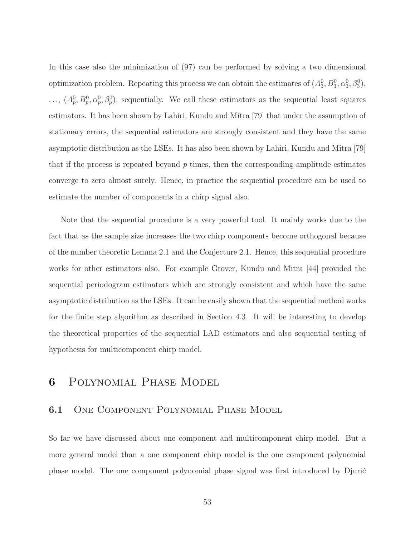In this case also the minimization of (97) can be performed by solving a two dimensional optimization problem. Repeating this process we can obtain the estimates of  $(A_3^0, B_3^0, \alpha_3^0, \beta_3^0)$ ,  $\ldots$ ,  $(A_p^0, B_p^0, \alpha_p^0, \beta_p^0)$ , sequentially. We call these estimators as the sequential least squares estimators. It has been shown by Lahiri, Kundu and Mitra [79] that under the assumption of stationary errors, the sequential estimators are strongly consistent and they have the same asymptotic distribution as the LSEs. It has also been shown by Lahiri, Kundu and Mitra [79] that if the process is repeated beyond  $p$  times, then the corresponding amplitude estimates converge to zero almost surely. Hence, in practice the sequential procedure can be used to estimate the number of components in a chirp signal also.

Note that the sequential procedure is a very powerful tool. It mainly works due to the fact that as the sample size increases the two chirp components become orthogonal because of the number theoretic Lemma 2.1 and the Conjecture 2.1. Hence, this sequential procedure works for other estimators also. For example Grover, Kundu and Mitra [44] provided the sequential periodogram estimators which are strongly consistent and which have the same asymptotic distribution as the LSEs. It can be easily shown that the sequential method works for the finite step algorithm as described in Section 4.3. It will be interesting to develop the theoretical properties of the sequential LAD estimators and also sequential testing of hypothesis for multicomponent chirp model.

# 6 Polynomial Phase Model

### 6.1 One Component Polynomial Phase Model

So far we have discussed about one component and multicomponent chirp model. But a more general model than a one component chirp model is the one component polynomial phase model. The one component polynomial phase signal was first introduced by Djurić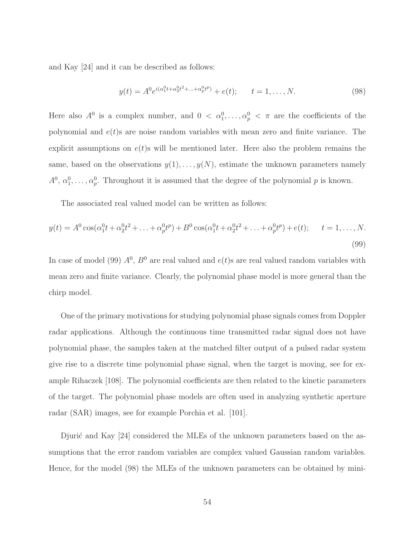and Kay [24] and it can be described as follows:

$$
y(t) = A^0 e^{i(\alpha_1^0 t + \alpha_2^0 t^2 + \dots + \alpha_p^0 t^p)} + e(t); \qquad t = 1, \dots, N. \tag{98}
$$

Here also  $A^0$  is a complex number, and  $0 < \alpha_1^0, \ldots, \alpha_p^0 < \pi$  are the coefficients of the polynomial and  $e(t)$ s are noise random variables with mean zero and finite variance. The explicit assumptions on  $e(t)$ s will be mentioned later. Here also the problem remains the same, based on the observations  $y(1), \ldots, y(N)$ , estimate the unknown parameters namely  $A^0, \alpha_1^0, \ldots, \alpha_p^0$ . Throughout it is assumed that the degree of the polynomial p is known.

The associated real valued model can be written as follows:

$$
y(t) = A^0 \cos(\alpha_1^0 t + \alpha_2^0 t^2 + \dots + \alpha_p^0 t^p) + B^0 \cos(\alpha_1^0 t + \alpha_2^0 t^2 + \dots + \alpha_p^0 t^p) + e(t); \qquad t = 1, \dots, N.
$$
\n(99)

In case of model (99)  $A^0$ ,  $B^0$  are real valued and  $e(t)$ s are real valued random variables with mean zero and finite variance. Clearly, the polynomial phase model is more general than the chirp model.

One of the primary motivations for studying polynomial phase signals comes from Doppler radar applications. Although the continuous time transmitted radar signal does not have polynomial phase, the samples taken at the matched filter output of a pulsed radar system give rise to a discrete time polynomial phase signal, when the target is moving, see for example Rihaczek [108]. The polynomial coefficients are then related to the kinetic parameters of the target. The polynomial phase models are often used in analyzing synthetic aperture radar (SAR) images, see for example Porchia et al. [101].

Djuric and Kay  $[24]$  considered the MLEs of the unknown parameters based on the assumptions that the error random variables are complex valued Gaussian random variables. Hence, for the model (98) the MLEs of the unknown parameters can be obtained by mini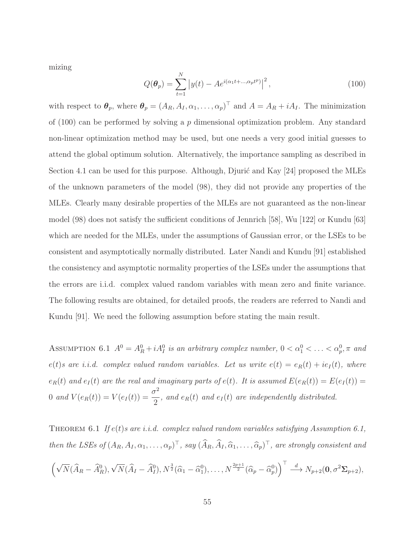mizing

$$
Q(\boldsymbol{\theta}_p) = \sum_{t=1}^{N} |y(t) - Ae^{i(\alpha_1 t + \dots, \alpha_p t^p)}|^2, \qquad (100)
$$

with respect to  $\theta_p$ , where  $\theta_p = (A_R, A_I, \alpha_1, \dots, \alpha_p)^\top$  and  $A = A_R + iA_I$ . The minimization of  $(100)$  can be performed by solving a p dimensional optimization problem. Any standard non-linear optimization method may be used, but one needs a very good initial guesses to attend the global optimum solution. Alternatively, the importance sampling as described in Section 4.1 can be used for this purpose. Although, Djuric and Kay  $[24]$  proposed the MLEs of the unknown parameters of the model (98), they did not provide any properties of the MLEs. Clearly many desirable properties of the MLEs are not guaranteed as the non-linear model (98) does not satisfy the sufficient conditions of Jennrich [58], Wu [122] or Kundu [63] which are needed for the MLEs, under the assumptions of Gaussian error, or the LSEs to be consistent and asymptotically normally distributed. Later Nandi and Kundu [91] established the consistency and asymptotic normality properties of the LSEs under the assumptions that the errors are i.i.d. complex valued random variables with mean zero and finite variance. The following results are obtained, for detailed proofs, the readers are referred to Nandi and Kundu [91]. We need the following assumption before stating the main result.

ASSUMPTION 6.1  $A^0 = A_R^0 + iA_I^0$  is an arbitrary complex number,  $0 < \alpha_1^0 < \ldots < \alpha_p^0, \pi$  and  $e(t)$ s are i.i.d. complex valued random variables. Let us write  $e(t) = e_R(t) + ie_I(t)$ , where  $e_R(t)$  and  $e_I(t)$  are the real and imaginary parts of  $e(t)$ . It is assumed  $E(e_R(t)) = E(e_I(t)) =$ 0 and  $V(e_R(t)) = V(e_I(t)) = \frac{\sigma^2}{2}$  $\frac{1}{2}$ , and  $e_R(t)$  and  $e_I(t)$  are independently distributed.

THEOREM 6.1 If  $e(t)$ s are i.i.d. complex valued random variables satisfying Assumption 6.1, then the LSEs of  $(A_R, A_I, \alpha_1, \ldots, \alpha_p)^\top$ , say  $(\widehat{A}_R, \widehat{A}_I, \widehat{\alpha}_1, \ldots, \widehat{\alpha}_p)^\top$ , are strongly consistent and

$$
\left(\sqrt{N}(\widehat{A}_R-\widehat{A}_R^0),\sqrt{N}(\widehat{A}_I-\widehat{A}_I^0),N^{\frac{3}{2}}(\widehat{\alpha}_1-\widehat{\alpha}_1^0),\ldots,N^{\frac{2p+1}{2}}(\widehat{\alpha}_p-\widehat{\alpha}_p^0)\right)^{\top}\stackrel{d}{\longrightarrow}N_{p+2}(\mathbf{0},\sigma^2\Sigma_{p+2}),
$$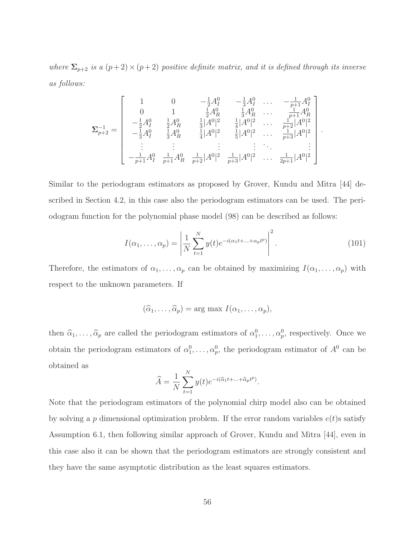where  $\Sigma_{p+2}$  is a  $(p+2) \times (p+2)$  positive definite matrix, and it is defined through its inverse as follows:

$$
\Sigma_{p+2}^{-1} = \begin{bmatrix} 1 & 0 & -\frac{1}{2}A_1^0 & -\frac{1}{3}A_1^0 & \dots & -\frac{1}{p+1}A_1^0 \\ 0 & 1 & \frac{1}{2}A_R^0 & \frac{1}{3}A_R^0 & \dots & \frac{1}{p+1}A_R^0 \\ -\frac{1}{2}A_1^0 & \frac{1}{2}A_R^0 & \frac{1}{3}|A^0|^2 & \frac{1}{4}|A^0|^2 & \dots & \frac{1}{p+2}|A^0|^2 \\ -\frac{1}{3}A_1^0 & \frac{1}{3}A_R^0 & \frac{1}{4}|A^0|^2 & \frac{1}{5}|A^0|^2 & \dots & \frac{1}{p+3}|A^0|^2 \\ \vdots & \vdots & \vdots & \vdots & \ddots & \vdots \\ -\frac{1}{p+1}A_1^0 & \frac{1}{p+1}A_R^0 & \frac{1}{p+2}|A^0|^2 & \frac{1}{p+3}|A^0|^2 & \dots & \frac{1}{2p+1}|A^0|^2 \end{bmatrix}.
$$

Similar to the periodogram estimators as proposed by Grover, Kundu and Mitra [44] described in Section 4.2, in this case also the periodogram estimators can be used. The periodogram function for the polynomial phase model (98) can be described as follows:

$$
I(\alpha_1, ..., \alpha_p) = \left| \frac{1}{N} \sum_{t=1}^{N} y(t) e^{-i(\alpha_1 t + ... + \alpha_p t^p)} \right|^2.
$$
 (101)

Therefore, the estimators of  $\alpha_1, \ldots, \alpha_p$  can be obtained by maximizing  $I(\alpha_1, \ldots, \alpha_p)$  with respect to the unknown parameters. If

$$
(\widehat{\alpha}_1,\ldots,\widehat{\alpha}_p)=\arg\max I(\alpha_1,\ldots,\alpha_p),
$$

then  $\hat{\alpha}_1, \ldots, \hat{\alpha}_p$  are called the periodogram estimators of  $\alpha_1^0, \ldots, \alpha_p^0$ , respectively. Once we obtain the periodogram estimators of  $\alpha_1^0, \ldots, \alpha_p^0$ , the periodogram estimator of  $A^0$  can be obtained as

$$
\widehat{A} = \frac{1}{N} \sum_{t=1}^{N} y(t) e^{-i(\widehat{\alpha}_1 t + \dots + \widehat{\alpha}_p t^p)}.
$$

Note that the periodogram estimators of the polynomial chirp model also can be obtained by solving a p dimensional optimization problem. If the error random variables  $e(t)$ s satisfy Assumption 6.1, then following similar approach of Grover, Kundu and Mitra [44], even in this case also it can be shown that the periodogram estimators are strongly consistent and they have the same asymptotic distribution as the least squares estimators.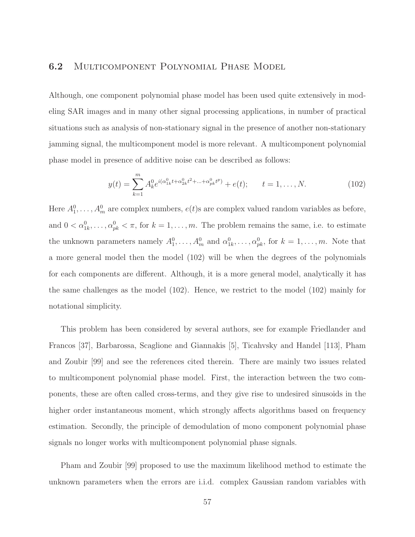#### 6.2 Multicomponent Polynomial Phase Model

Although, one component polynomial phase model has been used quite extensively in modeling SAR images and in many other signal processing applications, in number of practical situations such as analysis of non-stationary signal in the presence of another non-stationary jamming signal, the multicomponent model is more relevant. A multicomponent polynomial phase model in presence of additive noise can be described as follows:

$$
y(t) = \sum_{k=1}^{m} A_k^0 e^{i(\alpha_{1k}^0 t + \alpha_{2k}^0 t^2 + \dots + \alpha_{pk}^0 t^p)} + e(t); \qquad t = 1, \dots, N. \tag{102}
$$

Here  $A_1^0, \ldots, A_m^0$  are complex numbers,  $e(t)$ s are complex valued random variables as before, and  $0 < \alpha_{1k}^0, \ldots, \alpha_{pk}^0 < \pi$ , for  $k = 1, \ldots, m$ . The problem remains the same, i.e. to estimate the unknown parameters namely  $A_1^0, \ldots, A_m^0$  and  $\alpha_{1k}^0, \ldots, \alpha_{pk}^0$ , for  $k = 1, \ldots, m$ . Note that a more general model then the model (102) will be when the degrees of the polynomials for each components are different. Although, it is a more general model, analytically it has the same challenges as the model (102). Hence, we restrict to the model (102) mainly for notational simplicity.

This problem has been considered by several authors, see for example Friedlander and Francos [37], Barbarossa, Scaglione and Giannakis [5], Ticahvsky and Handel [113], Pham and Zoubir [99] and see the references cited therein. There are mainly two issues related to multicomponent polynomial phase model. First, the interaction between the two components, these are often called cross-terms, and they give rise to undesired sinusoids in the higher order instantaneous moment, which strongly affects algorithms based on frequency estimation. Secondly, the principle of demodulation of mono component polynomial phase signals no longer works with multicomponent polynomial phase signals.

Pham and Zoubir [99] proposed to use the maximum likelihood method to estimate the unknown parameters when the errors are i.i.d. complex Gaussian random variables with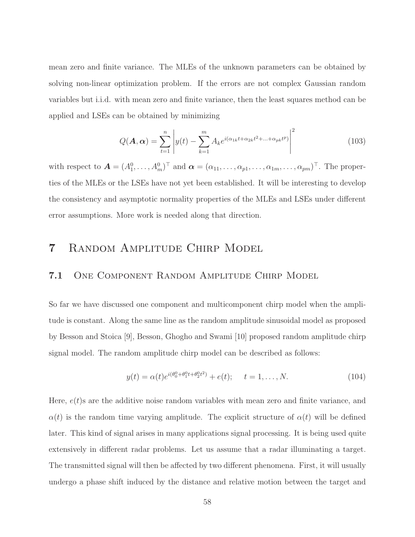mean zero and finite variance. The MLEs of the unknown parameters can be obtained by solving non-linear optimization problem. If the errors are not complex Gaussian random variables but i.i.d. with mean zero and finite variance, then the least squares method can be applied and LSEs can be obtained by minimizing

$$
Q(\mathbf{A}, \alpha) = \sum_{t=1}^{n} \left| y(t) - \sum_{k=1}^{m} A_k e^{i(\alpha_{1k}t + \alpha_{2k}t^2 + \dots + \alpha_{pk}t^p)} \right|^2
$$
 (103)

with respect to  $\mathbf{A} = (A_1^0, \ldots, A_m^0)^\top$  and  $\boldsymbol{\alpha} = (\alpha_{11}, \ldots, \alpha_{p1}, \ldots, \alpha_{1m}, \ldots, \alpha_{pm})^\top$ . The properties of the MLEs or the LSEs have not yet been established. It will be interesting to develop the consistency and asymptotic normality properties of the MLEs and LSEs under different error assumptions. More work is needed along that direction.

# 7 Random Amplitude Chirp Model

### 7.1 One Component Random Amplitude Chirp Model

So far we have discussed one component and multicomponent chirp model when the amplitude is constant. Along the same line as the random amplitude sinusoidal model as proposed by Besson and Stoica [9], Besson, Ghogho and Swami [10] proposed random amplitude chirp signal model. The random amplitude chirp model can be described as follows:

$$
y(t) = \alpha(t)e^{i(\theta_0^0 + \theta_1^0 t + \theta_2^0 t^2)} + e(t); \quad t = 1, \dots, N.
$$
 (104)

Here,  $e(t)$ s are the additive noise random variables with mean zero and finite variance, and  $\alpha(t)$  is the random time varying amplitude. The explicit structure of  $\alpha(t)$  will be defined later. This kind of signal arises in many applications signal processing. It is being used quite extensively in different radar problems. Let us assume that a radar illuminating a target. The transmitted signal will then be affected by two different phenomena. First, it will usually undergo a phase shift induced by the distance and relative motion between the target and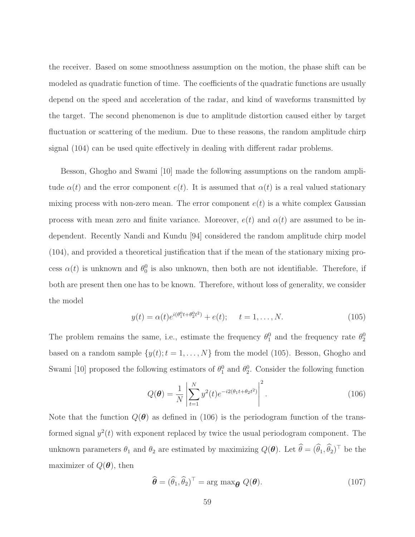the receiver. Based on some smoothness assumption on the motion, the phase shift can be modeled as quadratic function of time. The coefficients of the quadratic functions are usually depend on the speed and acceleration of the radar, and kind of waveforms transmitted by the target. The second phenomenon is due to amplitude distortion caused either by target fluctuation or scattering of the medium. Due to these reasons, the random amplitude chirp signal (104) can be used quite effectively in dealing with different radar problems.

Besson, Ghogho and Swami [10] made the following assumptions on the random amplitude  $\alpha(t)$  and the error component  $e(t)$ . It is assumed that  $\alpha(t)$  is a real valued stationary mixing process with non-zero mean. The error component  $e(t)$  is a white complex Gaussian process with mean zero and finite variance. Moreover,  $e(t)$  and  $\alpha(t)$  are assumed to be independent. Recently Nandi and Kundu [94] considered the random amplitude chirp model (104), and provided a theoretical justification that if the mean of the stationary mixing process  $\alpha(t)$  is unknown and  $\theta_0^0$  is also unknown, then both are not identifiable. Therefore, if both are present then one has to be known. Therefore, without loss of generality, we consider the model

$$
y(t) = \alpha(t)e^{i(\theta_1^0 t + \theta_2^0 t^2)} + e(t); \quad t = 1, ..., N.
$$
 (105)

The problem remains the same, i.e., estimate the frequency  $\theta_1^0$  and the frequency rate  $\theta_2^0$ based on a random sample  $\{y(t); t = 1, ..., N\}$  from the model (105). Besson, Ghogho and Swami [10] proposed the following estimators of  $\theta_1^0$  and  $\theta_2^0$ . Consider the following function

$$
Q(\boldsymbol{\theta}) = \frac{1}{N} \left| \sum_{t=1}^{N} y^2(t) e^{-i2(\theta_1 t + \theta_2 t^2)} \right|^2.
$$
 (106)

Note that the function  $Q(\theta)$  as defined in (106) is the periodogram function of the transformed signal  $y^2(t)$  with exponent replaced by twice the usual periodogram component. The unknown parameters  $\theta_1$  and  $\theta_2$  are estimated by maximizing  $Q(\theta)$ . Let  $\widehat{\theta} = (\widehat{\theta}_1, \widehat{\theta}_2)^{\top}$  be the maximizer of  $Q(\boldsymbol{\theta})$ , then

$$
\widehat{\boldsymbol{\theta}} = (\widehat{\theta}_1, \widehat{\theta}_2)^{\top} = \arg \max_{\boldsymbol{\theta}} Q(\boldsymbol{\theta}). \tag{107}
$$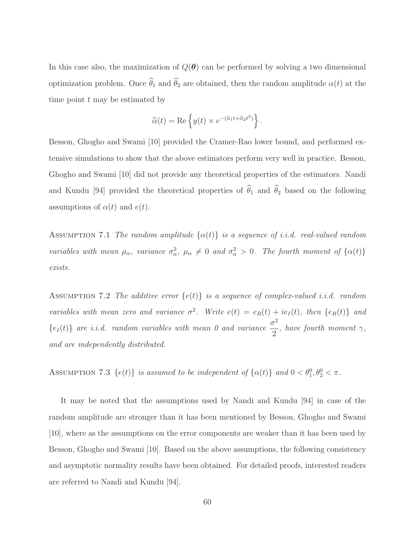In this case also, the maximization of  $Q(\theta)$  can be performed by solving a two dimensional optimization problem. Once  $\hat{\theta}_1$  and  $\hat{\theta}_2$  are obtained, then the random amplitude  $\alpha(t)$  at the time point  $t$  may be estimated by

$$
\widehat{\alpha}(t) = \text{Re}\left\{y(t) \times e^{-(\widehat{\alpha}_1 t + \widehat{\alpha}_2 t^2)}\right\}.
$$

Besson, Ghogho and Swami [10] provided the Cramer-Rao lower bound, and performed extensive simulations to show that the above estimators perform very well in practice. Besson, Ghogho and Swami [10] did not provide any theoretical properties of the estimators. Nandi and Kundu [94] provided the theoretical properties of  $\hat{\theta}_1$  and  $\hat{\theta}_2$  based on the following assumptions of  $\alpha(t)$  and  $e(t)$ .

ASSUMPTION 7.1 The random amplitude  $\{\alpha(t)\}\$ is a sequence of i.i.d. real-valued random variables with mean  $\mu_{\alpha}$ , variance  $\sigma_{\alpha}^2$ ,  $\mu_{\alpha} \neq 0$  and  $\sigma_{\alpha}^2 > 0$ . The fourth moment of  $\{\alpha(t)\}$ exists.

ASSUMPTION 7.2 The additive error  $\{e(t)\}\$ is a sequence of complex-valued i.i.d. random variables with mean zero and variance  $\sigma^2$ . Write  $e(t) = e_R(t) + ie_I(t)$ , then  $\{e_R(t)\}\$  and  ${e_I (t)}$  are i.i.d. random variables with mean 0 and variance  $\frac{\sigma^2}{2}$ 2 , have fourth moment  $\gamma$ , and are independently distributed.

ASSUMPTION 7.3  $\{e(t)\}\$ is assumed to be independent of  $\{\alpha(t)\}\$ and  $0 < \theta_1^0, \theta_2^0 < \pi$ .

It may be noted that the assumptions used by Nandi and Kundu [94] in case of the random amplitude are stronger than it has been mentioned by Besson, Ghogho and Swami [10], where as the assumptions on the error components are weaker than it has been used by Besson, Ghogho and Swami [10]. Based on the above assumptions, the following consistency and asymptotic normality results have been obtained. For detailed proofs, interested readers are referred to Nandi and Kundu [94].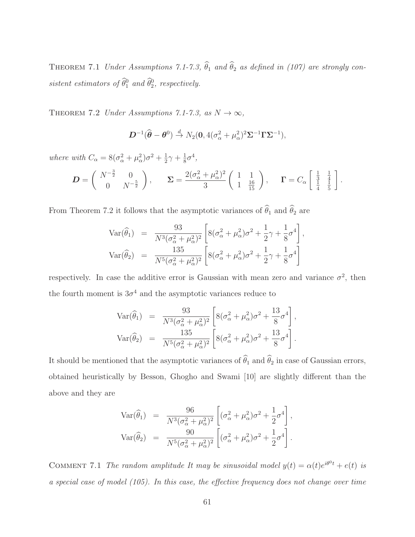THEOREM 7.1 Under Assumptions 7.1-7.3,  $\hat{\theta}_1$  and  $\hat{\theta}_2$  as defined in (107) are strongly consistent estimators of  $\hat{\theta}_1^0$  and  $\hat{\theta}_2^0$ , respectively.

THEOREM 7.2 Under Assumptions 7.1-7.3, as  $N \to \infty$ ,

$$
\boldsymbol{D}^{-1}(\widehat{\boldsymbol{\theta}}-\boldsymbol{\theta}^0) \stackrel{d}{\rightarrow} N_2(\mathbf{0}, 4(\sigma_{\alpha}^2+\mu_{\alpha}^2)^2 \boldsymbol{\Sigma}^{-1} \boldsymbol{\Gamma} \boldsymbol{\Sigma}^{-1}),
$$

where with  $C_{\alpha} = 8(\sigma_{\alpha}^2 + \mu_{\alpha}^2)\sigma^2 + \frac{1}{2}$  $rac{1}{2}\gamma + \frac{1}{8}$  $\frac{1}{8}\sigma^4$ ,

$$
\mathbf{D} = \begin{pmatrix} N^{-\frac{3}{2}} & 0 \\ 0 & N^{-\frac{5}{2}} \end{pmatrix}, \quad \Sigma = \frac{2(\sigma_{\alpha}^2 + \mu_{\alpha}^2)^2}{3} \begin{pmatrix} 1 & 1 \\ 1 & \frac{16}{15} \end{pmatrix}, \quad \Gamma = C_{\alpha} \begin{bmatrix} \frac{1}{3} & \frac{1}{4} \\ \frac{1}{4} & \frac{1}{5} \end{bmatrix}.
$$

From Theorem 7.2 it follows that the asymptotic variances of  $\hat{\theta}_1$  and  $\hat{\theta}_2$  are

$$
\begin{array}{rcl}\n\text{Var}(\widehat{\theta}_{1}) & = & \frac{93}{N^{3}(\sigma_{\alpha}^{2} + \mu_{\alpha}^{2})^{2}} \left[ 8(\sigma_{\alpha}^{2} + \mu_{\alpha}^{2})\sigma^{2} + \frac{1}{2}\gamma + \frac{1}{8}\sigma^{4} \right], \\
\text{Var}(\widehat{\theta}_{2}) & = & \frac{135}{N^{5}(\sigma_{\alpha}^{2} + \mu_{\alpha}^{2})^{2}} \left[ 8(\sigma_{\alpha}^{2} + \mu_{\alpha}^{2})\sigma^{2} + \frac{1}{2}\gamma + \frac{1}{8}\sigma^{4} \right]\n\end{array}
$$

respectively. In case the additive error is Gaussian with mean zero and variance  $\sigma^2$ , then the fourth moment is  $3\sigma^4$  and the asymptotic variances reduce to

$$
Var(\hat{\theta}_1) = \frac{93}{N^3(\sigma_{\alpha}^2 + \mu_{\alpha}^2)^2} \left[ 8(\sigma_{\alpha}^2 + \mu_{\alpha}^2)\sigma^2 + \frac{13}{8}\sigma^4 \right],
$$
  
\n
$$
Var(\hat{\theta}_2) = \frac{135}{N^5(\sigma_{\alpha}^2 + \mu_{\alpha}^2)^2} \left[ 8(\sigma_{\alpha}^2 + \mu_{\alpha}^2)\sigma^2 + \frac{13}{8}\sigma^4 \right].
$$

It should be mentioned that the asymptotic variances of  $\widehat{\theta}_1$  and  $\widehat{\theta}_2$  in case of Gaussian errors, obtained heuristically by Besson, Ghogho and Swami [10] are slightly different than the above and they are

$$
\begin{array}{rcl}\n\text{Var}(\widehat{\theta}_1) & = & \frac{96}{N^3(\sigma_\alpha^2 + \mu_\alpha^2)^2} \left[ (\sigma_\alpha^2 + \mu_\alpha^2) \sigma^2 + \frac{1}{2} \sigma^4 \right], \\
\text{Var}(\widehat{\theta}_2) & = & \frac{90}{N^5(\sigma_\alpha^2 + \mu_\alpha^2)^2} \left[ (\sigma_\alpha^2 + \mu_\alpha^2) \sigma^2 + \frac{1}{2} \sigma^4 \right].\n\end{array}
$$

COMMENT 7.1 The random amplitude It may be sinusoidal model  $y(t) = \alpha(t)e^{i\theta^0 t} + e(t)$  is a special case of model (105). In this case, the effective frequency does not change over time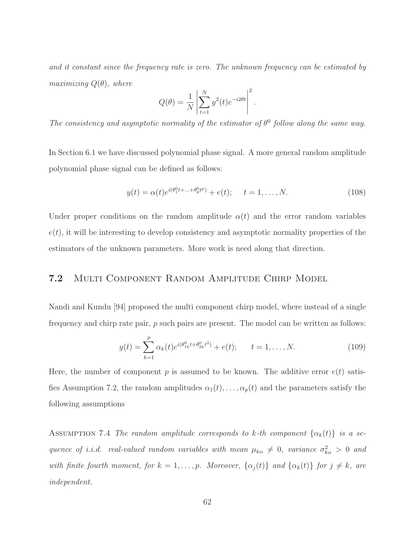and it constant since the frequency rate is zero. The unknown frequency can be estimated by maximizing  $Q(\theta)$ , where

$$
Q(\theta) = \frac{1}{N} \left| \sum_{t=1}^{N} y^2(t) e^{-i2\theta t} \right|^2.
$$

The consistency and asymptotic normality of the estimator of  $\theta^0$  follow along the same way.

In Section 6.1 we have discussed polynomial phase signal. A more general random amplitude polynomial phase signal can be defined as follows:

$$
y(t) = \alpha(t)e^{i(\theta_1^0 t + \dots + \theta_p^0 t^p)} + e(t); \quad t = 1, \dots, N.
$$
 (108)

Under proper conditions on the random amplitude  $\alpha(t)$  and the error random variables  $e(t)$ , it will be interesting to develop consistency and asymptotic normality properties of the estimators of the unknown parameters. More work is need along that direction.

## 7.2 Multi Component Random Amplitude Chirp Model

Nandi and Kundu [94] proposed the multi component chirp model, where instead of a single frequency and chirp rate pair, p such pairs are present. The model can be written as follows:

$$
y(t) = \sum_{k=1}^{p} \alpha_k(t) e^{i(\theta_{1k}^0 t + \theta_{2k}^0 t^2)} + e(t); \qquad t = 1, \dots, N.
$$
 (109)

Here, the number of component p is assumed to be known. The additive error  $e(t)$  satisfies Assumption 7.2, the random amplitudes  $\alpha_1(t), \ldots, \alpha_p(t)$  and the parameters satisfy the following assumptions

ASSUMPTION 7.4 The random amplitude corresponds to k-th component  $\{\alpha_k(t)\}\$ is a sequence of *i.i.d.* real-valued random variables with mean  $\mu_{k\alpha} \neq 0$ , variance  $\sigma_{k\alpha}^2 > 0$  and with finite fourth moment, for  $k = 1, \ldots, p$ . Moreover,  $\{\alpha_j(t)\}\$  and  $\{\alpha_k(t)\}\$  for  $j \neq k$ , are independent.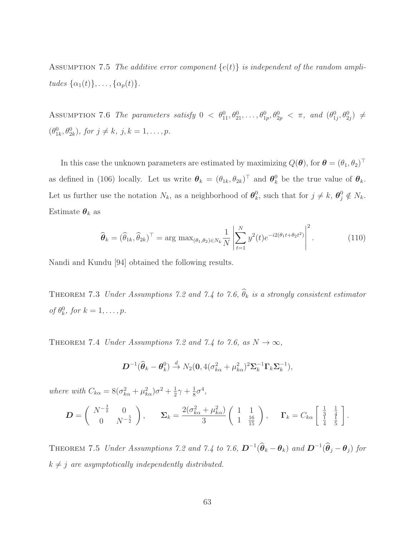ASSUMPTION 7.5 The additive error component  $\{e(t)\}\$ is independent of the random amplitudes  $\{\alpha_1(t)\}, \ldots, \{\alpha_p(t)\}.$ 

ASSUMPTION 7.6 The parameters satisfy  $0 < \theta_{11}^0, \theta_{21}^0, \ldots, \theta_{1p}^0, \theta_{2p}^0 < \pi$ , and  $(\theta_{1j}^0, \theta_{2j}^0) \neq$  $(\theta_{1k}^0, \theta_{2k}^0), \text{ for } j \neq k, \text{ } j, k = 1, \ldots, p.$ 

In this case the unknown parameters are estimated by maximizing  $Q(\theta)$ , for  $\theta = (\theta_1, \theta_2)^{\top}$ as defined in (106) locally. Let us write  $\boldsymbol{\theta}_k = (\theta_{1k}, \theta_{2k})^\top$  and  $\boldsymbol{\theta}_k^0$  be the true value of  $\boldsymbol{\theta}_k$ . Let us further use the notation  $N_k$ , as a neighborhood of  $\theta_k^0$ <sup>0</sup><sub>k</sub>, such that for  $j \neq k$ ,  $\boldsymbol{\theta}_j^0 \notin N_k$ . Estimate  $\boldsymbol{\theta}_k$  as

$$
\widehat{\boldsymbol{\theta}}_k = (\widehat{\theta}_{1k}, \widehat{\theta}_{2k})^\top = \arg \max_{(\theta_1, \theta_2) \in N_k} \frac{1}{N} \left| \sum_{t=1}^N y^2(t) e^{-i2(\theta_1 t + \theta_2 t^2)} \right|^2.
$$
 (110)

Nandi and Kundu [94] obtained the following results.

THEOREM 7.3 Under Assumptions 7.2 and 7.4 to 7.6,  $\widehat{\theta}_k$  is a strongly consistent estimator of  $\theta_k^0$ , for  $k = 1, \ldots, p$ .

THEOREM 7.4 Under Assumptions 7.2 and 7.4 to 7.6, as  $N \to \infty$ ,

$$
\boldsymbol{D}^{-1}(\widehat{\boldsymbol{\theta}}_k - \boldsymbol{\theta}_k^0) \stackrel{d}{\to} N_2(\mathbf{0}, 4(\sigma_{k\alpha}^2 + \mu_{k\alpha}^2)^2 \boldsymbol{\Sigma}_k^{-1} \boldsymbol{\Gamma}_k \boldsymbol{\Sigma}_k^{-1}),
$$

where with  $C_{k\alpha} = 8(\sigma_{k\alpha}^2 + \mu_{k\alpha}^2)\sigma^2 + \frac{1}{2}$  $rac{1}{2}\gamma + \frac{1}{8}$  $\frac{1}{8}\sigma^4$ ,

$$
\mathbf{D} = \begin{pmatrix} N^{-\frac{3}{2}} & 0 \\ 0 & N^{-\frac{5}{2}} \end{pmatrix}, \quad \Sigma_k = \frac{2(\sigma_{k\alpha}^2 + \mu_{k\alpha}^2)}{3} \begin{pmatrix} 1 & 1 \\ 1 & \frac{16}{15} \end{pmatrix}, \quad \Gamma_k = C_{k\alpha} \begin{bmatrix} \frac{1}{3} & \frac{1}{4} \\ \frac{1}{4} & \frac{1}{5} \end{bmatrix}.
$$

THEOREM 7.5 Under Assumptions 7.2 and 7.4 to 7.6,  $\mathbf{D}^{-1}(\widehat{\theta}_k - \theta_k)$  and  $\mathbf{D}^{-1}(\widehat{\theta}_j - \theta_j)$  for  $k \neq j$  are asymptotically independently distributed.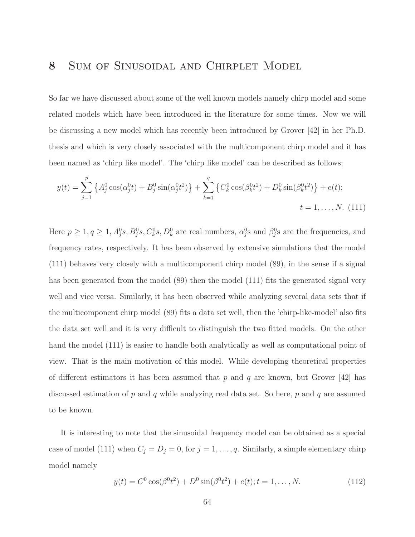# 8 Sum of Sinusoidal and Chirplet Model

So far we have discussed about some of the well known models namely chirp model and some related models which have been introduced in the literature for some times. Now we will be discussing a new model which has recently been introduced by Grover [42] in her Ph.D. thesis and which is very closely associated with the multicomponent chirp model and it has been named as 'chirp like model'. The 'chirp like model' can be described as follows;

$$
y(t) = \sum_{j=1}^{p} \left\{ A_j^0 \cos(\alpha_j^0 t) + B_j^0 \sin(\alpha_j^0 t^2) \right\} + \sum_{k=1}^{q} \left\{ C_k^0 \cos(\beta_k^0 t^2) + D_k^0 \sin(\beta_k^0 t^2) \right\} + e(t);
$$
  

$$
t = 1, ..., N. \tag{111}
$$

Here  $p \ge 1, q \ge 1, A_j^0s, B_j^0s, C_k^0s, D_k^0$  are real numbers,  $\alpha_j^0$ s and  $\beta_j^0s$  are the frequencies, and frequency rates, respectively. It has been observed by extensive simulations that the model (111) behaves very closely with a multicomponent chirp model (89), in the sense if a signal has been generated from the model (89) then the model (111) fits the generated signal very well and vice versa. Similarly, it has been observed while analyzing several data sets that if the multicomponent chirp model (89) fits a data set well, then the 'chirp-like-model' also fits the data set well and it is very difficult to distinguish the two fitted models. On the other hand the model (111) is easier to handle both analytically as well as computational point of view. That is the main motivation of this model. While developing theoretical properties of different estimators it has been assumed that p and q are known, but Grover  $[42]$  has discussed estimation of  $p$  and  $q$  while analyzing real data set. So here,  $p$  and  $q$  are assumed to be known.

It is interesting to note that the sinusoidal frequency model can be obtained as a special case of model (111) when  $C_j = D_j = 0$ , for  $j = 1, \ldots, q$ . Similarly, a simple elementary chirp model namely

$$
y(t) = C^{0} \cos(\beta^{0} t^{2}) + D^{0} \sin(\beta^{0} t^{2}) + e(t); t = 1, ..., N.
$$
 (112)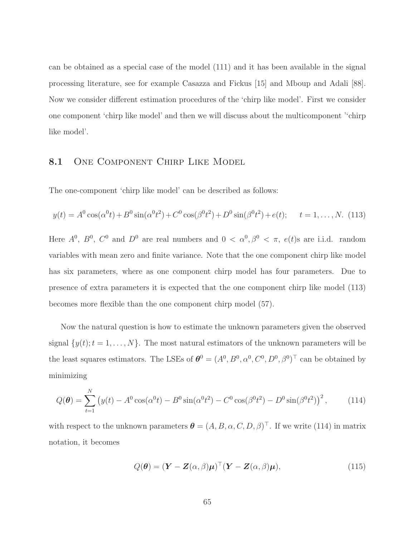can be obtained as a special case of the model (111) and it has been available in the signal processing literature, see for example Casazza and Fickus [15] and Mboup and Adali [88]. Now we consider different estimation procedures of the 'chirp like model'. First we consider one component 'chirp like model' and then we will discuss about the multicomponent ''chirp like model'.

#### 8.1 ONE COMPONENT CHIRP LIKE MODEL

The one-component 'chirp like model' can be described as follows:

$$
y(t) = A^0 \cos(\alpha^0 t) + B^0 \sin(\alpha^0 t^2) + C^0 \cos(\beta^0 t^2) + D^0 \sin(\beta^0 t^2) + e(t); \quad t = 1, ..., N. \tag{113}
$$

Here  $A^0$ ,  $B^0$ ,  $C^0$  and  $D^0$  are real numbers and  $0 < \alpha^0, \beta^0 < \pi$ ,  $e(t)$ s are i.i.d. random variables with mean zero and finite variance. Note that the one component chirp like model has six parameters, where as one component chirp model has four parameters. Due to presence of extra parameters it is expected that the one component chirp like model (113) becomes more flexible than the one component chirp model (57).

Now the natural question is how to estimate the unknown parameters given the observed signal  $\{y(t); t = 1, \ldots, N\}$ . The most natural estimators of the unknown parameters will be the least squares estimators. The LSEs of  $\theta^0 = (A^0, B^0, \alpha^0, C^0, D^0, \beta^0)^\top$  can be obtained by minimizing

$$
Q(\boldsymbol{\theta}) = \sum_{t=1}^{N} \left( y(t) - A^0 \cos(\alpha^0 t) - B^0 \sin(\alpha^0 t^2) - C^0 \cos(\beta^0 t^2) - D^0 \sin(\beta^0 t^2) \right)^2, \tag{114}
$$

with respect to the unknown parameters  $\boldsymbol{\theta} = (A, B, \alpha, C, D, \beta)^{\top}$ . If we write (114) in matrix notation, it becomes

$$
Q(\boldsymbol{\theta}) = (\boldsymbol{Y} - \boldsymbol{Z}(\alpha, \beta)\boldsymbol{\mu})^{\top} (\boldsymbol{Y} - \boldsymbol{Z}(\alpha, \beta)\boldsymbol{\mu}), \qquad (115)
$$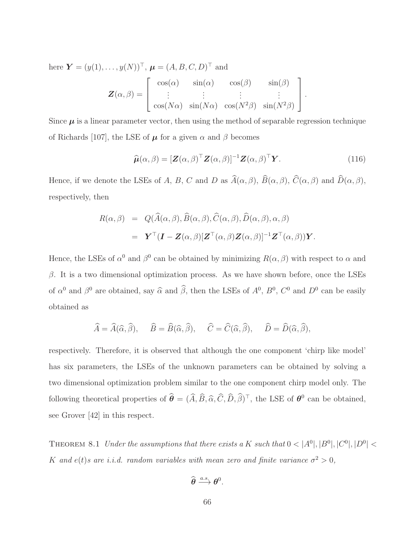here  $Y = (y(1), \ldots, y(N))^T$ ,  $\boldsymbol{\mu} = (A, B, C, D)^T$  and

$$
\mathbf{Z}(\alpha, \beta) = \begin{bmatrix} \cos(\alpha) & \sin(\alpha) & \cos(\beta) & \sin(\beta) \\ \vdots & \vdots & \vdots & \vdots \\ \cos(N\alpha) & \sin(N\alpha) & \cos(N^2\beta) & \sin(N^2\beta) \end{bmatrix}.
$$

Since  $\mu$  is a linear parameter vector, then using the method of separable regression technique of Richards [107], the LSE of  $\mu$  for a given  $\alpha$  and  $\beta$  becomes

$$
\widehat{\boldsymbol{\mu}}(\alpha,\beta) = [\boldsymbol{Z}(\alpha,\beta)]^\top \boldsymbol{Z}(\alpha,\beta)]^{-1} \boldsymbol{Z}(\alpha,\beta)^\top \boldsymbol{Y}.
$$
\n(116)

Hence, if we denote the LSEs of A, B, C and D as  $\widehat{A}(\alpha,\beta)$ ,  $\widehat{B}(\alpha,\beta)$ ,  $\widehat{C}(\alpha,\beta)$  and  $\widehat{D}(\alpha,\beta)$ , respectively, then

$$
R(\alpha, \beta) = Q(\widehat{A}(\alpha, \beta), \widehat{B}(\alpha, \beta), \widehat{C}(\alpha, \beta), \widehat{D}(\alpha, \beta), \alpha, \beta)
$$
  
= 
$$
\mathbf{Y}^{\top}(\mathbf{I} - \mathbf{Z}(\alpha, \beta)[\mathbf{Z}^{\top}(\alpha, \beta)\mathbf{Z}(\alpha, \beta)]^{-1}\mathbf{Z}^{\top}(\alpha, \beta))\mathbf{Y}.
$$

Hence, the LSEs of  $\alpha^0$  and  $\beta^0$  can be obtained by minimizing  $R(\alpha, \beta)$  with respect to  $\alpha$  and  $β$ . It is a two dimensional optimization process. As we have shown before, once the LSEs of  $\alpha^0$  and  $\beta^0$  are obtained, say  $\widehat{\alpha}$  and  $\widehat{\beta}$ , then the LSEs of  $A^0$ ,  $B^0$ ,  $C^0$  and  $D^0$  can be easily obtained as

$$
\widehat{A} = \widehat{A}(\widehat{\alpha}, \widehat{\beta}), \quad \widehat{B} = \widehat{B}(\widehat{\alpha}, \widehat{\beta}), \quad \widehat{C} = \widehat{C}(\widehat{\alpha}, \widehat{\beta}), \quad \widehat{D} = \widehat{D}(\widehat{\alpha}, \widehat{\beta}),
$$

respectively. Therefore, it is observed that although the one component 'chirp like model' has six parameters, the LSEs of the unknown parameters can be obtained by solving a two dimensional optimization problem similar to the one component chirp model only. The following theoretical properties of  $\hat{\theta} = (\hat{A}, \hat{B}, \hat{\alpha}, \hat{C}, \hat{D}, \hat{\beta})^{\top}$ , the LSE of  $\theta^0$  can be obtained, see Grover [42] in this respect.

THEOREM 8.1 Under the assumptions that there exists a K such that  $0 < |A^0|, |B^0|, |C^0|, |D^0| <$ K and  $e(t)$ s are i.i.d. random variables with mean zero and finite variance  $\sigma^2 > 0$ ,

$$
\widehat{\boldsymbol{\theta}} \xrightarrow{a.s.} \boldsymbol{\theta}^0.
$$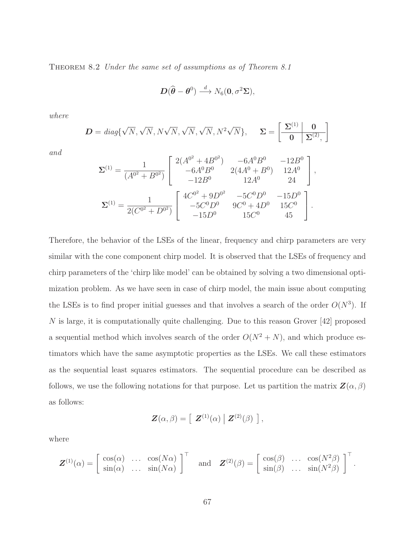THEOREM 8.2 Under the same set of assumptions as of Theorem 8.1

$$
\boldsymbol{D}(\widehat{\boldsymbol{\theta}}-\boldsymbol{\theta}^0)\stackrel{d}{\longrightarrow}N_6(\boldsymbol{0},\sigma^2\boldsymbol{\Sigma}),
$$

where

$$
\mathbf{D} = diag\{\sqrt{N}, \sqrt{N}, N\sqrt{N}, \sqrt{N}, \sqrt{N}, N^2\sqrt{N}\}, \quad \Sigma = \left[\begin{array}{c|c} \Sigma^{(1)} & \mathbf{0} \\ \hline \mathbf{0} & \Sigma^{(2)}, \end{array}\right]
$$

and

$$
\Sigma^{(1)} = \frac{1}{(A^{0^2} + B^{0^2})} \begin{bmatrix} 2(A^{0^2} + 4B^{0^2}) & -6A^0B^0 & -12B^0 \\ -6A^0B^0 & 2(4A^0 + B^0) & 12A^0 \\ -12B^0 & 12A^0 & 24 \end{bmatrix},
$$
  

$$
\Sigma^{(1)} = \frac{1}{2(C^{0^2} + D^{0^2})} \begin{bmatrix} 4C^{0^2} + 9D^{0^2} & -5C^0D^0 & -15D^0 \\ -5C^0D^0 & 9C^0 + 4D^0 & 15C^0 \\ -15D^0 & 15C^0 & 45 \end{bmatrix}.
$$

Therefore, the behavior of the LSEs of the linear, frequency and chirp parameters are very similar with the cone component chirp model. It is observed that the LSEs of frequency and chirp parameters of the 'chirp like model' can be obtained by solving a two dimensional optimization problem. As we have seen in case of chirp model, the main issue about computing the LSEs is to find proper initial guesses and that involves a search of the order  $O(N^3)$ . If N is large, it is computationally quite challenging. Due to this reason Grover [42] proposed a sequential method which involves search of the order  $O(N^2 + N)$ , and which produce estimators which have the same asymptotic properties as the LSEs. We call these estimators as the sequential least squares estimators. The sequential procedure can be described as follows, we use the following notations for that purpose. Let us partition the matrix  $\mathbf{Z}(\alpha,\beta)$ as follows:

$$
\boldsymbol{Z}(\alpha,\beta)=\left[\begin{array}{c} \boldsymbol{Z}^{(1)}(\alpha) \end{array} \right|\boldsymbol{Z}^{(2)}(\beta)\begin{array}{c} \end{array}\right],
$$

where

$$
\boldsymbol{Z}^{(1)}(\alpha) = \begin{bmatrix} \cos(\alpha) & \dots & \cos(N\alpha) \\ \sin(\alpha) & \dots & \sin(N\alpha) \end{bmatrix}^{\top} \quad \text{and} \quad \boldsymbol{Z}^{(2)}(\beta) = \begin{bmatrix} \cos(\beta) & \dots & \cos(N^2\beta) \\ \sin(\beta) & \dots & \sin(N^2\beta) \end{bmatrix}^{\top}
$$

.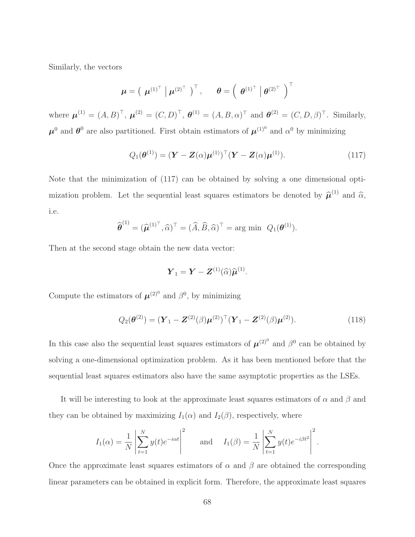Similarly, the vectors

$$
\boldsymbol{\mu} = \left( \begin{array}{c|c|c} \boldsymbol{\mu}^{(1)^\top} & \boldsymbol{\mu}^{(2)^\top} \end{array} \right)^\top, \qquad \boldsymbol{\theta} = \left( \begin{array}{c|c} \boldsymbol{\theta}^{(1)^\top} & \boldsymbol{\theta}^{(2)^\top} \end{array} \right)^\top
$$

where  $\mu^{(1)} = (A, B)^{\top}, \mu^{(2)} = (C, D)^{\top}, \theta^{(1)} = (A, B, \alpha)^{\top}$  and  $\theta^{(2)} = (C, D, \beta)^{\top}$ . Similarly,  $\mu^0$  and  $\theta^0$  are also partitioned. First obtain estimators of  $\mu^{(1)0}$  and  $\alpha^0$  by minimizing

$$
Q_1(\boldsymbol{\theta}^{(1)}) = (\boldsymbol{Y} - \boldsymbol{Z}(\alpha)\boldsymbol{\mu}^{(1)})^\top (\boldsymbol{Y} - \boldsymbol{Z}(\alpha)\boldsymbol{\mu}^{(1)}).
$$
\n(117)

Note that the minimization of (117) can be obtained by solving a one dimensional optimization problem. Let the sequential least squares estimators be denoted by  $\hat{\mu}^{(1)}$  and  $\hat{\alpha}$ , i.e.

$$
\widehat{\boldsymbol{\theta}}^{(1)} = (\widehat{\boldsymbol{\mu}}^{(1)^{\top}}, \widehat{\alpha})^{\top} = (\widehat{A}, \widehat{B}, \widehat{\alpha})^{\top} = \arg \min \ Q_1(\boldsymbol{\theta}^{(1)}).
$$

Then at the second stage obtain the new data vector:

$$
\boldsymbol{Y}_1 = \boldsymbol{Y} - \boldsymbol{Z}^{(1)}(\widehat{\alpha})\widehat{\boldsymbol{\mu}}^{(1)}.
$$

Compute the estimators of  $\mu^{(2)}$  and  $\beta^0$ , by minimizing

$$
Q_2(\boldsymbol{\theta}^{(2)}) = (\boldsymbol{Y}_1 - \boldsymbol{Z}^{(2)}(\beta)\boldsymbol{\mu}^{(2)})^\top (\boldsymbol{Y}_1 - \boldsymbol{Z}^{(2)}(\beta)\boldsymbol{\mu}^{(2)}).
$$
(118)

.

In this case also the sequential least squares estimators of  $\mu^{(2)^0}$  and  $\beta^0$  can be obtained by solving a one-dimensional optimization problem. As it has been mentioned before that the sequential least squares estimators also have the same asymptotic properties as the LSEs.

It will be interesting to look at the approximate least squares estimators of  $\alpha$  and  $\beta$  and they can be obtained by maximizing  $I_1(\alpha)$  and  $I_2(\beta)$ , respectively, where

$$
I_1(\alpha) = \frac{1}{N} \left| \sum_{t=1}^N y(t) e^{-i\alpha t} \right|^2 \quad \text{and} \quad I_1(\beta) = \frac{1}{N} \left| \sum_{t=1}^N y(t) e^{-i\beta t^2} \right|^2
$$

Once the approximate least squares estimators of  $\alpha$  and  $\beta$  are obtained the corresponding linear parameters can be obtained in explicit form. Therefore, the approximate least squares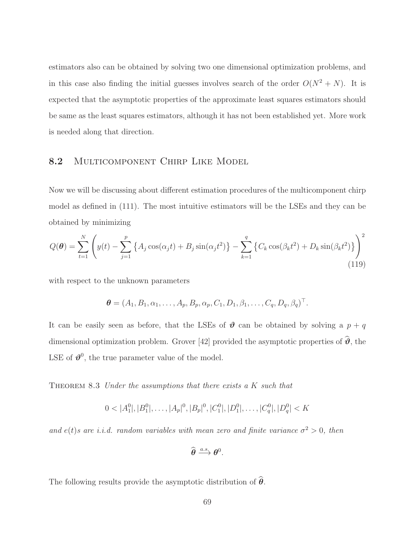estimators also can be obtained by solving two one dimensional optimization problems, and in this case also finding the initial guesses involves search of the order  $O(N^2 + N)$ . It is expected that the asymptotic properties of the approximate least squares estimators should be same as the least squares estimators, although it has not been established yet. More work is needed along that direction.

## 8.2 MULTICOMPONENT CHIRP LIKE MODEL

Now we will be discussing about different estimation procedures of the multicomponent chirp model as defined in (111). The most intuitive estimators will be the LSEs and they can be obtained by minimizing

$$
Q(\theta) = \sum_{t=1}^{N} \left( y(t) - \sum_{j=1}^{p} \left\{ A_j \cos(\alpha_j t) + B_j \sin(\alpha_j t^2) \right\} - \sum_{k=1}^{q} \left\{ C_k \cos(\beta_k t^2) + D_k \sin(\beta_k t^2) \right\} \right)^2
$$
\n(119)

with respect to the unknown parameters

$$
\boldsymbol{\theta} = (A_1, B_1, \alpha_1, \dots, A_p, B_p, \alpha_p, C_1, D_1, \beta_1, \dots, C_q, D_q, \beta_q)^\top.
$$

It can be easily seen as before, that the LSEs of  $\theta$  can be obtained by solving a  $p + q$ dimensional optimization problem. Grover [42] provided the asymptotic properties of  $\hat{\boldsymbol{\theta}}$ , the LSE of  $\mathbf{\hat{v}}^0$ , the true parameter value of the model.

THEOREM  $8.3$  Under the assumptions that there exists a K such that

$$
0 < |A_1^0|, |B_1^0|, \dots, |A_p|^0, |B_p|^0, |C_1^0|, |D_1^0|, \dots, |C_q^0|, |D_q^0| < K
$$

and  $e(t)$ s are i.i.d. random variables with mean zero and finite variance  $\sigma^2 > 0$ , then

$$
\widehat{\boldsymbol{\theta}} \xrightarrow{a.s.} \boldsymbol{\theta}^0.
$$

The following results provide the asymptotic distribution of  $\hat{\theta}$ .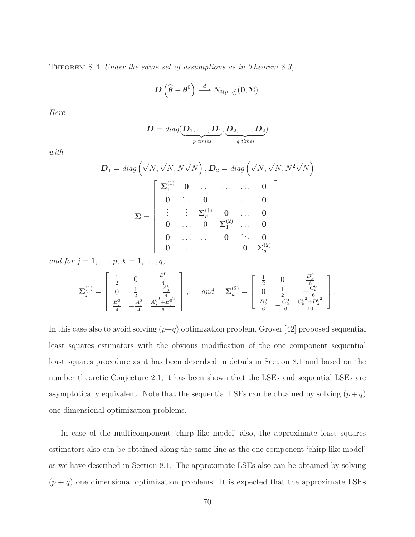THEOREM 8.4 Under the same set of assumptions as in Theorem 8.3,

$$
\boldsymbol{D}\left(\widehat{\boldsymbol{\theta}}-\boldsymbol{\theta}^{0}\right)\stackrel{d}{\longrightarrow}N_{3(p+q)}(\boldsymbol{0},\boldsymbol{\Sigma}).
$$

Here

$$
\boldsymbol{D} = \text{diag}(\underbrace{\boldsymbol{D}_1,\ldots,\boldsymbol{D}_1}_{p \text{ times}}, \underbrace{\boldsymbol{D}_2,\ldots,\boldsymbol{D}_2}_{q \text{ times}})
$$

with

$$
D_1 = diag\left(\sqrt{N}, \sqrt{N}, N\sqrt{N}\right), D_2 = diag\left(\sqrt{N}, \sqrt{N}, N^2\sqrt{N}\right)
$$

$$
\Sigma = \begin{bmatrix} \Sigma_1^{(1)} & 0 & \dots & \dots & 0 \\ 0 & \ddots & 0 & \dots & \dots & 0 \\ \vdots & \vdots & \Sigma_p^{(1)} & 0 & \dots & 0 \\ 0 & \dots & 0 & \Sigma_1^{(2)} & \dots & 0 \\ 0 & \dots & \dots & 0 & \ddots & 0 \\ 0 & \dots & \dots & \dots & 0 & \Sigma_q^{(2)} \end{bmatrix}
$$

and for  $j = 1, ..., p, k = 1, ..., q$ ,

$$
\pmb{\Sigma}^{(1)}_j = \left[ \begin{array}{cccc} \frac{1}{2} & 0 & \frac{B^0_j}{4} \\ 0 & \frac{1}{2} & -\frac{A^0_j}{4} \\ \frac{B^0_j}{4} & -\frac{A^0_j}{4} & \frac{A^0_j^2 + B^0_j^2}{6} \end{array} \right], \hspace{3mm} and \hspace{3mm} \pmb{\Sigma}^{(2)}_k = \left[ \begin{array}{cccc} \frac{1}{2} & 0 & \frac{D^0_k}{6} \\ 0 & \frac{1}{2} & -\frac{C^0_k}{6} \\ \frac{D^0_k}{6} & -\frac{C^0_k}{6} & \frac{C^0_k^2 + D^0_k^2}{10} \end{array} \right].
$$

In this case also to avoid solving  $(p+q)$  optimization problem, Grover [42] proposed sequential least squares estimators with the obvious modification of the one component sequential least squares procedure as it has been described in details in Section 8.1 and based on the number theoretic Conjecture 2.1, it has been shown that the LSEs and sequential LSEs are asymptotically equivalent. Note that the sequential LSEs can be obtained by solving  $(p+q)$ one dimensional optimization problems.

In case of the multicomponent 'chirp like model' also, the approximate least squares estimators also can be obtained along the same line as the one component 'chirp like model' as we have described in Section 8.1. The approximate LSEs also can be obtained by solving  $(p+q)$  one dimensional optimization problems. It is expected that the approximate LSEs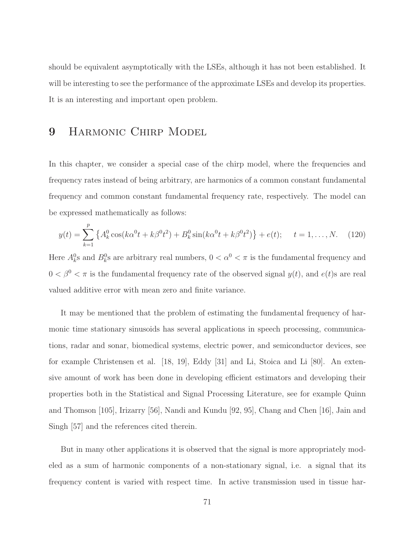should be equivalent asymptotically with the LSEs, although it has not been established. It will be interesting to see the performance of the approximate LSEs and develop its properties. It is an interesting and important open problem.

## 9 HARMONIC CHIRP MODEL

In this chapter, we consider a special case of the chirp model, where the frequencies and frequency rates instead of being arbitrary, are harmonics of a common constant fundamental frequency and common constant fundamental frequency rate, respectively. The model can be expressed mathematically as follows:

$$
y(t) = \sum_{k=1}^{p} \left\{ A_k^0 \cos(k\alpha^0 t + k\beta^0 t^2) + B_k^0 \sin(k\alpha^0 t + k\beta^0 t^2) \right\} + e(t); \quad t = 1, \dots, N. \tag{120}
$$

Here  $A_k^0$ s and  $B_k^0$ s are arbitrary real numbers,  $0 < \alpha^0 < \pi$  is the fundamental frequency and  $0 < \beta^0 < \pi$  is the fundamental frequency rate of the observed signal  $y(t)$ , and  $e(t)$ s are real valued additive error with mean zero and finite variance.

It may be mentioned that the problem of estimating the fundamental frequency of harmonic time stationary sinusoids has several applications in speech processing, communications, radar and sonar, biomedical systems, electric power, and semiconductor devices, see for example Christensen et al. [18, 19], Eddy [31] and Li, Stoica and Li [80]. An extensive amount of work has been done in developing efficient estimators and developing their properties both in the Statistical and Signal Processing Literature, see for example Quinn and Thomson [105], Irizarry [56], Nandi and Kundu [92, 95], Chang and Chen [16], Jain and Singh [57] and the references cited therein.

But in many other applications it is observed that the signal is more appropriately modeled as a sum of harmonic components of a non-stationary signal, i.e. a signal that its frequency content is varied with respect time. In active transmission used in tissue har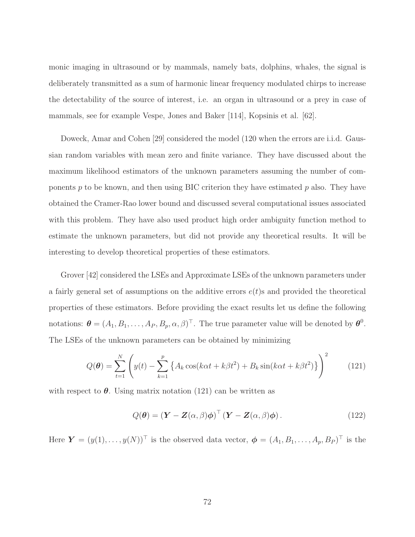monic imaging in ultrasound or by mammals, namely bats, dolphins, whales, the signal is deliberately transmitted as a sum of harmonic linear frequency modulated chirps to increase the detectability of the source of interest, i.e. an organ in ultrasound or a prey in case of mammals, see for example Vespe, Jones and Baker [114], Kopsinis et al. [62].

Doweck, Amar and Cohen [29] considered the model (120 when the errors are i.i.d. Gaussian random variables with mean zero and finite variance. They have discussed about the maximum likelihood estimators of the unknown parameters assuming the number of components p to be known, and then using BIC criterion they have estimated p also. They have obtained the Cramer-Rao lower bound and discussed several computational issues associated with this problem. They have also used product high order ambiguity function method to estimate the unknown parameters, but did not provide any theoretical results. It will be interesting to develop theoretical properties of these estimators.

Grover [42] considered the LSEs and Approximate LSEs of the unknown parameters under a fairly general set of assumptions on the additive errors  $e(t)$ s and provided the theoretical properties of these estimators. Before providing the exact results let us define the following notations:  $\boldsymbol{\theta} = (A_1, B_1, \dots, A_P, B_p, \alpha, \beta)^{\top}$ . The true parameter value will be denoted by  $\boldsymbol{\theta}^0$ . The LSEs of the unknown parameters can be obtained by minimizing

$$
Q(\theta) = \sum_{t=1}^{N} \left( y(t) - \sum_{k=1}^{p} \left\{ A_k \cos(k\alpha t + k\beta t^2) + B_k \sin(k\alpha t + k\beta t^2) \right\} \right)^2 \tag{121}
$$

with respect to  $\theta$ . Using matrix notation (121) can be written as

$$
Q(\boldsymbol{\theta}) = (\boldsymbol{Y} - \boldsymbol{Z}(\alpha, \beta)\boldsymbol{\phi})^{\top} (\boldsymbol{Y} - \boldsymbol{Z}(\alpha, \beta)\boldsymbol{\phi}). \qquad (122)
$$

Here  $\boldsymbol{Y} = (y(1), \ldots, y(N))^{\top}$  is the observed data vector,  $\boldsymbol{\phi} = (A_1, B_1, \ldots, A_p, B_P)^{\top}$  is the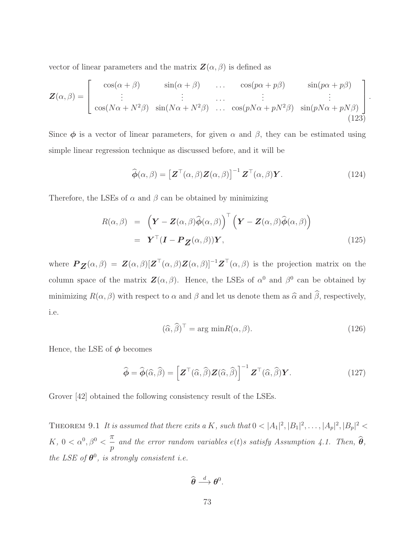vector of linear parameters and the matrix  $\mathbf{Z}(\alpha, \beta)$  is defined as

$$
\mathbf{Z}(\alpha,\beta) = \begin{bmatrix} \cos(\alpha+\beta) & \sin(\alpha+\beta) & \dots & \cos(p\alpha+p\beta) & \sin(p\alpha+p\beta) \\ \vdots & \vdots & \dots & \vdots & \vdots \\ \cos(N\alpha+N^2\beta) & \sin(N\alpha+N^2\beta) & \dots & \cos(pN\alpha+pN^2\beta) & \sin(pN\alpha+pN\beta) \\ \end{bmatrix}.
$$
 (123)

Since  $\phi$  is a vector of linear parameters, for given  $\alpha$  and  $\beta$ , they can be estimated using simple linear regression technique as discussed before, and it will be

$$
\widehat{\boldsymbol{\phi}}(\alpha,\beta) = \left[\mathbf{Z}^{\top}(\alpha,\beta)\mathbf{Z}(\alpha,\beta)\right]^{-1}\mathbf{Z}^{\top}(\alpha,\beta)\mathbf{Y}.
$$
\n(124)

Therefore, the LSEs of  $\alpha$  and  $\beta$  can be obtained by minimizing

$$
R(\alpha, \beta) = \left( \mathbf{Y} - \mathbf{Z}(\alpha, \beta) \widehat{\boldsymbol{\phi}}(\alpha, \beta) \right)^{\top} \left( \mathbf{Y} - \mathbf{Z}(\alpha, \beta) \widehat{\boldsymbol{\phi}}(\alpha, \beta) \right)
$$
  
=  $\mathbf{Y}^{\top} (\mathbf{I} - \mathbf{P}_{\mathbf{Z}}(\alpha, \beta)) \mathbf{Y},$  (125)

where  $\boldsymbol{P}_{\boldsymbol{Z}}(\alpha,\beta) = \boldsymbol{Z}(\alpha,\beta)[\boldsymbol{Z}^{\top}(\alpha,\beta)\boldsymbol{Z}(\alpha,\beta)]^{-1}\boldsymbol{Z}^{\top}(\alpha,\beta)$  is the projection matrix on the column space of the matrix  $\mathbf{Z}(\alpha,\beta)$ . Hence, the LSEs of  $\alpha^0$  and  $\beta^0$  can be obtained by minimizing  $R(\alpha, \beta)$  with respect to  $\alpha$  and  $\beta$  and let us denote them as  $\widehat{\alpha}$  and  $\widehat{\beta}$ , respectively, i.e.

$$
(\widehat{\alpha}, \widehat{\beta})^{\top} = \arg \min R(\alpha, \beta). \tag{126}
$$

Hence, the LSE of  $\phi$  becomes

$$
\widehat{\boldsymbol{\phi}} = \widehat{\boldsymbol{\phi}}(\widehat{\alpha}, \widehat{\beta}) = \left[ \boldsymbol{Z}^{\top}(\widehat{\alpha}, \widehat{\beta}) \boldsymbol{Z}(\widehat{\alpha}, \widehat{\beta}) \right]^{-1} \boldsymbol{Z}^{\top}(\widehat{\alpha}, \widehat{\beta}) \boldsymbol{Y}.
$$
 (127)

Grover [42] obtained the following consistency result of the LSEs.

THEOREM 9.1 It is assumed that there exits a K, such that  $0 < |A_1|^2, |B_1|^2, \ldots, |A_p|^2, |B_p|^2 <$ K,  $0 < \alpha^0, \beta^0 < \frac{\pi}{\alpha}$  $\frac{\mu}{p}$  and the error random variables e(t)s satisfy Assumption 4.1. Then,  $\boldsymbol{\theta}$ , the LSE of  $\theta^0$ , is strongly consistent i.e.

$$
\widehat{\boldsymbol{\theta}} \stackrel{d}{\longrightarrow} \boldsymbol{\theta}^0.
$$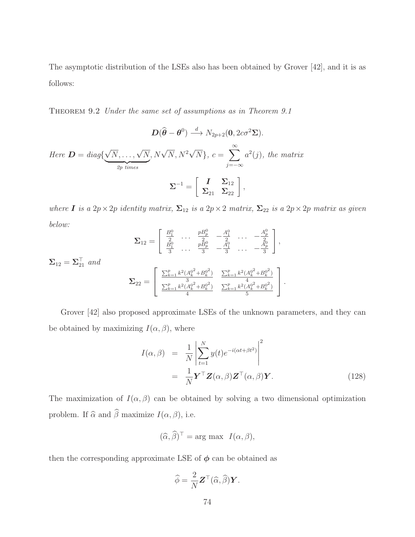The asymptotic distribution of the LSEs also has been obtained by Grover [42], and it is as follows:

THEOREM 9.2 Under the same set of assumptions as in Theorem 9.1

$$
D(\widehat{\theta} - \theta^0) \xrightarrow{d} N_{2p+2}(0, 2c\sigma^2 \Sigma).
$$
  
Here  $D = diag\{\sqrt{N}, ..., \sqrt{N}, N\sqrt{N}, N^2\sqrt{N}\}, c = \sum_{j=-\infty}^{\infty} a^2(j)$ , the matrix  

$$
\Sigma^{-1} = \begin{bmatrix} I & \Sigma_{12} \\ \Sigma_{21} & \Sigma_{22} \end{bmatrix},
$$

where **I** is a  $2p \times 2p$  identity matrix,  $\Sigma_{12}$  is a  $2p \times 2$  matrix,  $\Sigma_{22}$  is a  $2p \times 2p$  matrix as given below:  $\mathfrak{g}_6$ 

$$
\Sigma_{12} = \begin{bmatrix} \frac{B_1^0}{2} & \cdots & \frac{pB_p^0}{2} & -\frac{A_1^0}{2} & \cdots & -\frac{A_p^0}{2} \\ \frac{B_1^0}{3} & \cdots & \frac{pB_p^0}{3} & -\frac{A_1^0}{3} & \cdots & -\frac{A_p^0}{3} \end{bmatrix},
$$
  

$$
\Sigma_{12} = \sum_{21}^\top \text{ and}
$$
  

$$
\Sigma_{22} = \begin{bmatrix} \frac{\sum_{k=1}^p k^2 (A_k^{0^2} + B_k^{0^2})}{3} & \frac{\sum_{k=1}^p k^2 (A_k^{0^2} + B_k^{0^2})}{4} \\ \frac{\sum_{k=1}^p k^2 (A_k^{0^2} + B_k^{0^2})}{4} & \frac{\sum_{k=1}^p k^2 (A_k^{0^2} + B_k^{0^2})}{5} \end{bmatrix}.
$$

Grover [42] also proposed approximate LSEs of the unknown parameters, and they can be obtained by maximizing  $I(\alpha, \beta)$ , where

$$
I(\alpha, \beta) = \frac{1}{N} \left| \sum_{t=1}^{N} y(t) e^{-i(\alpha t + \beta t^2)} \right|^2
$$
  
= 
$$
\frac{1}{N} \mathbf{Y}^{\top} \mathbf{Z}(\alpha, \beta) \mathbf{Z}^{\top}(\alpha, \beta) \mathbf{Y}.
$$
 (128)

The maximization of  $I(\alpha, \beta)$  can be obtained by solving a two dimensional optimization problem. If  $\widehat{\alpha}$  and  $\widehat{\beta}$  maximize  $I(\alpha, \beta)$ , i.e.

$$
(\widehat{\alpha}, \widehat{\beta})^{\top} = \arg \max \ I(\alpha, \beta),
$$

then the corresponding approximate LSE of  $\phi$  can be obtained as

$$
\widehat{\phi} = \frac{2}{N} \mathbf{Z}^{\top}(\widehat{\alpha}, \widehat{\beta}) \mathbf{Y}.
$$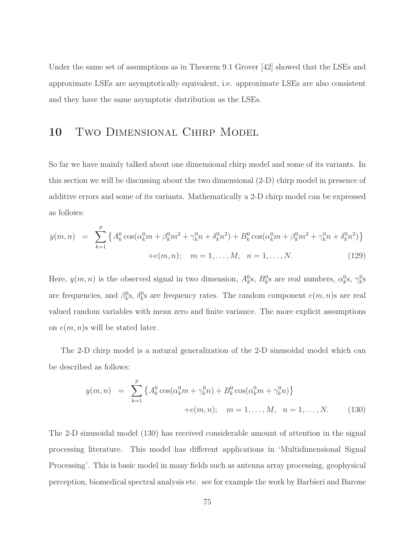Under the same set of assumptions as in Theorem 9.1 Grover [42] showed that the LSEs and approximate LSEs are asymptotically equivalent, i.e. approximate LSEs are also consistent and they have the same asymptotic distribution as the LSEs.

# 10 TWO DIMENSIONAL CHIRP MODEL

So far we have mainly talked about one dimensional chirp model and some of its variants. In this section we will be discussing about the two dimensional (2-D) chirp model in presence of additive errors and some of its variants. Mathematically a 2-D chirp model can be expressed as follows:

$$
y(m,n) = \sum_{k=1}^{p} \left\{ A_k^0 \cos(\alpha_k^0 m + \beta_k^0 m^2 + \gamma_k^0 n + \delta_k^0 n^2) + B_k^0 \cos(\alpha_k^0 m + \beta_k^0 m^2 + \gamma_k^0 n + \delta_k^0 n^2) \right\}
$$
  
+ $e(m,n); \quad m = 1,..., M, \quad n = 1,..., N.$  (129)

Here,  $y(m, n)$  is the observed signal in two dimension,  $A_k^0$ s,  $B_k^0$ s are real numbers,  $\alpha_k^0$ s,  $\gamma_k^0$ s are frequencies, and  $\beta_k^0$ s,  $\delta_k^0$ s are frequency rates. The random component  $e(m, n)$ s are real valued random variables with mean zero and finite variance. The more explicit assumptions on  $e(m, n)$ s will be stated later.

The 2-D chirp model is a natural generalization of the 2-D sinusoidal model which can be described as follows:

$$
y(m,n) = \sum_{k=1}^{p} \left\{ A_k^0 \cos(\alpha_k^0 m + \gamma_k^0 n) + B_k^0 \cos(\alpha_k^0 m + \gamma_k^0 n) \right\}
$$
  
+ $e(m,n); \quad m = 1,..., M, \quad n = 1,..., N.$  (130)

The 2-D sinusoidal model (130) has received considerable amount of attention in the signal processing literature. This model has different applications in 'Multidimensional Signal Processing'. This is basic model in many fields such as antenna array processing, geophysical perception, biomedical spectral analysis etc. see for example the work by Barbieri and Barone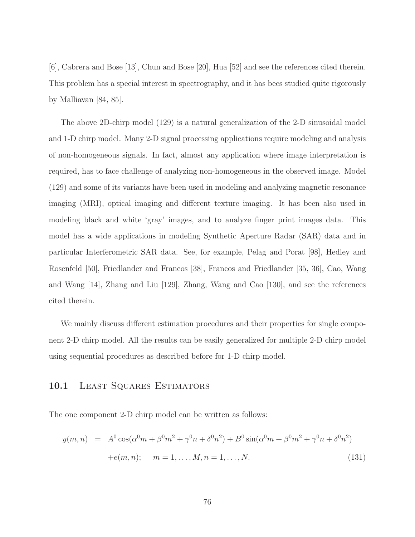[6], Cabrera and Bose [13], Chun and Bose [20], Hua [52] and see the references cited therein. This problem has a special interest in spectrography, and it has bees studied quite rigorously by Malliavan [84, 85].

The above 2D-chirp model (129) is a natural generalization of the 2-D sinusoidal model and 1-D chirp model. Many 2-D signal processing applications require modeling and analysis of non-homogeneous signals. In fact, almost any application where image interpretation is required, has to face challenge of analyzing non-homogeneous in the observed image. Model (129) and some of its variants have been used in modeling and analyzing magnetic resonance imaging (MRI), optical imaging and different texture imaging. It has been also used in modeling black and white 'gray' images, and to analyze finger print images data. This model has a wide applications in modeling Synthetic Aperture Radar (SAR) data and in particular Interferometric SAR data. See, for example, Pelag and Porat [98], Hedley and Rosenfeld [50], Friedlander and Francos [38], Francos and Friedlander [35, 36], Cao, Wang and Wang [14], Zhang and Liu [129], Zhang, Wang and Cao [130], and see the references cited therein.

We mainly discuss different estimation procedures and their properties for single component 2-D chirp model. All the results can be easily generalized for multiple 2-D chirp model using sequential procedures as described before for 1-D chirp model.

#### 10.1 LEAST SQUARES ESTIMATORS

The one component 2-D chirp model can be written as follows:

$$
y(m, n) = A^{0} \cos(\alpha^{0} m + \beta^{0} m^{2} + \gamma^{0} n + \delta^{0} n^{2}) + B^{0} \sin(\alpha^{0} m + \beta^{0} m^{2} + \gamma^{0} n + \delta^{0} n^{2})
$$
  
+ $e(m, n); \quad m = 1, ..., M, n = 1, ..., N.$  (131)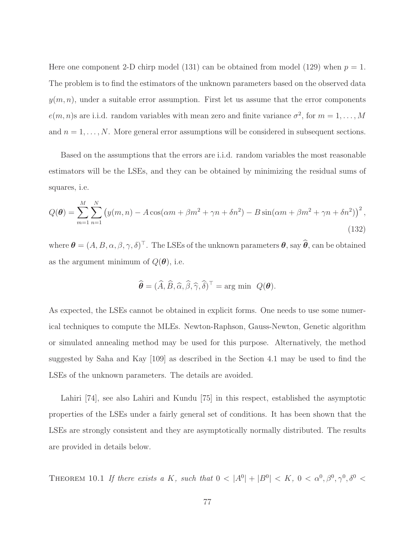Here one component 2-D chirp model (131) can be obtained from model (129) when  $p = 1$ . The problem is to find the estimators of the unknown parameters based on the observed data  $y(m, n)$ , under a suitable error assumption. First let us assume that the error components  $e(m, n)$ s are i.i.d. random variables with mean zero and finite variance  $\sigma^2$ , for  $m = 1, \ldots, M$ and  $n = 1, \ldots, N$ . More general error assumptions will be considered in subsequent sections.

Based on the assumptions that the errors are i.i.d. random variables the most reasonable estimators will be the LSEs, and they can be obtained by minimizing the residual sums of squares, i.e.

$$
Q(\theta) = \sum_{m=1}^{M} \sum_{n=1}^{N} \left( y(m,n) - A\cos(\alpha m + \beta m^2 + \gamma n + \delta n^2) - B\sin(\alpha m + \beta m^2 + \gamma n + \delta n^2) \right)^2,
$$
\n(132)

where  $\boldsymbol{\theta} = (A, B, \alpha, \beta, \gamma, \delta)^\top$ . The LSEs of the unknown parameters  $\boldsymbol{\theta}$ , say  $\widehat{\boldsymbol{\theta}}$ , can be obtained as the argument minimum of  $Q(\boldsymbol{\theta})$ , i.e.

$$
\widehat{\boldsymbol{\theta}} = (\widehat{A}, \widehat{B}, \widehat{\alpha}, \widehat{\beta}, \widehat{\gamma}, \widehat{\delta})^{\top} = \arg \min \ Q(\boldsymbol{\theta}).
$$

As expected, the LSEs cannot be obtained in explicit forms. One needs to use some numerical techniques to compute the MLEs. Newton-Raphson, Gauss-Newton, Genetic algorithm or simulated annealing method may be used for this purpose. Alternatively, the method suggested by Saha and Kay [109] as described in the Section 4.1 may be used to find the LSEs of the unknown parameters. The details are avoided.

Lahiri [74], see also Lahiri and Kundu [75] in this respect, established the asymptotic properties of the LSEs under a fairly general set of conditions. It has been shown that the LSEs are strongly consistent and they are asymptotically normally distributed. The results are provided in details below.

THEOREM 10.1 If there exists a K, such that  $0 < |A^0| + |B^0| < K$ ,  $0 < \alpha^0, \beta^0, \gamma^0, \delta^0 <$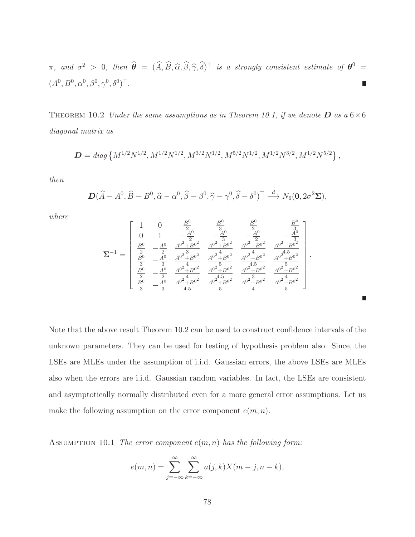$\pi$ , and  $\sigma^2 > 0$ , then  $\widehat{\boldsymbol{\theta}} = (\widehat{A}, \widehat{B}, \widehat{\alpha}, \widehat{\beta}, \widehat{\gamma}, \widehat{\delta})^{\top}$  is a strongly consistent estimate of  $\boldsymbol{\theta}^0 =$  $(A^0, B^0, \alpha^0, \beta^0, \gamma^0, \delta^0)^\top$ . г

THEOREM 10.2 Under the same assumptions as in Theorem 10.1, if we denote **D** as a  $6 \times 6$ diagonal matrix as

$$
\mathbf{D} = diag\left\{M^{1/2}N^{1/2}, M^{1/2}N^{1/2}, M^{3/2}N^{1/2}, M^{5/2}N^{1/2}, M^{1/2}N^{3/2}, M^{1/2}N^{5/2}\right\},\,
$$

then

$$
\mathbf{D}(\widehat{A}-A^0,\widehat{B}-B^0,\widehat{\alpha}-\alpha^0,\widehat{\beta}-\beta^0,\widehat{\gamma}-\gamma^0,\widehat{\delta}-\delta^0)^\top \stackrel{d}{\longrightarrow} N_6(\mathbf{0},2\sigma^2\Sigma),
$$

where

$$
\pmb{\Sigma}^{-1} = \left[ \begin{array}{cccccc} 1 & 0 & \frac{B^0}{2} & \frac{B^0}{3} & \frac{B^0}{2} & \frac{B^0}{3} \\ 0 & 1 & -\frac{A^0}{2} & -\frac{A^0}{3} & -\frac{A^0}{2} & -\frac{A^0}{3} \\ \frac{B^0}{2} & -\frac{A^0}{2} & \frac{A^{0^2} + B^{0^2}}{4} & \frac{A^{0^2} + B^{0^2}}{4} & \frac{A^{0^2} + B^{0^2}}{4} & \frac{A^{0^2} + B^{0^2}}{4} \\ \frac{B^0}{3} & -\frac{A^0}{3} & \frac{A^{0^2} + B^{0^2}}{4} & \frac{A^{0^2} + B^{0^2}}{4} & \frac{A^{0^2} + B^{0^2}}{4} & \frac{A^{0^2} + B^{0^2}}{4} \\ \frac{B^0}{2} & -\frac{A^0}{2} & \frac{A^{0^2} + B^{0^2}}{4} & \frac{A^{0^2} + B^{0^2}}{4} & \frac{A^{0^2} + B^{0^2}}{4} & \frac{A^{0^2} + B^{0^2}}{4} \\ \frac{B^0}{3} & -\frac{A^0}{3} & \frac{A^{0^2} + B^{0^2}}{4.5} & \frac{A^{0^2} + B^{0^2}}{5} & \frac{A^{0^2} + B^{0^2}}{4} & \frac{A^{0^2} + B^{0^2}}{5} \end{array} \right].
$$

г

Note that the above result Theorem 10.2 can be used to construct confidence intervals of the unknown parameters. They can be used for testing of hypothesis problem also. Since, the LSEs are MLEs under the assumption of i.i.d. Gaussian errors, the above LSEs are MLEs also when the errors are i.i.d. Gaussian random variables. In fact, the LSEs are consistent and asymptotically normally distributed even for a more general error assumptions. Let us make the following assumption on the error component  $e(m, n)$ .

ASSUMPTION 10.1 The error component  $e(m, n)$  has the following form:

$$
e(m,n) = \sum_{j=-\infty}^{\infty} \sum_{k=-\infty}^{\infty} a(j,k)X(m-j,n-k),
$$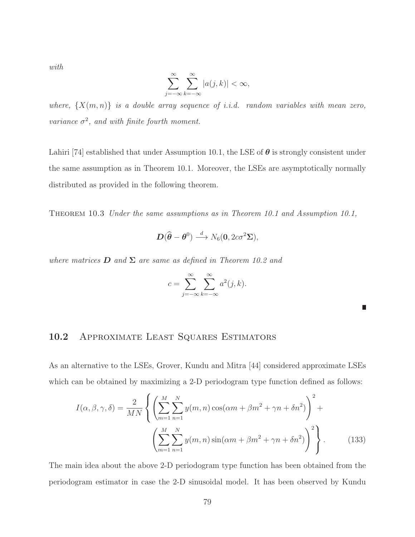with

$$
\sum_{j=-\infty}^{\infty} \sum_{k=-\infty}^{\infty} |a(j,k)| < \infty,
$$

where,  $\{X(m,n)\}\$ is a double array sequence of i.i.d. random variables with mean zero, variance  $\sigma^2$ , and with finite fourth moment.

Lahiri [74] established that under Assumption 10.1, the LSE of  $\theta$  is strongly consistent under the same assumption as in Theorem 10.1. Moreover, the LSEs are asymptotically normally distributed as provided in the following theorem.

Theorem 10.3 Under the same assumptions as in Theorem 10.1 and Assumption 10.1,

$$
\boldsymbol{D}(\widehat{\boldsymbol{\theta}}-\boldsymbol{\theta}^0)\stackrel{d}{\longrightarrow}N_6(\boldsymbol{0},2c\sigma^2\boldsymbol{\Sigma}),
$$

where matrices **D** and  $\Sigma$  are same as defined in Theorem 10.2 and

$$
c = \sum_{j=-\infty}^{\infty} \sum_{k=-\infty}^{\infty} a^2(j,k).
$$

П

### 10.2 APPROXIMATE LEAST SQUARES ESTIMATORS

As an alternative to the LSEs, Grover, Kundu and Mitra [44] considered approximate LSEs which can be obtained by maximizing a 2-D periodogram type function defined as follows:

$$
I(\alpha, \beta, \gamma, \delta) = \frac{2}{MN} \left\{ \left( \sum_{m=1}^{M} \sum_{n=1}^{N} y(m, n) \cos(\alpha m + \beta m^2 + \gamma n + \delta n^2) \right)^2 + \left( \sum_{m=1}^{M} \sum_{n=1}^{N} y(m, n) \sin(\alpha m + \beta m^2 + \gamma n + \delta n^2) \right)^2 \right\}.
$$
 (133)

The main idea about the above 2-D periodogram type function has been obtained from the periodogram estimator in case the 2-D sinusoidal model. It has been observed by Kundu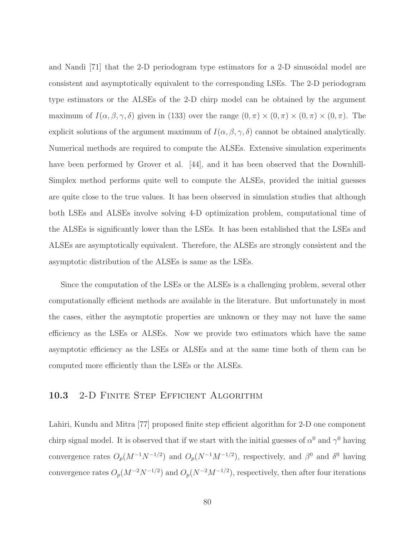and Nandi [71] that the 2-D periodogram type estimators for a 2-D sinusoidal model are consistent and asymptotically equivalent to the corresponding LSEs. The 2-D periodogram type estimators or the ALSEs of the 2-D chirp model can be obtained by the argument maximum of  $I(\alpha, \beta, \gamma, \delta)$  given in (133) over the range  $(0, \pi) \times (0, \pi) \times (0, \pi) \times (0, \pi)$ . The explicit solutions of the argument maximum of  $I(\alpha, \beta, \gamma, \delta)$  cannot be obtained analytically. Numerical methods are required to compute the ALSEs. Extensive simulation experiments have been performed by Grover et al. [44], and it has been observed that the Downhill-Simplex method performs quite well to compute the ALSEs, provided the initial guesses are quite close to the true values. It has been observed in simulation studies that although both LSEs and ALSEs involve solving 4-D optimization problem, computational time of the ALSEs is significantly lower than the LSEs. It has been established that the LSEs and ALSEs are asymptotically equivalent. Therefore, the ALSEs are strongly consistent and the asymptotic distribution of the ALSEs is same as the LSEs.

Since the computation of the LSEs or the ALSEs is a challenging problem, several other computationally efficient methods are available in the literature. But unfortunately in most the cases, either the asymptotic properties are unknown or they may not have the same efficiency as the LSEs or ALSEs. Now we provide two estimators which have the same asymptotic efficiency as the LSEs or ALSEs and at the same time both of them can be computed more efficiently than the LSEs or the ALSEs.

#### 10.3 2-D FINITE STEP EFFICIENT ALGORITHM

Lahiri, Kundu and Mitra [77] proposed finite step efficient algorithm for 2-D one component chirp signal model. It is observed that if we start with the initial guesses of  $\alpha^0$  and  $\gamma^0$  having convergence rates  $O_p(M^{-1}N^{-1/2})$  and  $O_p(N^{-1}M^{-1/2})$ , respectively, and  $\beta^0$  and  $\delta^0$  having convergence rates  $O_p(M^{-2}N^{-1/2})$  and  $O_p(N^{-2}M^{-1/2})$ , respectively, then after four iterations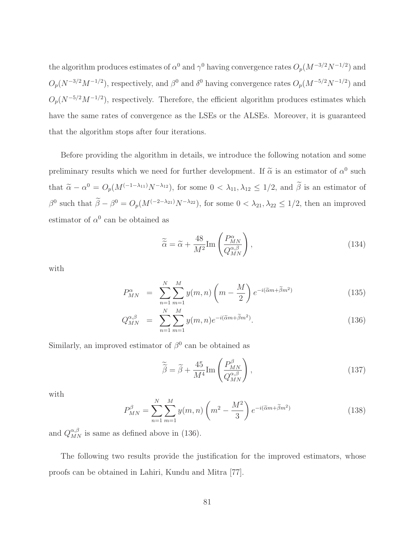the algorithm produces estimates of  $\alpha^0$  and  $\gamma^0$  having convergence rates  $O_p(M^{-3/2}N^{-1/2})$  and  $O_p(N^{-3/2}M^{-1/2})$ , respectively, and  $\beta^0$  and  $\delta^0$  having convergence rates  $O_p(M^{-5/2}N^{-1/2})$  and  $O_p(N^{-5/2}M^{-1/2})$ , respectively. Therefore, the efficient algorithm produces estimates which have the same rates of convergence as the LSEs or the ALSEs. Moreover, it is guaranteed that the algorithm stops after four iterations.

Before providing the algorithm in details, we introduce the following notation and some preliminary results which we need for further development. If  $\tilde{\alpha}$  is an estimator of  $\alpha^0$  such that  $\tilde{\alpha} - \alpha^0 = O_p(M^{(-1-\lambda_{11})}N^{-\lambda_{12}})$ , for some  $0 < \lambda_{11}, \lambda_{12} \le 1/2$ , and  $\tilde{\beta}$  is an estimator of  $\beta^0$  such that  $\tilde{\beta} - \beta^0 = O_p(M^{(-2-\lambda_{21})}N^{-\lambda_{22}})$ , for some  $0 < \lambda_{21}, \lambda_{22} \le 1/2$ , then an improved estimator of  $\alpha^0$  can be obtained as

$$
\widetilde{\tilde{\alpha}} = \widetilde{\alpha} + \frac{48}{M^2} \text{Im} \left( \frac{P_{MN}^{\alpha}}{Q_{MN}^{\alpha,\beta}} \right),\tag{134}
$$

with

$$
P_{MN}^{\alpha} = \sum_{n=1}^{N} \sum_{m=1}^{M} y(m,n) \left( m - \frac{M}{2} \right) e^{-i(\widetilde{\alpha}m + \widetilde{\beta}m^2)}
$$
(135)

$$
Q_{MN}^{\alpha,\beta} = \sum_{n=1}^{N} \sum_{m=1}^{M} y(m,n) e^{-i(\tilde{\alpha}m + \tilde{\beta}m^2)}.
$$
 (136)

Similarly, an improved estimator of  $\beta^0$  can be obtained as

$$
\widetilde{\widetilde{\beta}} = \widetilde{\beta} + \frac{45}{M^4} \text{Im} \left( \frac{P_{MN}^{\beta}}{Q_{MN}^{\alpha,\beta}} \right),\tag{137}
$$

with

$$
P_{MN}^{\beta} = \sum_{n=1}^{N} \sum_{m=1}^{M} y(m,n) \left( m^2 - \frac{M^2}{3} \right) e^{-i(\tilde{\alpha}m + \tilde{\beta}m^2)}
$$
(138)

and  $Q_{MN}^{\alpha,\beta}$  is same as defined above in (136).

The following two results provide the justification for the improved estimators, whose proofs can be obtained in Lahiri, Kundu and Mitra [77].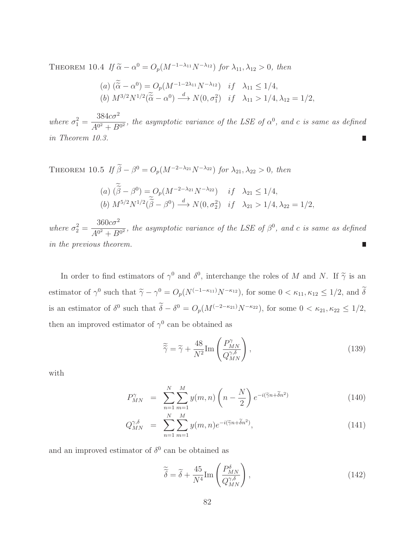THEOREM 10.4 If  $\tilde{\alpha} - \alpha^0 = O_p(M^{-1-\lambda_{11}}N^{-\lambda_{12}})$  for  $\lambda_{11}, \lambda_{12} > 0$ , then

(a) 
$$
(\widetilde{\alpha} - \alpha^0) = O_p(M^{-1-2\lambda_{11}}N^{-\lambda_{12}})
$$
 if  $\lambda_{11} \le 1/4$ ,  
\n(b)  $M^{3/2}N^{1/2}(\widetilde{\alpha} - \alpha^0) \stackrel{d}{\longrightarrow} N(0, \sigma_1^2)$  if  $\lambda_{11} > 1/4, \lambda_{12} = 1/2$ ,

where  $\sigma_1^2 =$  $384c\sigma^2$  $\frac{3040}{A^{0^2} + B^{0^2}}$ , the asymptotic variance of the LSE of  $\alpha^0$ , and c is same as defined in Theorem 10.3.

THEOREM 10.5 If  $\widetilde{\beta} - \beta^0 = O_p(M^{-2-\lambda_{21}}N^{-\lambda_{22}})$  for  $\lambda_{21}, \lambda_{22} > 0$ , then (a)  $(\tilde{\beta} - \beta^0) = O_p(M^{-2-\lambda_{21}}N^{-\lambda_{22}})$  if  $\lambda_{21} \le 1/4$ , (b)  $M^{5/2}N^{1/2}(\tilde{\beta} - \beta^0) \stackrel{d}{\longrightarrow} N(0, \sigma_2^2)$  if  $\lambda_{21} > 1/4, \lambda_{22} = 1/2$ ,

 $360c\sigma^2$ where  $\sigma_2^2 =$  $\frac{36000}{A^{0^2} + B^{0^2}}$ , the asymptotic variance of the LSE of  $\beta^0$ , and c is same as defined in the previous theorem. П

In order to find estimators of  $\gamma^0$  and  $\delta^0$ , interchange the roles of M and N. If  $\tilde{\gamma}$  is an estimator of  $\gamma^0$  such that  $\tilde{\gamma} - \gamma^0 = O_p(N^{(-1-\kappa_{11})}N^{-\kappa_{12}})$ , for some  $0 < \kappa_{11}, \kappa_{12} \le 1/2$ , and  $\tilde{\delta}$ is an estimator of  $\delta^0$  such that  $\tilde{\delta} - \delta^0 = O_p(M^{(-2-\kappa_{21})}N^{-\kappa_{22}})$ , for some  $0 < \kappa_{21}, \kappa_{22} \le 1/2$ , then an improved estimator of  $\gamma^0$  can be obtained as

$$
\widetilde{\widetilde{\gamma}} = \widetilde{\gamma} + \frac{48}{N^2} \text{Im} \left( \frac{P_{MN}^{\gamma}}{Q_{MN}^{\gamma,\delta}} \right),\tag{139}
$$

with

$$
P_{MN}^{\gamma} = \sum_{n=1}^{N} \sum_{m=1}^{M} y(m,n) \left(n - \frac{N}{2}\right) e^{-i(\tilde{\gamma}n + \tilde{\delta}n^2)} \tag{140}
$$

$$
Q_{MN}^{\gamma,\delta} = \sum_{n=1}^{N} \sum_{m=1}^{M} y(m,n) e^{-i(\tilde{\gamma}n + \tilde{\delta}n^2)}, \qquad (141)
$$

and an improved estimator of  $\delta^0$  can be obtained as

$$
\widetilde{\delta} = \widetilde{\delta} + \frac{45}{N^4} \text{Im} \left( \frac{P_{MN}^{\delta}}{Q_{MN}^{\gamma,\delta}} \right),\tag{142}
$$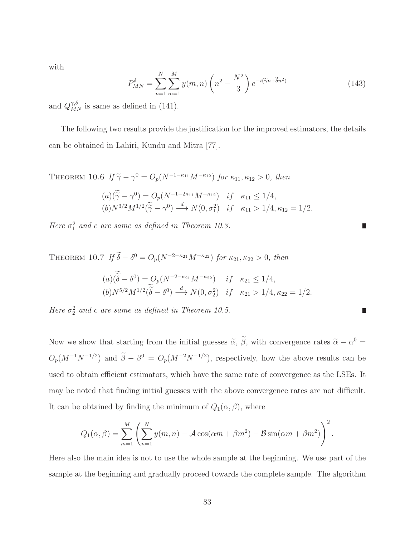with

$$
P_{MN}^{\delta} = \sum_{n=1}^{N} \sum_{m=1}^{M} y(m,n) \left(n^2 - \frac{N^2}{3}\right) e^{-i(\tilde{\gamma}n + \tilde{\delta}n^2)} \tag{143}
$$

and  $Q_{MN}^{\gamma,\delta}$  is same as defined in (141).

The following two results provide the justification for the improved estimators, the details can be obtained in Lahiri, Kundu and Mitra [77].

THEOREM 10.6 If  $\tilde{\gamma} - \gamma^0 = O_p(N^{-1-\kappa_{11}}M^{-\kappa_{12}})$  for  $\kappa_{11}, \kappa_{12} > 0$ , then

$$
(a)(\widetilde{\widetilde{\gamma}} - \gamma^0) = O_p(N^{-1-2\kappa_{11}}M^{-\kappa_{12}}) \quad if \quad \kappa_{11} \le 1/4,
$$
  
\n
$$
(b)N^{3/2}M^{1/2}(\widetilde{\widetilde{\gamma}} - \gamma^0) \stackrel{d}{\longrightarrow} N(0, \sigma_1^2) \quad if \quad \kappa_{11} > 1/4, \kappa_{12} = 1/2.
$$

Here  $\sigma_1^2$  and c are same as defined in Theorem 10.3.

THEOREM 10.7 If  $\tilde{\delta} - \delta^0 = O_p(N^{-2-\kappa_{21}}M^{-\kappa_{22}})$  for  $\kappa_{21}, \kappa_{22} > 0$ , then  $(a)(\widetilde{\delta} - \delta^0) = O_p(N^{-2-\kappa_{21}}M^{-\kappa_{22}})$  if  $\kappa_{21} \le 1/4$ ,  $(b)N^{5/2}M^{1/2}(\tilde{\delta}-\delta^0) \stackrel{d}{\longrightarrow} N(0,\sigma_2^2)$  if  $\kappa_{21} > 1/4, \kappa_{22} = 1/2.$ 

Here  $\sigma_2^2$  and c are same as defined in Theorem 10.5.

Now we show that starting from the initial guesses  $\tilde{\alpha}$ ,  $\tilde{\beta}$ , with convergence rates  $\tilde{\alpha} - \alpha^0 =$  $O_p(M^{-1}N^{-1/2})$  and  $\tilde{\beta} - \beta^0 = O_p(M^{-2}N^{-1/2})$ , respectively, how the above results can be used to obtain efficient estimators, which have the same rate of convergence as the LSEs. It may be noted that finding initial guesses with the above convergence rates are not difficult. It can be obtained by finding the minimum of  $Q_1(\alpha, \beta)$ , where

$$
Q_1(\alpha, \beta) = \sum_{m=1}^{M} \left( \sum_{n=1}^{N} y(m, n) - \mathcal{A} \cos(\alpha m + \beta m^2) - \mathcal{B} \sin(\alpha m + \beta m^2) \right)^2.
$$

Here also the main idea is not to use the whole sample at the beginning. We use part of the sample at the beginning and gradually proceed towards the complete sample. The algorithm

Г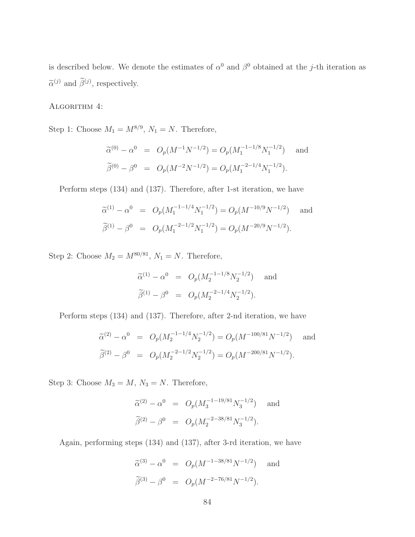is described below. We denote the estimates of  $\alpha^0$  and  $\beta^0$  obtained at the j-th iteration as  $\tilde{\alpha}^{(j)}$  and  $\tilde{\beta}^{(j)}$ , respectively.

ALGORITHM 4:

Step 1: Choose  $M_1 = M^{8/9}$ ,  $N_1 = N$ . Therefore,

$$
\widetilde{\alpha}^{(0)} - \alpha^0 = O_p(M^{-1}N^{-1/2}) = O_p(M_1^{-1-1/8}N_1^{-1/2}) \text{ and}
$$
  

$$
\widetilde{\beta}^{(0)} - \beta^0 = O_p(M^{-2}N^{-1/2}) = O_p(M_1^{-2-1/4}N_1^{-1/2}).
$$

Perform steps (134) and (137). Therefore, after 1-st iteration, we have

$$
\widetilde{\alpha}^{(1)} - \alpha^0 = O_p(M_1^{-1-1/4} N_1^{-1/2}) = O_p(M^{-10/9} N^{-1/2}) \text{ and}
$$
  

$$
\widetilde{\beta}^{(1)} - \beta^0 = O_p(M_1^{-2-1/2} N_1^{-1/2}) = O_p(M^{-20/9} N^{-1/2}).
$$

Step 2: Choose  $M_2 = M^{80/81}$ ,  $N_1 = N$ . Therefore,

$$
\widetilde{\alpha}^{(1)} - \alpha^0 = O_p(M_2^{-1-1/8} N_2^{-1/2}) \quad \text{and}
$$
  

$$
\widetilde{\beta}^{(1)} - \beta^0 = O_p(M_2^{-2-1/4} N_2^{-1/2}).
$$

Perform steps (134) and (137). Therefore, after 2-nd iteration, we have

$$
\widetilde{\alpha}^{(2)} - \alpha^0 = O_p(M_2^{-1-1/4} N_2^{-1/2}) = O_p(M^{-100/81} N^{-1/2}) \text{ and}
$$
  

$$
\widetilde{\beta}^{(2)} - \beta^0 = O_p(M_2^{-2-1/2} N_2^{-1/2}) = O_p(M^{-200/81} N^{-1/2}).
$$

Step 3: Choose  $M_3 = M$ ,  $N_3 = N$ . Therefore,

$$
\widetilde{\alpha}^{(2)} - \alpha^0 = O_p(M_3^{-1-19/81} N_3^{-1/2}) \text{ and}
$$
  

$$
\widetilde{\beta}^{(2)} - \beta^0 = O_p(M_2^{-2-38/81} N_3^{-1/2}).
$$

Again, performing steps (134) and (137), after 3-rd iteration, we have

$$
\widetilde{\alpha}^{(3)} - \alpha^0 = O_p(M^{-1-38/81}N^{-1/2}) \text{ and}
$$
  

$$
\widetilde{\beta}^{(3)} - \beta^0 = O_p(M^{-2-76/81}N^{-1/2}).
$$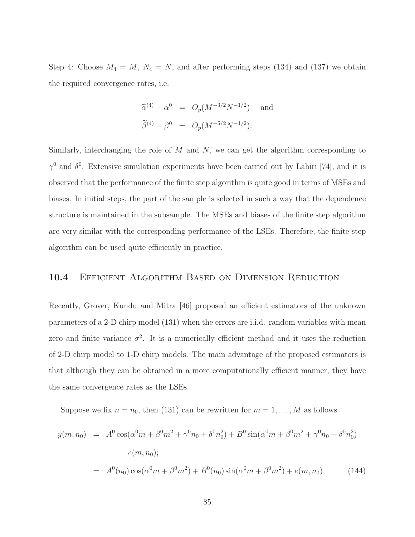Step 4: Choose  $M_4 = M$ ,  $N_4 = N$ , and after performing steps (134) and (137) we obtain the required convergence rates, i.e.

$$
\widetilde{\alpha}^{(4)} - \alpha^0 = O_p(M^{-3/2}N^{-1/2}) \text{ and}
$$
  

$$
\widetilde{\beta}^{(4)} - \beta^0 = O_p(M^{-5/2}N^{-1/2}).
$$

Similarly, interchanging the role of  $M$  and  $N$ , we can get the algorithm corresponding to  $\gamma^0$  and  $\delta^0$ . Extensive simulation experiments have been carried out by Lahiri [74], and it is observed that the performance of the finite step algorithm is quite good in terms of MSEs and biases. In initial steps, the part of the sample is selected in such a way that the dependence structure is maintained in the subsample. The MSEs and biases of the finite step algorithm are very similar with the corresponding performance of the LSEs. Therefore, the finite step algorithm can be used quite efficiently in practice.

#### 10.4 EFFICIENT ALGORITHM BASED ON DIMENSION REDUCTION

Recently, Grover, Kundu and Mitra [46] proposed an efficient estimators of the unknown parameters of a 2-D chirp model (131) when the errors are i.i.d. random variables with mean zero and finite variance  $\sigma^2$ . It is a numerically efficient method and it uses the reduction of 2-D chirp model to 1-D chirp models. The main advantage of the proposed estimators is that although they can be obtained in a more computationally efficient manner, they have the same convergence rates as the LSEs.

Suppose we fix  $n = n_0$ , then (131) can be rewritten for  $m = 1, \ldots, M$  as follows

$$
y(m, n_0) = A^0 \cos(\alpha^0 m + \beta^0 m^2 + \gamma^0 n_0 + \delta^0 n_0^2) + B^0 \sin(\alpha^0 m + \beta^0 m^2 + \gamma^0 n_0 + \delta^0 n_0^2)
$$
  
+ $e(m, n_0);$   
=  $A^0(n_0) \cos(\alpha^0 m + \beta^0 m^2) + B^0(n_0) \sin(\alpha^0 m + \beta^0 m^2) + e(m, n_0).$  (144)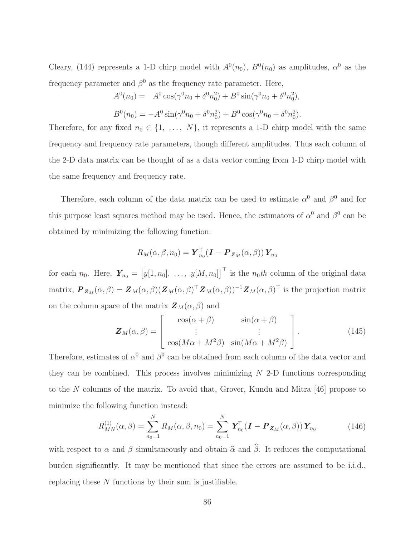Cleary, (144) represents a 1-D chirp model with  $A^0(n_0)$ ,  $B^0(n_0)$  as amplitudes,  $\alpha^0$  as the frequency parameter and  $\beta^0$  as the frequency rate parameter. Here,

$$
A^{0}(n_{0}) = A^{0} \cos(\gamma^{0} n_{0} + \delta^{0} n_{0}^{2}) + B^{0} \sin(\gamma^{0} n_{0} + \delta^{0} n_{0}^{2}),
$$
  

$$
B^{0}(n_{0}) = -A^{0} \sin(\gamma^{0} n_{0} + \delta^{0} n_{0}^{2}) + B^{0} \cos(\gamma^{0} n_{0} + \delta^{0} n_{0}^{2}).
$$

Therefore, for any fixed  $n_0 \in \{1, \ldots, N\}$ , it represents a 1-D chirp model with the same frequency and frequency rate parameters, though different amplitudes. Thus each column of the 2-D data matrix can be thought of as a data vector coming from 1-D chirp model with the same frequency and frequency rate.

Therefore, each column of the data matrix can be used to estimate  $\alpha^0$  and  $\beta^0$  and for this purpose least squares method may be used. Hence, the estimators of  $\alpha^0$  and  $\beta^0$  can be obtained by minimizing the following function:

$$
R_M(\alpha, \beta, n_0) = \boldsymbol{Y}_{n_0}^{\top} (\boldsymbol{I} - \boldsymbol{P}_{\boldsymbol{Z}_M}(\alpha, \beta)) \boldsymbol{Y}_{n_0}
$$

for each  $n_0$ . Here,  $\boldsymbol{Y}_{n_0} = \begin{bmatrix} y[1,n_0], & \ldots, & y[M,n_0] \end{bmatrix}^\top$  is the  $n_0$ th column of the original data matrix,  $\boldsymbol{P}_{\boldsymbol{Z}_M}(\alpha,\beta) = \boldsymbol{Z}_M(\alpha,\beta)(\boldsymbol{Z}_M(\alpha,\beta))^{\top} \boldsymbol{Z}_M(\alpha,\beta)^{\top} \boldsymbol{Z}_M(\alpha,\beta)^{\top}$  is the projection matrix on the column space of the matrix  $\mathbf{Z}_M(\alpha, \beta)$  and

$$
\mathbf{Z}_M(\alpha, \beta) = \begin{bmatrix} \cos(\alpha + \beta) & \sin(\alpha + \beta) \\ \vdots & \vdots \\ \cos(M\alpha + M^2\beta) & \sin(M\alpha + M^2\beta) \end{bmatrix} . \tag{145}
$$

Therefore, estimates of  $\alpha^0$  and  $\beta^0$  can be obtained from each column of the data vector and they can be combined. This process involves minimizing  $N$  2-D functions corresponding to the N columns of the matrix. To avoid that, Grover, Kundu and Mitra [46] propose to minimize the following function instead:

$$
R_{MN}^{(1)}(\alpha,\beta) = \sum_{n_0=1}^{N} R_M(\alpha,\beta,n_0) = \sum_{n_0=1}^{N} \mathbf{Y}_{n_0}^{\top} (\mathbf{I} - \mathbf{P}_{\mathbf{Z}_M}(\alpha,\beta)) \mathbf{Y}_{n_0}
$$
(146)

with respect to  $\alpha$  and  $\beta$  simultaneously and obtain  $\hat{\alpha}$  and  $\hat{\beta}$ . It reduces the computational burden significantly. It may be mentioned that since the errors are assumed to be i.i.d., replacing these N functions by their sum is justifiable.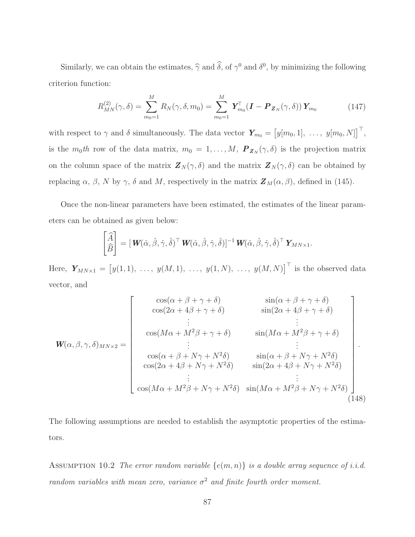Similarly, we can obtain the estimates,  $\hat{\gamma}$  and  $\delta$ , of  $\gamma^0$  and  $\delta^0$ , by minimizing the following criterion function:

$$
R_{MN}^{(2)}(\gamma,\delta) = \sum_{m_0=1}^{M} R_N(\gamma,\delta,m_0) = \sum_{m_0=1}^{M} \boldsymbol{Y}_{m_0}^{\top} (\boldsymbol{I} - \boldsymbol{P}_{\boldsymbol{Z}_N}(\gamma,\delta)) \boldsymbol{Y}_{m_0}
$$
(147)

with respect to  $\gamma$  and  $\delta$  simultaneously. The data vector  $\boldsymbol{Y}_{m_0} = \left[y[m_0, 1], \ldots, y[m_0, N]\right]^{\top}$ , is the  $m_0th$  row of the data matrix,  $m_0 = 1, ..., M$ ,  $\mathbf{P}_{\mathbf{Z}_N}(\gamma, \delta)$  is the projection matrix on the column space of the matrix  $\mathbf{Z}_N(\gamma,\delta)$  and the matrix  $\mathbf{Z}_N(\gamma,\delta)$  can be obtained by replacing  $\alpha$ ,  $\beta$ , N by  $\gamma$ ,  $\delta$  and M, respectively in the matrix  $\mathbf{Z}_M(\alpha, \beta)$ , defined in (145).

Once the non-linear parameters have been estimated, the estimates of the linear parameters can be obtained as given below:

$$
\begin{bmatrix} \widehat{A} \\ \widehat{B} \end{bmatrix} = [\boldsymbol{W}(\hat{\alpha}, \hat{\beta}, \hat{\gamma}, \hat{\delta})^{\top} \boldsymbol{W}(\hat{\alpha}, \hat{\beta}, \hat{\gamma}, \hat{\delta})]^{-1} \boldsymbol{W}(\hat{\alpha}, \hat{\beta}, \hat{\gamma}, \hat{\delta})^{\top} \boldsymbol{Y}_{MN \times 1}.
$$

Here,  $Y_{MN\times 1} = [y(1,1), \ldots, y(M,1), \ldots, y(1,N), \ldots, y(M,N)]^{\top}$  is the observed data vector, and

$$
\mathbf{W}(\alpha,\beta,\gamma,\delta)_{MN\times 2} = \begin{bmatrix}\n\cos(\alpha+\beta+\gamma+\delta) & \sin(\alpha+\beta+\gamma+\delta) \\
\cos(2\alpha+4\beta+\gamma+\delta) & \sin(2\alpha+4\beta+\gamma+\delta) \\
\vdots & \vdots \\
\cos(M\alpha+M^{2}\beta+\gamma+\delta) & \sin(M\alpha+M^{2}\beta+\gamma+\delta) \\
\vdots & \vdots \\
\cos(\alpha+\beta+N\gamma+N^{2}\delta) & \sin(\alpha+\beta+N\gamma+N^{2}\delta) \\
\cos(2\alpha+4\beta+N\gamma+N^{2}\delta) & \sin(2\alpha+4\beta+N\gamma+N^{2}\delta) \\
\vdots & \vdots \\
\cos(M\alpha+M^{2}\beta+N\gamma+N^{2}\delta) & \sin(M\alpha+M^{2}\beta+N\gamma+N^{2}\delta)\n\end{bmatrix}
$$
\n(148)

The following assumptions are needed to establish the asymptotic properties of the estimators.

ASSUMPTION 10.2 The error random variable  $\{e(m, n)\}\$ is a double array sequence of i.i.d. random variables with mean zero, variance  $\sigma^2$  and finite fourth order moment.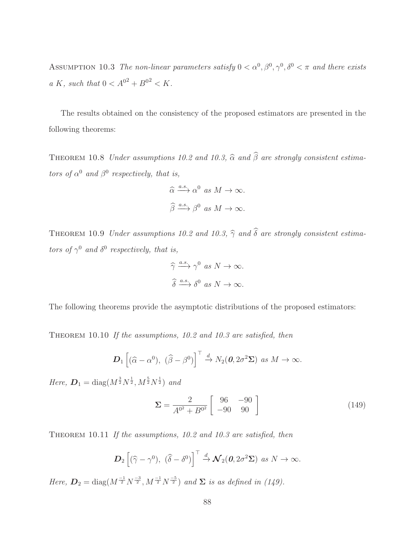ASSUMPTION 10.3 The non-linear parameters satisfy  $0 < \alpha^0, \beta^0, \gamma^0, \delta^0 < \pi$  and there exists a K, such that  $0 < A^{0^2} + B^{0^2} < K$ .

The results obtained on the consistency of the proposed estimators are presented in the following theorems:

THEOREM 10.8 Under assumptions 10.2 and 10.3,  $\widehat{\alpha}$  and  $\widehat{\beta}$  are strongly consistent estimators of  $\alpha^0$  and  $\beta^0$  respectively, that is,

$$
\widehat{\alpha} \xrightarrow{a.s.} \alpha^0 \text{ as } M \to \infty.
$$
  

$$
\widehat{\beta} \xrightarrow{a.s.} \beta^0 \text{ as } M \to \infty.
$$

THEOREM 10.9 Under assumptions 10.2 and 10.3,  $\hat{\gamma}$  and  $\hat{\delta}$  are strongly consistent estimators of  $\gamma^0$  and  $\delta^0$  respectively, that is,

$$
\widehat{\gamma} \xrightarrow{a.s.} \gamma^0 \text{ as } N \to \infty.
$$
  

$$
\widehat{\delta} \xrightarrow{a.s.} \delta^0 \text{ as } N \to \infty.
$$

The following theorems provide the asymptotic distributions of the proposed estimators:

THEOREM 10.10 If the assumptions, 10.2 and 10.3 are satisfied, then

$$
\boldsymbol{D}_1\left[(\widehat{\alpha}-\alpha^0),\;(\widehat{\beta}-\beta^0)\right]^{\top}\stackrel{d}{\to}N_2(\boldsymbol{0},2\sigma^2\boldsymbol{\Sigma})\;\;as\;M\to\infty.
$$

Here,  $\mathbf{D}_1 = \text{diag}(M^{\frac{3}{2}}N^{\frac{1}{2}}, M^{\frac{5}{2}}N^{\frac{1}{2}})$  and

$$
\Sigma = \frac{2}{A^{0^2} + B^{0^2}} \begin{bmatrix} 96 & -90 \\ -90 & 90 \end{bmatrix}
$$
 (149)

THEOREM 10.11 If the assumptions, 10.2 and 10.3 are satisfied, then

$$
\boldsymbol{D}_2\left[(\widehat{\gamma}-\gamma^0),\;(\widehat{\delta}-\delta^0)\right]^{\top}\stackrel{d}{\to}\boldsymbol{\mathcal{N}}_2(\boldsymbol{0},2\sigma^2\boldsymbol{\Sigma})\;\;as\;N\to\infty.
$$

Here,  $D_2 = \text{diag}(M^{-1/2} N^{-3/2}, M^{-1/2} N^{-5/2})$  and  $\Sigma$  is as defined in (149).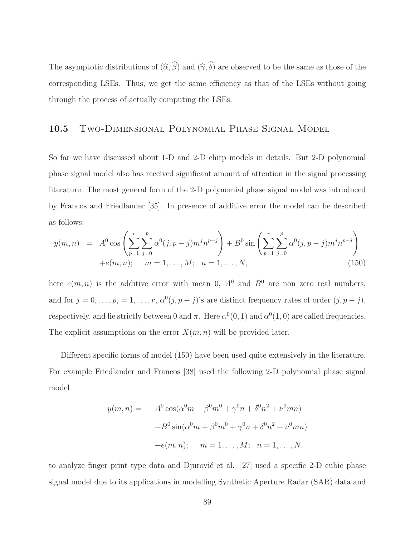The asymptotic distributions of  $(\widehat{\alpha}, \widehat{\beta})$  and  $(\widehat{\gamma}, \widehat{\delta})$  are observed to be the same as those of the corresponding LSEs. Thus, we get the same efficiency as that of the LSEs without going through the process of actually computing the LSEs.

#### 10.5 Two-Dimensional Polynomial Phase Signal Model

So far we have discussed about 1-D and 2-D chirp models in details. But 2-D polynomial phase signal model also has received significant amount of attention in the signal processing literature. The most general form of the 2-D polynomial phase signal model was introduced by Francos and Friedlander [35]. In presence of additive error the model can be described as follows:

$$
y(m,n) = A^0 \cos\left(\sum_{p=1}^r \sum_{j=0}^p \alpha^0(j, p-j) m^j n^{p-j}\right) + B^0 \sin\left(\sum_{p=1}^r \sum_{j=0}^p \alpha^0(j, p-j) m^j n^{p-j}\right) + e(m,n); \quad m = 1, ..., M; \quad n = 1, ..., N,
$$
\n(150)

here  $e(m, n)$  is the additive error with mean 0,  $A^0$  and  $B^0$  are non zero real numbers, and for  $j = 0, \ldots, p, = 1, \ldots, r, \alpha^0(j, p - j)$ 's are distinct frequency rates of order  $(j, p - j)$ , respectively, and lie strictly between 0 and  $\pi$ . Here  $\alpha^{0}(0,1)$  and  $\alpha^{0}(1,0)$  are called frequencies. The explicit assumptions on the error  $X(m, n)$  will be provided later.

Different specific forms of model (150) have been used quite extensively in the literature. For example Friedlander and Francos [38] used the following 2-D polynomial phase signal model

$$
y(m, n) = A^{0} \cos(\alpha^{0} m + \beta^{0} m^{0} + \gamma^{0} n + \delta^{0} n^{2} + \nu^{0} mn)
$$

$$
+ B^{0} \sin(\alpha^{0} m + \beta^{0} m^{0} + \gamma^{0} n + \delta^{0} n^{2} + \nu^{0} mn)
$$

$$
+ e(m, n); \quad m = 1, ..., M; \quad n = 1, ..., N,
$$

to analyze finger print type data and Djurović et al.  $[27]$  used a specific 2-D cubic phase signal model due to its applications in modelling Synthetic Aperture Radar (SAR) data and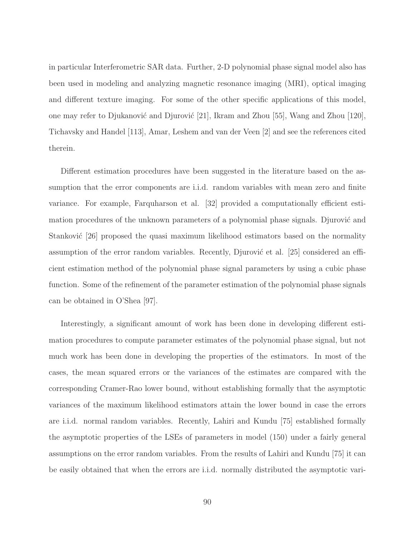in particular Interferometric SAR data. Further, 2-D polynomial phase signal model also has been used in modeling and analyzing magnetic resonance imaging (MRI), optical imaging and different texture imaging. For some of the other specific applications of this model, one may refer to Djukanović and Djurović  $[21]$ , Ikram and Zhou  $[55]$ , Wang and Zhou  $[120]$ , Tichavsky and Handel [113], Amar, Leshem and van der Veen [2] and see the references cited therein.

Different estimation procedures have been suggested in the literature based on the assumption that the error components are i.i.d. random variables with mean zero and finite variance. For example, Farquharson et al. [32] provided a computationally efficient estimation procedures of the unknown parameters of a polynomial phase signals. Djurović and Stanković  $|26|$  proposed the quasi maximum likelihood estimators based on the normality assumption of the error random variables. Recently, Djurović et al.  $|25|$  considered an efficient estimation method of the polynomial phase signal parameters by using a cubic phase function. Some of the refinement of the parameter estimation of the polynomial phase signals can be obtained in O'Shea [97].

Interestingly, a significant amount of work has been done in developing different estimation procedures to compute parameter estimates of the polynomial phase signal, but not much work has been done in developing the properties of the estimators. In most of the cases, the mean squared errors or the variances of the estimates are compared with the corresponding Cramer-Rao lower bound, without establishing formally that the asymptotic variances of the maximum likelihood estimators attain the lower bound in case the errors are i.i.d. normal random variables. Recently, Lahiri and Kundu [75] established formally the asymptotic properties of the LSEs of parameters in model (150) under a fairly general assumptions on the error random variables. From the results of Lahiri and Kundu [75] it can be easily obtained that when the errors are i.i.d. normally distributed the asymptotic vari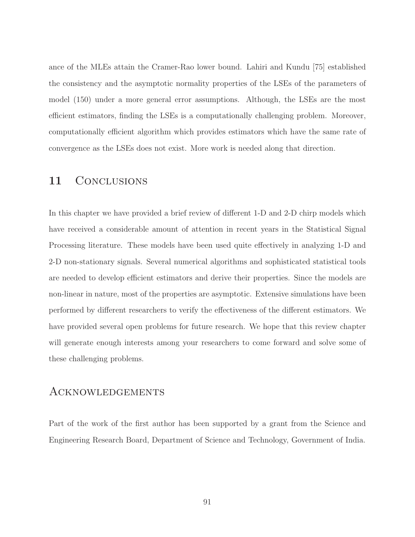ance of the MLEs attain the Cramer-Rao lower bound. Lahiri and Kundu [75] established the consistency and the asymptotic normality properties of the LSEs of the parameters of model (150) under a more general error assumptions. Although, the LSEs are the most efficient estimators, finding the LSEs is a computationally challenging problem. Moreover, computationally efficient algorithm which provides estimators which have the same rate of convergence as the LSEs does not exist. More work is needed along that direction.

## 11 CONCLUSIONS

In this chapter we have provided a brief review of different 1-D and 2-D chirp models which have received a considerable amount of attention in recent years in the Statistical Signal Processing literature. These models have been used quite effectively in analyzing 1-D and 2-D non-stationary signals. Several numerical algorithms and sophisticated statistical tools are needed to develop efficient estimators and derive their properties. Since the models are non-linear in nature, most of the properties are asymptotic. Extensive simulations have been performed by different researchers to verify the effectiveness of the different estimators. We have provided several open problems for future research. We hope that this review chapter will generate enough interests among your researchers to come forward and solve some of these challenging problems.

### Acknowledgements

Part of the work of the first author has been supported by a grant from the Science and Engineering Research Board, Department of Science and Technology, Government of India.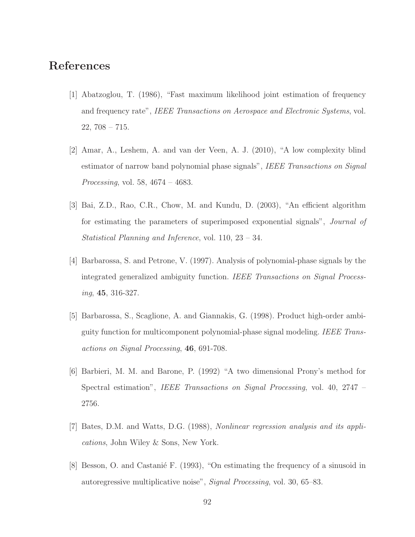## References

- [1] Abatzoglou, T. (1986), "Fast maximum likelihood joint estimation of frequency and frequency rate", IEEE Transactions on Aerospace and Electronic Systems, vol.  $22, 708 - 715.$
- [2] Amar, A., Leshem, A. and van der Veen, A. J. (2010), "A low complexity blind estimator of narrow band polynomial phase signals", IEEE Transactions on Signal Processing, vol. 58, 4674 – 4683.
- [3] Bai, Z.D., Rao, C.R., Chow, M. and Kundu, D. (2003), "An efficient algorithm for estimating the parameters of superimposed exponential signals", Journal of Statistical Planning and Inference, vol. 110, 23 – 34.
- [4] Barbarossa, S. and Petrone, V. (1997). Analysis of polynomial-phase signals by the integrated generalized ambiguity function. IEEE Transactions on Signal Processing, 45, 316-327.
- [5] Barbarossa, S., Scaglione, A. and Giannakis, G. (1998). Product high-order ambiguity function for multicomponent polynomial-phase signal modeling. IEEE Transactions on Signal Processing, 46, 691-708.
- [6] Barbieri, M. M. and Barone, P. (1992) "A two dimensional Prony's method for Spectral estimation", IEEE Transactions on Signal Processing, vol. 40, 2747 – 2756.
- [7] Bates, D.M. and Watts, D.G. (1988), Nonlinear regression analysis and its applications, John Wiley & Sons, New York.
- [8] Besson, O. and Castanie F. (1993), "On estimating the frequency of a sinusoid in autoregressive multiplicative noise", Signal Processing, vol. 30, 65–83.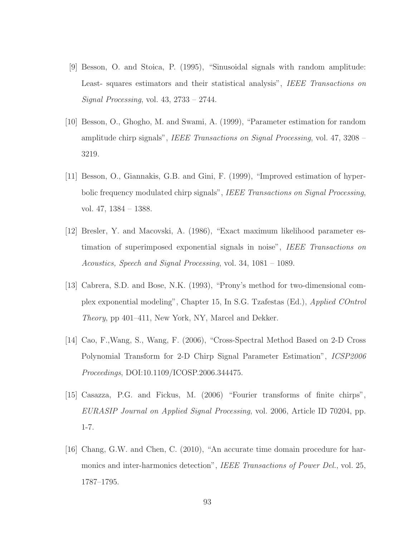- [9] Besson, O. and Stoica, P. (1995), "Sinusoidal signals with random amplitude: Least- squares estimators and their statistical analysis", IEEE Transactions on Signal Processing, vol. 43, 2733 – 2744.
- [10] Besson, O., Ghogho, M. and Swami, A. (1999), "Parameter estimation for random amplitude chirp signals", IEEE Transactions on Signal Processing, vol. 47, 3208 – 3219.
- [11] Besson, O., Giannakis, G.B. and Gini, F. (1999), "Improved estimation of hyperbolic frequency modulated chirp signals", IEEE Transactions on Signal Processing, vol. 47, 1384 – 1388.
- [12] Bresler, Y. and Macovski, A. (1986), "Exact maximum likelihood parameter estimation of superimposed exponential signals in noise", IEEE Transactions on Acoustics, Speech and Signal Processing, vol. 34, 1081 – 1089.
- [13] Cabrera, S.D. and Bose, N.K. (1993), "Prony's method for two-dimensional complex exponential modeling", Chapter 15, In S.G. Tzafestas (Ed.), Applied COntrol Theory, pp 401–411, New York, NY, Marcel and Dekker.
- [14] Cao, F.,Wang, S., Wang, F. (2006), "Cross-Spectral Method Based on 2-D Cross Polynomial Transform for 2-D Chirp Signal Parameter Estimation", ICSP2006 Proceedings, DOI:10.1109/ICOSP.2006.344475.
- [15] Casazza, P.G. and Fickus, M. (2006) "Fourier transforms of finite chirps", EURASIP Journal on Applied Signal Processing, vol. 2006, Article ID 70204, pp. 1-7.
- [16] Chang, G.W. and Chen, C. (2010), "An accurate time domain procedure for harmonics and inter-harmonics detection", IEEE Transactions of Power Del., vol. 25, 1787–1795.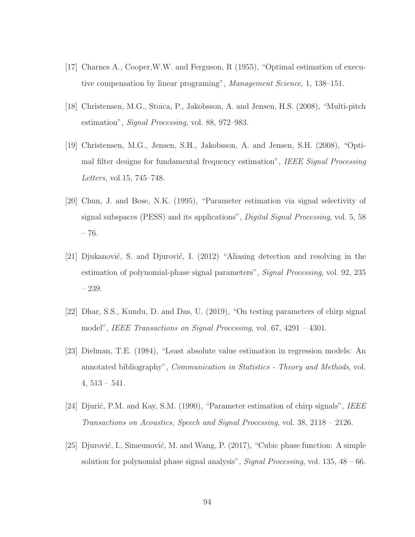- [17] Charnes A., Cooper,W.W. and Ferguson, R (1955), "Optimal estimation of executive compensation by linear programing", Management Science, 1, 138–151.
- [18] Christensen, M.G., Stoica, P., Jakobsson, A. and Jensen, H.S. (2008), "Multi-pitch estimation", Signal Processing, vol. 88, 972–983.
- [19] Christensen, M.G., Jensen, S.H., Jakobsson, A. and Jensen, S.H. (2008), "Optimal filter designs for fundamental frequency estimation", IEEE Signal Processing Letters, vol.15, 745–748.
- [20] Chun, J. and Bose, N.K. (1995), "Parameter estimation via signal selectivity of signal subspaces (PESS) and its applications", Digital Signal Processing, vol. 5, 58 – 76.
- [21] Djukanović, S. and Djurović, I. (2012) "Aliasing detection and resolving in the estimation of polynomial-phase signal parameters", *Signal Processing*, vol. 92, 235 – 239.
- [22] Dhar, S.S., Kundu, D. and Das, U. (2019), "On testing parameters of chirp signal model", IEEE Transactions on Signal Processing, vol. 67, 4291 – 4301.
- [23] Dielman, T.E. (1984), "Least absolute value estimation in regression models: An annotated bibliography", Communication in Statistics - Theory and Methods, vol.  $4,513-541.$
- [24] Djurić, P.M. and Kay, S.M. (1990), "Parameter estimation of chirp signals", IEEE Transactions on Acoustics, Speech and Signal Processing, vol. 38, 2118 – 2126.
- [25] Djurović, I., Simeunović, M. and Wang, P. (2017), "Cubic phase function: A simple solution for polynomial phase signal analysis", *Signal Processing*, vol.  $135, 48 - 66$ .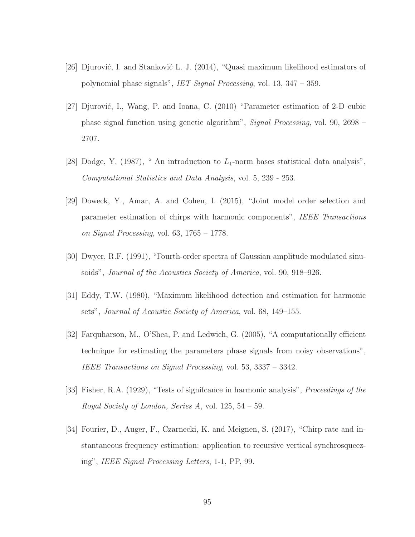- [26] Djurović, I. and Stanković L. J. (2014), "Quasi maximum likelihood estimators of polynomial phase signals", IET Signal Processing, vol. 13, 347 – 359.
- [27] Djurović, I., Wang, P. and Ioana, C. (2010) "Parameter estimation of 2-D cubic phase signal function using genetic algorithm", Signal Processing, vol. 90, 2698 – 2707.
- [28] Dodge, Y. (1987), " An introduction to  $L_1$ -norm bases statistical data analysis", Computational Statistics and Data Analysis, vol. 5, 239 - 253.
- [29] Doweck, Y., Amar, A. and Cohen, I. (2015), "Joint model order selection and parameter estimation of chirps with harmonic components", IEEE Transactions on Signal Processing, vol.  $63, 1765 - 1778$ .
- [30] Dwyer, R.F. (1991), "Fourth-order spectra of Gaussian amplitude modulated sinusoids", Journal of the Acoustics Society of America, vol. 90, 918–926.
- [31] Eddy, T.W. (1980), "Maximum likelihood detection and estimation for harmonic sets", Journal of Acoustic Society of America, vol. 68, 149–155.
- [32] Farquharson, M., O'Shea, P. and Ledwich, G. (2005), "A computationally efficient technique for estimating the parameters phase signals from noisy observations", IEEE Transactions on Signal Processing, vol. 53, 3337 – 3342.
- [33] Fisher, R.A. (1929), "Tests of signifcance in harmonic analysis", Proceedings of the Royal Society of London, Series A, vol. 125, 54 – 59.
- [34] Fourier, D., Auger, F., Czarnecki, K. and Meignen, S. (2017), "Chirp rate and instantaneous frequency estimation: application to recursive vertical synchrosqueezing", IEEE Signal Processing Letters, 1-1, PP, 99.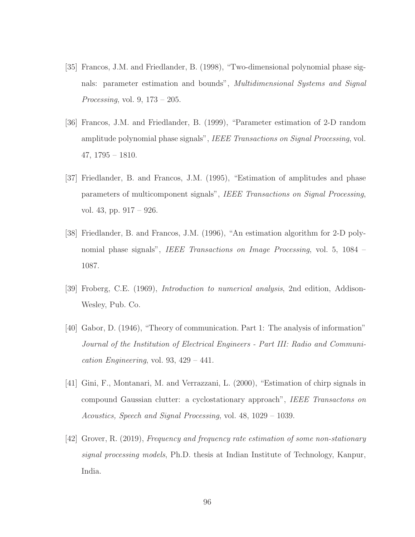- [35] Francos, J.M. and Friedlander, B. (1998), "Two-dimensional polynomial phase signals: parameter estimation and bounds", *Multidimensional Systems and Signal* Processing, vol.  $9, 173 - 205$ .
- [36] Francos, J.M. and Friedlander, B. (1999), "Parameter estimation of 2-D random amplitude polynomial phase signals", IEEE Transactions on Signal Processing, vol. 47, 1795 – 1810.
- [37] Friedlander, B. and Francos, J.M. (1995), "Estimation of amplitudes and phase parameters of multicomponent signals", IEEE Transactions on Signal Processing, vol. 43, pp. 917 – 926.
- [38] Friedlander, B. and Francos, J.M. (1996), "An estimation algorithm for 2-D polynomial phase signals", IEEE Transactions on Image Processing, vol. 5, 1084 – 1087.
- [39] Froberg, C.E. (1969), Introduction to numerical analysis, 2nd edition, Addison-Wesley, Pub. Co.
- [40] Gabor, D. (1946), "Theory of communication. Part 1: The analysis of information" Journal of the Institution of Electrical Engineers - Part III: Radio and Communication Engineering, vol. 93,  $429 - 441$ .
- [41] Gini, F., Montanari, M. and Verrazzani, L. (2000), "Estimation of chirp signals in compound Gaussian clutter: a cyclostationary approach", IEEE Transactons on Acoustics, Speech and Signal Processing, vol. 48, 1029 – 1039.
- [42] Grover, R. (2019), Frequency and frequency rate estimation of some non-stationary signal processing models, Ph.D. thesis at Indian Institute of Technology, Kanpur, India.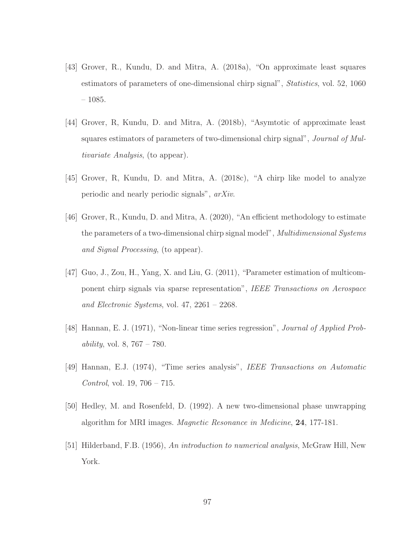- [43] Grover, R., Kundu, D. and Mitra, A. (2018a), "On approximate least squares estimators of parameters of one-dimensional chirp signal", Statistics, vol. 52, 1060  $-1085.$
- [44] Grover, R, Kundu, D. and Mitra, A. (2018b), "Asymtotic of approximate least squares estimators of parameters of two-dimensional chirp signal", *Journal of Mul*tivariate Analysis, (to appear).
- [45] Grover, R, Kundu, D. and Mitra, A. (2018c), "A chirp like model to analyze periodic and nearly periodic signals", arXiv.
- [46] Grover, R., Kundu, D. and Mitra, A. (2020), "An efficient methodology to estimate the parameters of a two-dimensional chirp signal model", *Multidimensional Systems* and Signal Processing, (to appear).
- [47] Guo, J., Zou, H., Yang, X. and Liu, G. (2011), "Parameter estimation of multicomponent chirp signals via sparse representation", IEEE Transactions on Aerospace and Electronic Systems, vol. 47, 2261 – 2268.
- [48] Hannan, E. J. (1971), "Non-linear time series regression", *Journal of Applied Probability*, vol. 8,  $767 - 780$ .
- [49] Hannan, E.J. (1974), "Time series analysis", IEEE Transactions on Automatic Control, vol. 19, 706 – 715.
- [50] Hedley, M. and Rosenfeld, D. (1992). A new two-dimensional phase unwrapping algorithm for MRI images. Magnetic Resonance in Medicine, 24, 177-181.
- [51] Hilderband, F.B. (1956), An introduction to numerical analysis, McGraw Hill, New York.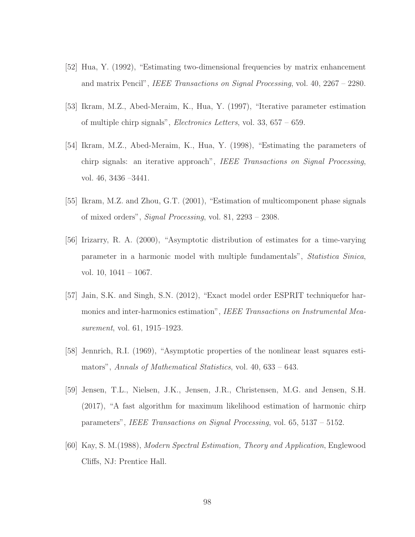- [52] Hua, Y. (1992), "Estimating two-dimensional frequencies by matrix enhancement and matrix Pencil", IEEE Transactions on Signal Processing, vol. 40, 2267 – 2280.
- [53] Ikram, M.Z., Abed-Meraim, K., Hua, Y. (1997), "Iterative parameter estimation of multiple chirp signals", Electronics Letters, vol. 33, 657 – 659.
- [54] Ikram, M.Z., Abed-Meraim, K., Hua, Y. (1998), "Estimating the parameters of chirp signals: an iterative approach", IEEE Transactions on Signal Processing, vol. 46, 3436 –3441.
- [55] Ikram, M.Z. and Zhou, G.T. (2001), "Estimation of multicomponent phase signals of mixed orders", Signal Processing, vol. 81, 2293 – 2308.
- [56] Irizarry, R. A. (2000), "Asymptotic distribution of estimates for a time-varying parameter in a harmonic model with multiple fundamentals", Statistica Sinica, vol. 10, 1041 – 1067.
- [57] Jain, S.K. and Singh, S.N. (2012), "Exact model order ESPRIT techniquefor harmonics and inter-harmonics estimation", IEEE Transactions on Instrumental Measurement, vol. 61, 1915–1923.
- [58] Jennrich, R.I. (1969), "Asymptotic properties of the nonlinear least squares estimators", Annals of Mathematical Statistics, vol. 40, 633 – 643.
- [59] Jensen, T.L., Nielsen, J.K., Jensen, J.R., Christensen, M.G. and Jensen, S.H. (2017), "A fast algorithm for maximum likelihood estimation of harmonic chirp parameters", IEEE Transactions on Signal Processing, vol. 65, 5137 – 5152.
- [60] Kay, S. M.(1988), Modern Spectral Estimation, Theory and Application, Englewood Cliffs, NJ: Prentice Hall.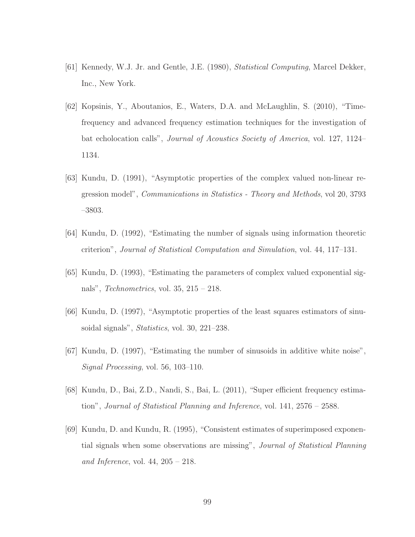- [61] Kennedy, W.J. Jr. and Gentle, J.E. (1980), Statistical Computing, Marcel Dekker, Inc., New York.
- [62] Kopsinis, Y., Aboutanios, E., Waters, D.A. and McLaughlin, S. (2010), "Timefrequency and advanced frequency estimation techniques for the investigation of bat echolocation calls", Journal of Acoustics Society of America, vol. 127, 1124– 1134.
- [63] Kundu, D. (1991), "Asymptotic properties of the complex valued non-linear regression model", Communications in Statistics - Theory and Methods, vol 20, 3793 –3803.
- [64] Kundu, D. (1992), "Estimating the number of signals using information theoretic criterion", Journal of Statistical Computation and Simulation, vol. 44, 117–131.
- [65] Kundu, D. (1993), "Estimating the parameters of complex valued exponential signals", Technometrics, vol. 35, 215 – 218.
- [66] Kundu, D. (1997), "Asymptotic properties of the least squares estimators of sinusoidal signals", *Statistics*, vol. 30, 221–238.
- [67] Kundu, D. (1997), "Estimating the number of sinusoids in additive white noise", Signal Processing, vol. 56, 103–110.
- [68] Kundu, D., Bai, Z.D., Nandi, S., Bai, L. (2011), "Super efficient frequency estimation", Journal of Statistical Planning and Inference, vol. 141, 2576 – 2588.
- [69] Kundu, D. and Kundu, R. (1995), "Consistent estimates of superimposed exponential signals when some observations are missing", Journal of Statistical Planning and Inference, vol.  $44, 205 - 218$ .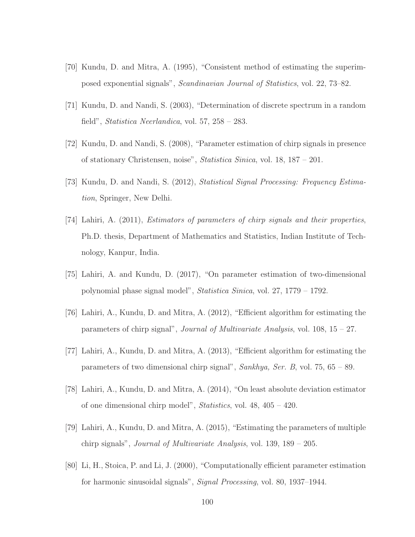- [70] Kundu, D. and Mitra, A. (1995), "Consistent method of estimating the superimposed exponential signals", Scandinavian Journal of Statistics, vol. 22, 73–82.
- [71] Kundu, D. and Nandi, S. (2003), "Determination of discrete spectrum in a random field", Statistica Neerlandica, vol. 57, 258 – 283.
- [72] Kundu, D. and Nandi, S. (2008), "Parameter estimation of chirp signals in presence of stationary Christensen, noise", Statistica Sinica, vol. 18, 187 – 201.
- [73] Kundu, D. and Nandi, S. (2012), Statistical Signal Processing: Frequency Estimation, Springer, New Delhi.
- [74] Lahiri, A. (2011), Estimators of parameters of chirp signals and their properties, Ph.D. thesis, Department of Mathematics and Statistics, Indian Institute of Technology, Kanpur, India.
- [75] Lahiri, A. and Kundu, D. (2017), "On parameter estimation of two-dimensional polynomial phase signal model", Statistica Sinica, vol. 27, 1779 – 1792.
- [76] Lahiri, A., Kundu, D. and Mitra, A. (2012), "Efficient algorithm for estimating the parameters of chirp signal", Journal of Multivariate Analysis, vol. 108, 15 – 27.
- [77] Lahiri, A., Kundu, D. and Mitra, A. (2013), "Efficient algorithm for estimating the parameters of two dimensional chirp signal", Sankhya, Ser. B, vol. 75, 65 – 89.
- [78] Lahiri, A., Kundu, D. and Mitra, A. (2014), "On least absolute deviation estimator of one dimensional chirp model", Statistics, vol. 48, 405 – 420.
- [79] Lahiri, A., Kundu, D. and Mitra, A. (2015), "Estimating the parameters of multiple chirp signals", Journal of Multivariate Analysis, vol. 139, 189 – 205.
- [80] Li, H., Stoica, P. and Li, J. (2000), "Computationally efficient parameter estimation for harmonic sinusoidal signals", Signal Processing, vol. 80, 1937–1944.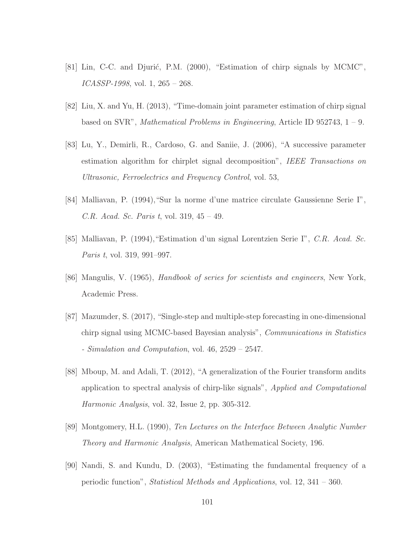- [81] Lin, C-C. and Djurić, P.M. (2000), "Estimation of chirp signals by MCMC",  $ICASSP-1998$ , vol. 1,  $265 - 268$ .
- [82] Liu, X. and Yu, H. (2013), "Time-domain joint parameter estimation of chirp signal based on SVR", *Mathematical Problems in Engineering*, Article ID 952743,  $1 - 9$ .
- [83] Lu, Y., Demirli, R., Cardoso, G. and Saniie, J. (2006), "A successive parameter estimation algorithm for chirplet signal decomposition", IEEE Transactions on Ultrasonic, Ferroelectrics and Frequency Control, vol. 53,
- [84] Malliavan, P. (1994),"Sur la norme d'une matrice circulate Gaussienne Serie I", C.R. Acad. Sc. Paris t, vol. 319, 45 – 49.
- [85] Malliavan, P. (1994),"Estimation d'un signal Lorentzien Serie I", C.R. Acad. Sc. Paris t, vol. 319, 991–997.
- [86] Mangulis, V. (1965), Handbook of series for scientists and engineers, New York, Academic Press.
- [87] Mazumder, S. (2017), "Single-step and multiple-step forecasting in one-dimensional chirp signal using MCMC-based Bayesian analysis", Communications in Statistics - Simulation and Computation, vol.  $46, 2529 - 2547$ .
- [88] Mboup, M. and Adali, T. (2012), "A generalization of the Fourier transform andits application to spectral analysis of chirp-like signals", Applied and Computational Harmonic Analysis, vol. 32, Issue 2, pp. 305-312.
- [89] Montgomery, H.L. (1990), Ten Lectures on the Interface Between Analytic Number Theory and Harmonic Analysis, American Mathematical Society, 196.
- [90] Nandi, S. and Kundu, D. (2003), "Estimating the fundamental frequency of a periodic function", Statistical Methods and Applications, vol. 12, 341 – 360.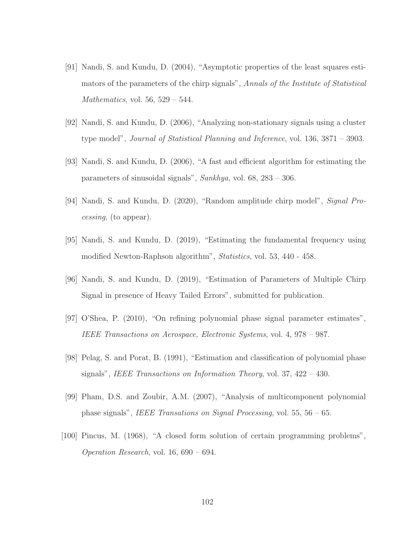- [91] Nandi, S. and Kundu, D. (2004), "Asymptotic properties of the least squares estimators of the parameters of the chirp signals", Annals of the Institute of Statistical Mathematics, vol. 56,  $529 - 544$ .
- [92] Nandi, S. and Kundu, D. (2006), "Analyzing non-stationary signals using a cluster type model", Journal of Statistical Planning and Inference, vol. 136, 3871 – 3903.
- [93] Nandi, S. and Kundu, D. (2006), "A fast and efficient algorithm for estimating the parameters of sinusoidal signals", Sankhya, vol. 68, 283 – 306.
- [94] Nandi, S. and Kundu, D. (2020), "Random amplitude chirp model", Signal Processing, (to appear).
- [95] Nandi, S. and Kundu, D. (2019), "Estimating the fundamental frequency using modified Newton-Raphson algorithm", Statistics, vol. 53, 440 - 458.
- [96] Nandi, S. and Kundu, D. (2019), "Estimation of Parameters of Multiple Chirp Signal in presence of Heavy Tailed Errors", submitted for publication.
- [97] O'Shea, P. (2010), "On refining polynomial phase signal parameter estimates", IEEE Transactions on Aerospace, Electronic Systems, vol. 4, 978 – 987.
- [98] Pelag, S. and Porat, B. (1991), "Estimation and classification of polynomial phase signals", IEEE Transactions on Information Theory, vol. 37,  $422 - 430$ .
- [99] Pham, D.S. and Zoubir, A.M. (2007), "Analysis of multicomponent polynomial phase signals", IEEE Transations on Signal Processing, vol. 55, 56 – 65.
- [100] Pincus, M. (1968), "A closed form solution of certain programming problems", Operation Research, vol. 16, 690 – 694.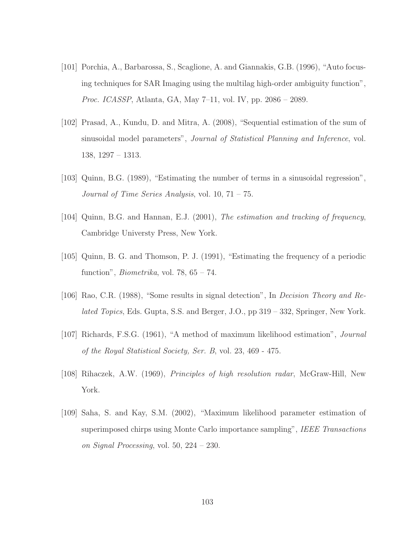- [101] Porchia, A., Barbarossa, S., Scaglione, A. and Giannakis, G.B. (1996), "Auto focusing techniques for SAR Imaging using the multilag high-order ambiguity function", Proc. ICASSP, Atlanta, GA, May 7–11, vol. IV, pp. 2086 – 2089.
- [102] Prasad, A., Kundu, D. and Mitra, A. (2008), "Sequential estimation of the sum of sinusoidal model parameters", Journal of Statistical Planning and Inference, vol. 138, 1297 – 1313.
- [103] Quinn, B.G. (1989), "Estimating the number of terms in a sinusoidal regression", Journal of Time Series Analysis, vol. 10, 71 – 75.
- [104] Quinn, B.G. and Hannan, E.J. (2001), The estimation and tracking of frequency, Cambridge Universty Press, New York.
- [105] Quinn, B. G. and Thomson, P. J. (1991), "Estimating the frequency of a periodic function", *Biometrika*, vol. 78,  $65 - 74$ .
- [106] Rao, C.R. (1988), "Some results in signal detection", In Decision Theory and Related Topics, Eds. Gupta, S.S. and Berger, J.O., pp 319 – 332, Springer, New York.
- [107] Richards, F.S.G. (1961), "A method of maximum likelihood estimation", Journal of the Royal Statistical Society, Ser. B, vol. 23, 469 - 475.
- [108] Rihaczek, A.W. (1969), Principles of high resolution radar, McGraw-Hill, New York.
- [109] Saha, S. and Kay, S.M. (2002), "Maximum likelihood parameter estimation of superimposed chirps using Monte Carlo importance sampling", IEEE Transactions on Signal Processing, vol. 50, 224 – 230.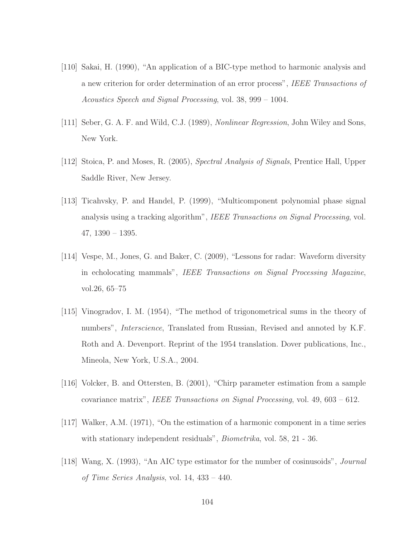- [110] Sakai, H. (1990), "An application of a BIC-type method to harmonic analysis and a new criterion for order determination of an error process", IEEE Transactions of Acoustics Speech and Signal Processing, vol. 38, 999 – 1004.
- [111] Seber, G. A. F. and Wild, C.J. (1989), Nonlinear Regression, John Wiley and Sons, New York.
- [112] Stoica, P. and Moses, R. (2005), Spectral Analysis of Signals, Prentice Hall, Upper Saddle River, New Jersey.
- [113] Ticahvsky, P. and Handel, P. (1999), "Multicomponent polynomial phase signal analysis using a tracking algorithm", IEEE Transactions on Signal Processing, vol. 47, 1390 – 1395.
- [114] Vespe, M., Jones, G. and Baker, C. (2009), "Lessons for radar: Waveform diversity in echolocating mammals", IEEE Transactions on Signal Processing Magazine, vol.26, 65–75
- [115] Vinogradov, I. M. (1954), "The method of trigonometrical sums in the theory of numbers", *Interscience*, Translated from Russian, Revised and annoted by K.F. Roth and A. Devenport. Reprint of the 1954 translation. Dover publications, Inc., Mineola, New York, U.S.A., 2004.
- [116] Volcker, B. and Ottersten, B. (2001), "Chirp parameter estimation from a sample covariance matrix", IEEE Transactions on Signal Processing, vol. 49, 603 – 612.
- [117] Walker, A.M. (1971), "On the estimation of a harmonic component in a time series with stationary independent residuals", *Biometrika*, vol. 58, 21 - 36.
- [118] Wang, X. (1993), "An AIC type estimator for the number of cosinusoids", Journal of Time Series Analysis, vol. 14, 433 – 440.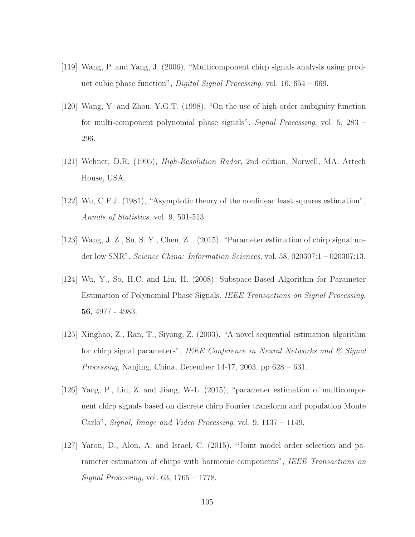- [119] Wang, P. and Yang, J. (2006), "Multicomponent chirp signals analysis using product cubic phase function", *Digital Signal Processing*, vol.  $16, 654 - 669$ .
- [120] Wang, Y. and Zhou, Y.G.T. (1998), "On the use of high-order ambiguity function for multi-component polynomial phase signals", Signal Processing, vol. 5, 283 – 296.
- [121] Wehner, D.R. (1995), High-Resolution Radar, 2nd edition, Norwell, MA: Artech House, USA.
- [122] Wu, C.F.J. (1981), "Asymptotic theory of the nonlinear least squares estimation", Annals of Statistics, vol. 9, 501-513.
- [123] Wang, J. Z., Su, S. Y., Chen, Z. . (2015), "Parameter estimation of chirp signal under low SNR", Science China: Information Sciences, vol. 58, 020307:1 – 020307:13.
- [124] Wu, Y., So, H.C. and Liu, H. (2008). Subspace-Based Algorithm for Parameter Estimation of Polynomial Phase Signals. IEEE Transactions on Signal Processing, 56, 4977 - 4983.
- [125] Xinghao, Z., Ran, T., Siyong, Z. (2003), "A novel sequential estimation algorithm for chirp signal parameters", IEEE Conference in Neural Networks and  $\mathcal{C}$  Signal *Processing*, Nanjing, China, December 14-17, 2003, pp  $628 - 631$ .
- [126] Yang, P., Liu, Z. and Jiang, W-L. (2015), "parameter estimation of multicomponent chirp signals based on discrete chirp Fourier transform and population Monte Carlo", Signal, Image and Video Processing, vol. 9, 1137 – 1149.
- [127] Yaron, D., Alon, A. and Israel, C. (2015), "Joint model order selection and parameter estimation of chirps with harmonic components", IEEE Transactions on Signal Processing, vol. 63, 1765 – 1778.